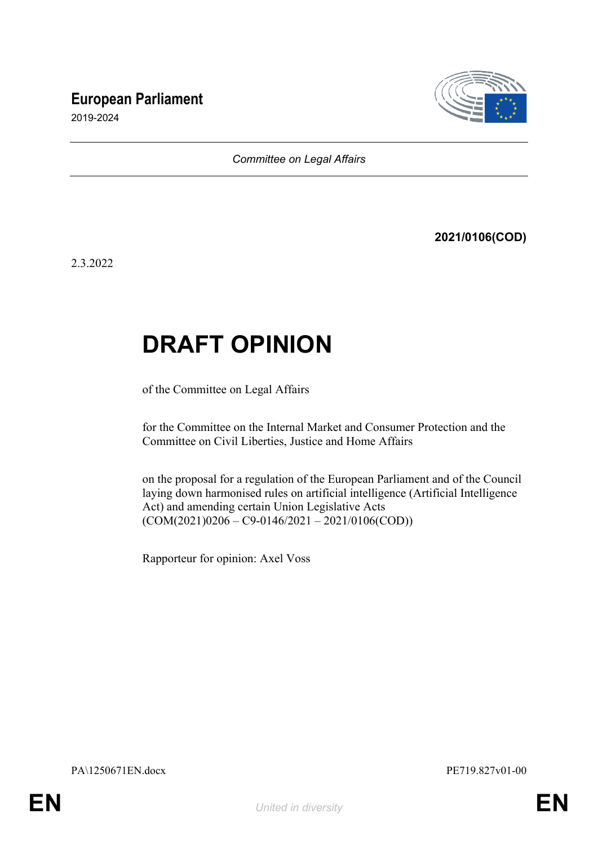# **European Parliament**



2019-2024

*Committee on Legal Affairs*

**2021/0106(COD)**

2.3.2022

# **DRAFT OPINION**

of the Committee on Legal Affairs

for the Committee on the Internal Market and Consumer Protection and the Committee on Civil Liberties, Justice and Home Affairs

on the proposal for a regulation of the European Parliament and of the Council laying down harmonised rules on artificial intelligence (Artificial Intelligence Act) and amending certain Union Legislative Acts  $(COM(2021)0206 - C9 - 0146/2021 - 2021/0106(COD))$ 

Rapporteur for opinion: Axel Voss

PA\1250671EN.docx PE719.827v01-00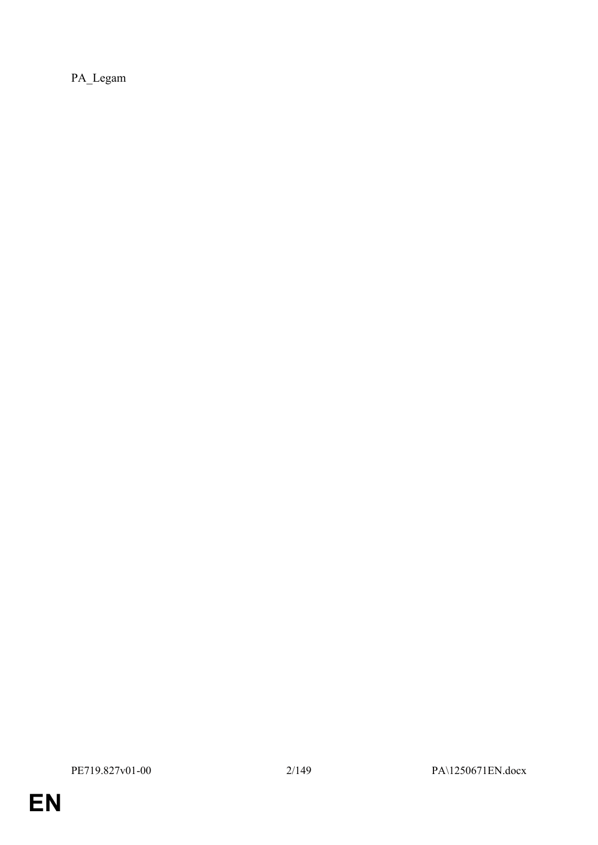PA\_Legam

**EN**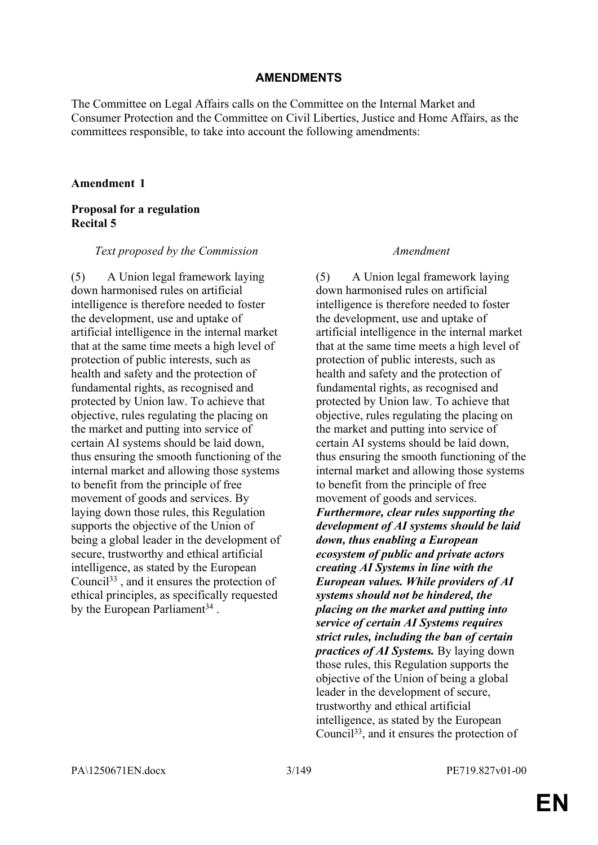### **AMENDMENTS**

The Committee on Legal Affairs calls on the Committee on the Internal Market and Consumer Protection and the Committee on Civil Liberties, Justice and Home Affairs, as the committees responsible, to take into account the following amendments:

#### **Amendment 1**

# **Proposal for a regulation Recital 5**

#### *Text proposed by the Commission Amendment*

(5) A Union legal framework laying down harmonised rules on artificial intelligence is therefore needed to foster the development, use and uptake of artificial intelligence in the internal market that at the same time meets a high level of protection of public interests, such as health and safety and the protection of fundamental rights, as recognised and protected by Union law. To achieve that objective, rules regulating the placing on the market and putting into service of certain AI systems should be laid down, thus ensuring the smooth functioning of the internal market and allowing those systems to benefit from the principle of free movement of goods and services. By laying down those rules, this Regulation supports the objective of the Union of being a global leader in the development of secure, trustworthy and ethical artificial intelligence, as stated by the European Council<sup>33</sup> , and it ensures the protection of ethical principles, as specifically requested by the European Parliament<sup>34</sup>.

(5) A Union legal framework laying down harmonised rules on artificial intelligence is therefore needed to foster the development, use and uptake of artificial intelligence in the internal market that at the same time meets a high level of protection of public interests, such as health and safety and the protection of fundamental rights, as recognised and protected by Union law. To achieve that objective, rules regulating the placing on the market and putting into service of certain AI systems should be laid down, thus ensuring the smooth functioning of the internal market and allowing those systems to benefit from the principle of free movement of goods and services. *Furthermore, clear rules supporting the development of AI systems should be laid down, thus enabling a European ecosystem of public and private actors creating AI Systems in line with the European values. While providers of AI systems should not be hindered, the placing on the market and putting into service of certain AI Systems requires strict rules, including the ban of certain practices of AI Systems.* By laying down those rules, this Regulation supports the objective of the Union of being a global leader in the development of secure, trustworthy and ethical artificial intelligence, as stated by the European Council33, and it ensures the protection of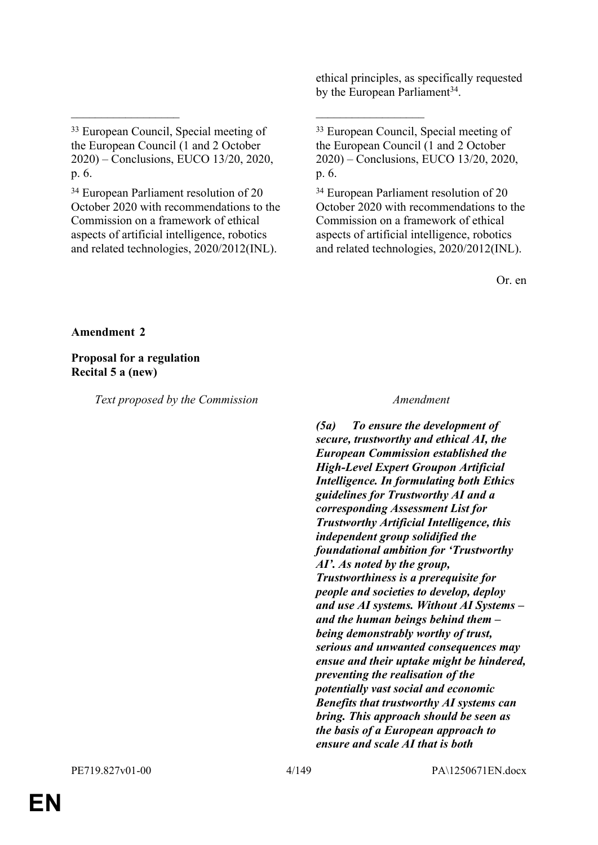ethical principles, as specifically requested by the European Parliament<sup>34</sup>.

 $\mathcal{L}_\text{max}$  , and the contract of the contract of the contract of the contract of the contract of the contract of

<sup>34</sup> European Parliament resolution of 20 October 2020 with recommendations to the Commission on a framework of ethical aspects of artificial intelligence, robotics and related technologies, 2020/2012(INL).

<sup>33</sup> European Council, Special meeting of the European Council (1 and 2 October 2020) – Conclusions, EUCO 13/20, 2020, p. 6.

<sup>34</sup> European Parliament resolution of 20 October 2020 with recommendations to the Commission on a framework of ethical aspects of artificial intelligence, robotics and related technologies, 2020/2012(INL).

Or. en

**Amendment 2**

**Proposal for a regulation Recital 5 a (new)**

*Text proposed by the Commission Amendment*

*(5a) To ensure the development of secure, trustworthy and ethical AI, the European Commission established the High-Level Expert Groupon Artificial Intelligence. In formulating both Ethics guidelines for Trustworthy AI and a corresponding Assessment List for Trustworthy Artificial Intelligence, this independent group solidified the foundational ambition for 'Trustworthy AI'. As noted by the group, Trustworthiness is a prerequisite for people and societies to develop, deploy and use AI systems. Without AI Systems – and the human beings behind them – being demonstrably worthy of trust, serious and unwanted consequences may ensue and their uptake might be hindered, preventing the realisation of the potentially vast social and economic Benefits that trustworthy AI systems can bring. This approach should be seen as the basis of a European approach to ensure and scale AI that is both* 

<sup>33</sup> European Council, Special meeting of the European Council (1 and 2 October 2020) – Conclusions, EUCO 13/20, 2020, p. 6.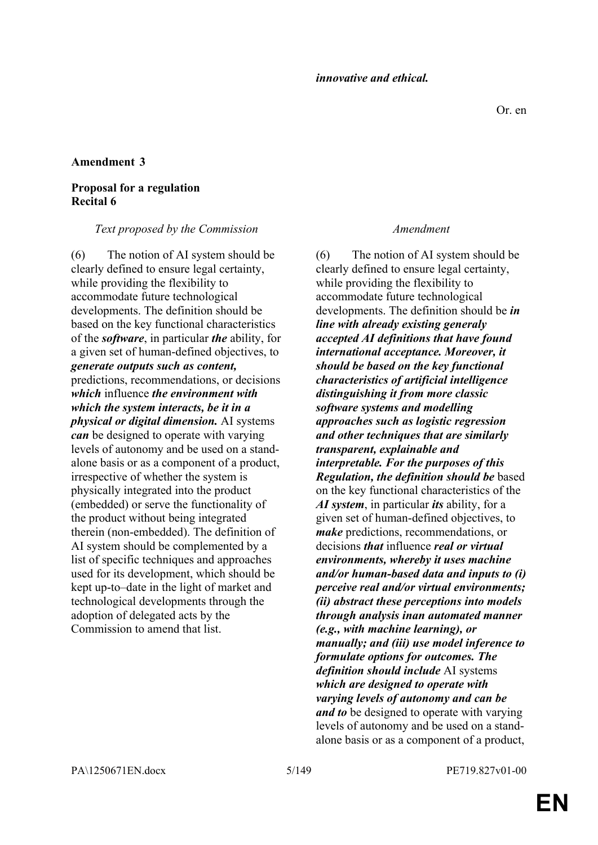# **Proposal for a regulation Recital 6**

#### *Text proposed by the Commission Amendment*

(6) The notion of AI system should be clearly defined to ensure legal certainty, while providing the flexibility to accommodate future technological developments. The definition should be based on the key functional characteristics of the *software*, in particular *the* ability, for a given set of human-defined objectives, to *generate outputs such as content,* predictions, recommendations, or decisions *which* influence *the environment with which the system interacts, be it in a physical or digital dimension.* AI systems *can* be designed to operate with varying levels of autonomy and be used on a standalone basis or as a component of a product, irrespective of whether the system is physically integrated into the product (embedded) or serve the functionality of the product without being integrated therein (non-embedded). The definition of AI system should be complemented by a list of specific techniques and approaches used for its development, which should be kept up-to–date in the light of market and technological developments through the adoption of delegated acts by the Commission to amend that list.

(6) The notion of AI system should be clearly defined to ensure legal certainty, while providing the flexibility to accommodate future technological developments. The definition should be *in line with already existing generaly accepted AI definitions that have found international acceptance. Moreover, it should be based on the key functional characteristics of artificial intelligence distinguishing it from more classic software systems and modelling approaches such as logistic regression and other techniques that are similarly transparent, explainable and interpretable. For the purposes of this Regulation, the definition should be* based on the key functional characteristics of the *AI system*, in particular *its* ability, for a given set of human-defined objectives, to *make* predictions, recommendations, or decisions *that* influence *real or virtual environments, whereby it uses machine and/or human-based data and inputs to (i) perceive real and/or virtual environments; (ii) abstract these perceptions into models through analysis inan automated manner (e.g., with machine learning), or manually; and (iii) use model inference to formulate options for outcomes. The definition should include* AI systems *which are designed to operate with varying levels of autonomy and can be and to* be designed to operate with varying levels of autonomy and be used on a standalone basis or as a component of a product,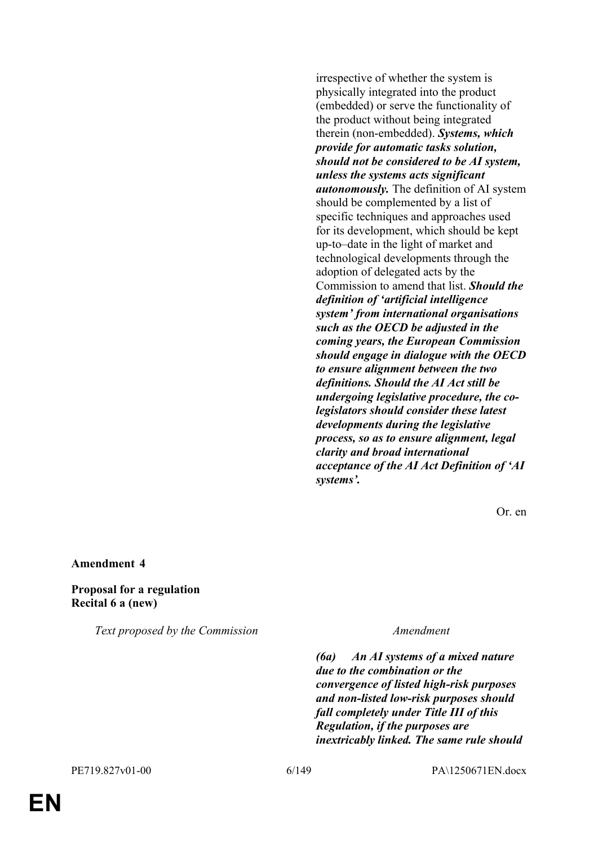irrespective of whether the system is physically integrated into the product (embedded) or serve the functionality of the product without being integrated therein (non-embedded). *Systems, which provide for automatic tasks solution, should not be considered to be AI system, unless the systems acts significant autonomously.* The definition of AI system should be complemented by a list of specific techniques and approaches used for its development, which should be kept up-to–date in the light of market and technological developments through the adoption of delegated acts by the Commission to amend that list. *Should the definition of 'artificial intelligence system' from international organisations such as the OECD be adjusted in the coming years, the European Commission should engage in dialogue with the OECD to ensure alignment between the two definitions. Should the AI Act still be undergoing legislative procedure, the colegislators should consider these latest developments during the legislative process, so as to ensure alignment, legal clarity and broad international acceptance of the AI Act Definition of 'AI systems'.*

Or. en

#### **Amendment 4**

### **Proposal for a regulation Recital 6 a (new)**

*Text proposed by the Commission Amendment*

*(6a) An AI systems of a mixed nature due to the combination or the convergence of listed high-risk purposes and non-listed low-risk purposes should fall completely under Title III of this Regulation, if the purposes are inextricably linked. The same rule should*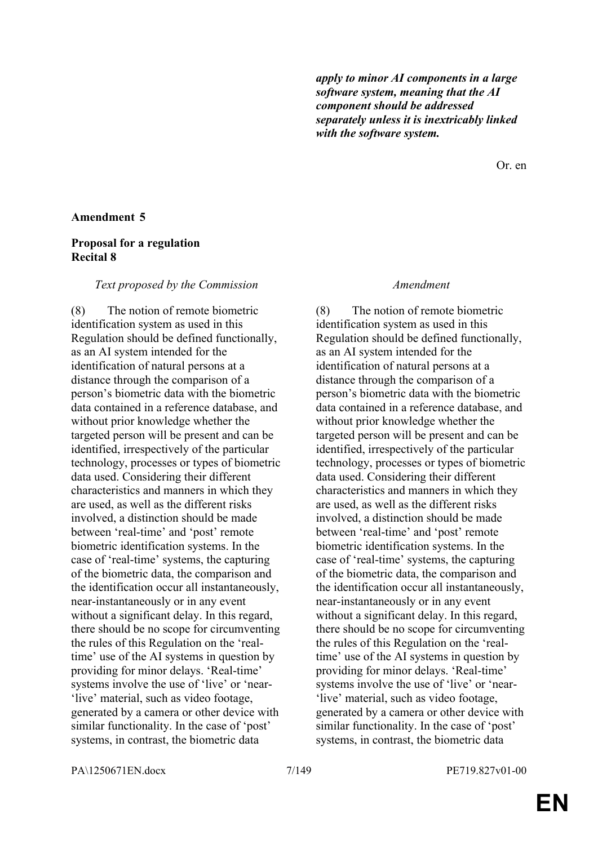*apply to minor AI components in a large software system, meaning that the AI component should be addressed separately unless it is inextricably linked with the software system.*

Or. en

### **Amendment 5**

## **Proposal for a regulation Recital 8**

#### *Text proposed by the Commission Amendment*

(8) The notion of remote biometric identification system as used in this Regulation should be defined functionally, as an AI system intended for the identification of natural persons at a distance through the comparison of a person's biometric data with the biometric data contained in a reference database, and without prior knowledge whether the targeted person will be present and can be identified, irrespectively of the particular technology, processes or types of biometric data used. Considering their different characteristics and manners in which they are used, as well as the different risks involved, a distinction should be made between 'real-time' and 'post' remote biometric identification systems. In the case of 'real-time' systems, the capturing of the biometric data, the comparison and the identification occur all instantaneously, near-instantaneously or in any event without a significant delay. In this regard, there should be no scope for circumventing the rules of this Regulation on the 'realtime' use of the AI systems in question by providing for minor delays. 'Real-time' systems involve the use of 'live' or 'near- 'live' material, such as video footage, generated by a camera or other device with similar functionality. In the case of 'post' systems, in contrast, the biometric data

(8) The notion of remote biometric identification system as used in this Regulation should be defined functionally, as an AI system intended for the identification of natural persons at a distance through the comparison of a person's biometric data with the biometric data contained in a reference database, and without prior knowledge whether the targeted person will be present and can be identified, irrespectively of the particular technology, processes or types of biometric data used. Considering their different characteristics and manners in which they are used, as well as the different risks involved, a distinction should be made between 'real-time' and 'post' remote biometric identification systems. In the case of 'real-time' systems, the capturing of the biometric data, the comparison and the identification occur all instantaneously, near-instantaneously or in any event without a significant delay. In this regard, there should be no scope for circumventing the rules of this Regulation on the 'realtime' use of the AI systems in question by providing for minor delays. 'Real-time' systems involve the use of 'live' or 'near- 'live' material, such as video footage, generated by a camera or other device with similar functionality. In the case of 'post' systems, in contrast, the biometric data

PA\1250671EN.docx 7/149 PE719.827v01-00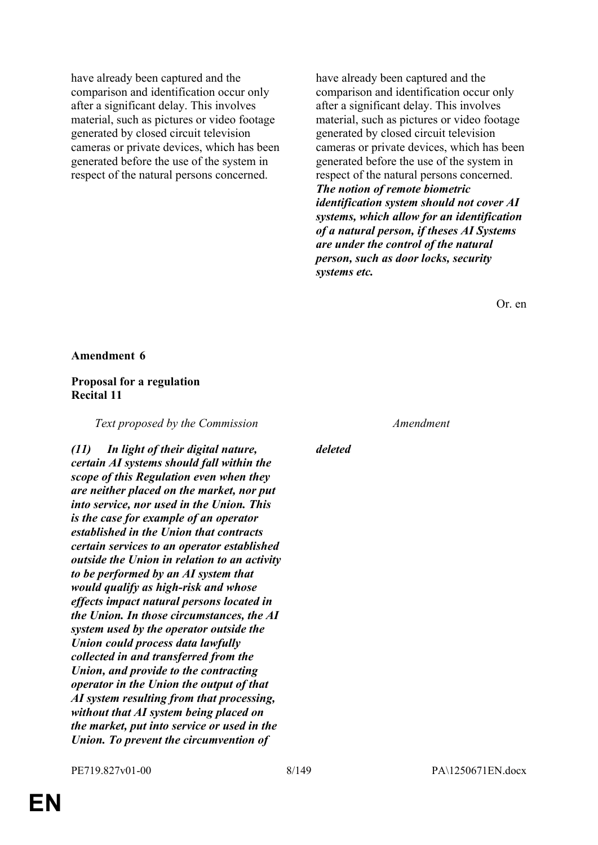have already been captured and the comparison and identification occur only after a significant delay. This involves material, such as pictures or video footage generated by closed circuit television cameras or private devices, which has been generated before the use of the system in respect of the natural persons concerned.

have already been captured and the comparison and identification occur only after a significant delay. This involves material, such as pictures or video footage generated by closed circuit television cameras or private devices, which has been generated before the use of the system in respect of the natural persons concerned. *The notion of remote biometric identification system should not cover AI systems, which allow for an identification of a natural person, if theses AI Systems are under the control of the natural person, such as door locks, security systems etc.*

Or. en

#### **Amendment 6**

### **Proposal for a regulation Recital 11**

*Text proposed by the Commission Amendment*

*(11) In light of their digital nature, certain AI systems should fall within the scope of this Regulation even when they are neither placed on the market, nor put into service, nor used in the Union. This is the case for example of an operator established in the Union that contracts certain services to an operator established outside the Union in relation to an activity to be performed by an AI system that would qualify as high-risk and whose effects impact natural persons located in the Union. In those circumstances, the AI system used by the operator outside the Union could process data lawfully collected in and transferred from the Union, and provide to the contracting operator in the Union the output of that AI system resulting from that processing, without that AI system being placed on the market, put into service or used in the Union. To prevent the circumvention of* 

*deleted*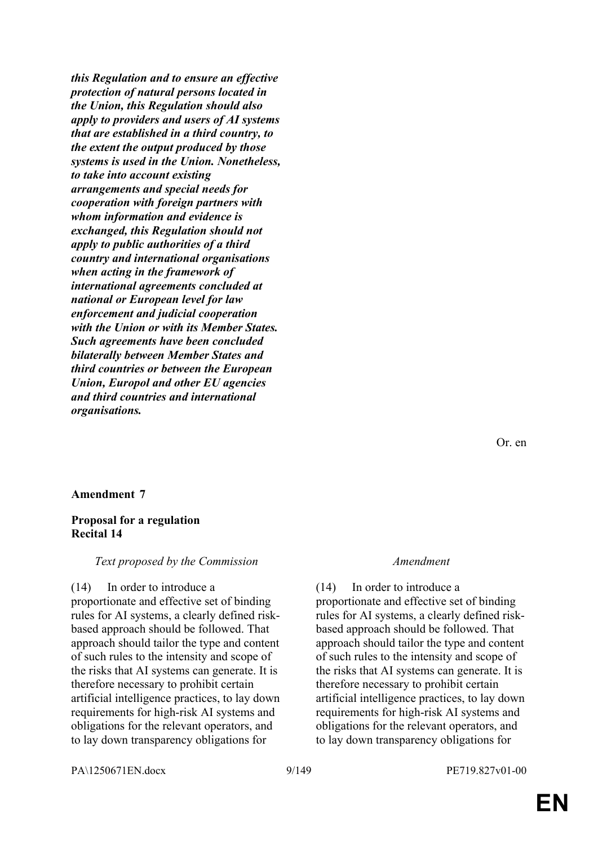*this Regulation and to ensure an effective protection of natural persons located in the Union, this Regulation should also apply to providers and users of AI systems that are established in a third country, to the extent the output produced by those systems is used in the Union. Nonetheless, to take into account existing arrangements and special needs for cooperation with foreign partners with whom information and evidence is exchanged, this Regulation should not apply to public authorities of a third country and international organisations when acting in the framework of international agreements concluded at national or European level for law enforcement and judicial cooperation with the Union or with its Member States. Such agreements have been concluded bilaterally between Member States and third countries or between the European Union, Europol and other EU agencies and third countries and international organisations.*

Or. en

#### **Amendment 7**

### **Proposal for a regulation Recital 14**

#### *Text proposed by the Commission Amendment*

(14) In order to introduce a proportionate and effective set of binding rules for AI systems, a clearly defined riskbased approach should be followed. That approach should tailor the type and content of such rules to the intensity and scope of the risks that AI systems can generate. It is therefore necessary to prohibit certain artificial intelligence practices, to lay down requirements for high-risk AI systems and obligations for the relevant operators, and to lay down transparency obligations for

(14) In order to introduce a proportionate and effective set of binding rules for AI systems, a clearly defined riskbased approach should be followed. That approach should tailor the type and content of such rules to the intensity and scope of the risks that AI systems can generate. It is therefore necessary to prohibit certain artificial intelligence practices, to lay down requirements for high-risk AI systems and obligations for the relevant operators, and to lay down transparency obligations for

PA\1250671EN.docx 9/149 PE719.827v01-00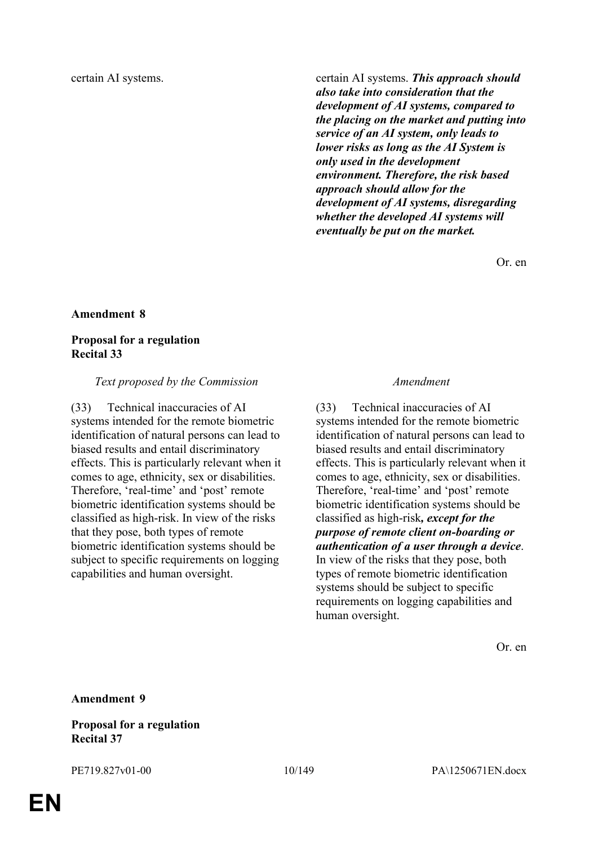certain AI systems. certain AI systems. *This approach should also take into consideration that the development of AI systems, compared to the placing on the market and putting into service of an AI system, only leads to lower risks as long as the AI System is only used in the development environment. Therefore, the risk based approach should allow for the development of AI systems, disregarding whether the developed AI systems will eventually be put on the market.*

Or. en

#### **Amendment 8**

### **Proposal for a regulation Recital 33**

#### *Text proposed by the Commission Amendment*

(33) Technical inaccuracies of AI systems intended for the remote biometric identification of natural persons can lead to biased results and entail discriminatory effects. This is particularly relevant when it comes to age, ethnicity, sex or disabilities. Therefore, 'real-time' and 'post' remote biometric identification systems should be classified as high-risk. In view of the risks that they pose, both types of remote biometric identification systems should be subject to specific requirements on logging capabilities and human oversight.

(33) Technical inaccuracies of AI systems intended for the remote biometric identification of natural persons can lead to biased results and entail discriminatory effects. This is particularly relevant when it comes to age, ethnicity, sex or disabilities. Therefore, 'real-time' and 'post' remote biometric identification systems should be classified as high-risk*, except for the purpose of remote client on-boarding or authentication of a user through a device*. In view of the risks that they pose, both types of remote biometric identification systems should be subject to specific requirements on logging capabilities and human oversight.

Or. en

**Amendment 9**

**Proposal for a regulation Recital 37**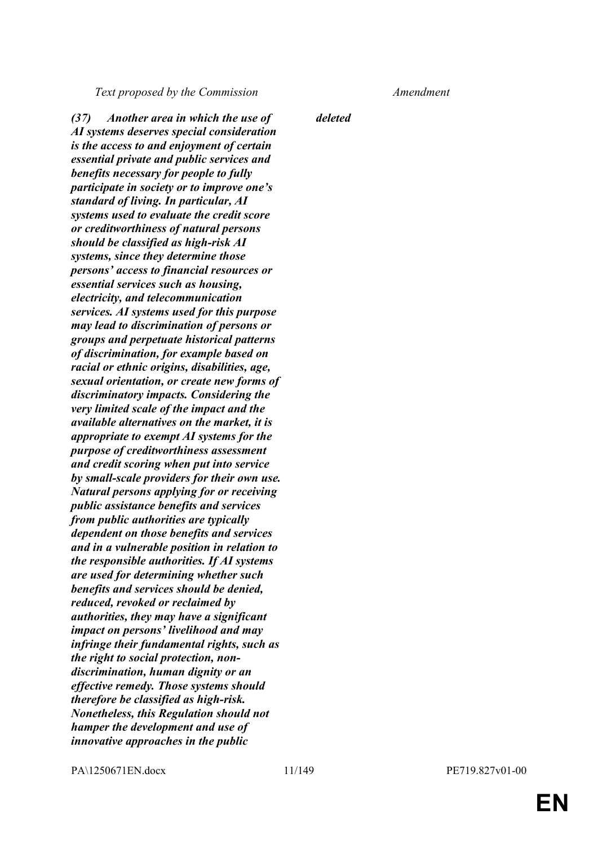*Text proposed by the Commission Amendment*

*(37) Another area in which the use of AI systems deserves special consideration is the access to and enjoyment of certain essential private and public services and benefits necessary for people to fully participate in society or to improve one's standard of living. In particular, AI systems used to evaluate the credit score or creditworthiness of natural persons should be classified as high-risk AI systems, since they determine those persons' access to financial resources or essential services such as housing, electricity, and telecommunication services. AI systems used for this purpose may lead to discrimination of persons or groups and perpetuate historical patterns of discrimination, for example based on racial or ethnic origins, disabilities, age, sexual orientation, or create new forms of discriminatory impacts. Considering the very limited scale of the impact and the available alternatives on the market, it is appropriate to exempt AI systems for the purpose of creditworthiness assessment and credit scoring when put into service by small-scale providers for their own use. Natural persons applying for or receiving public assistance benefits and services from public authorities are typically dependent on those benefits and services and in a vulnerable position in relation to the responsible authorities. If AI systems are used for determining whether such benefits and services should be denied, reduced, revoked or reclaimed by authorities, they may have a significant impact on persons' livelihood and may infringe their fundamental rights, such as the right to social protection, nondiscrimination, human dignity or an effective remedy. Those systems should therefore be classified as high-risk. Nonetheless, this Regulation should not hamper the development and use of innovative approaches in the public* 

*deleted*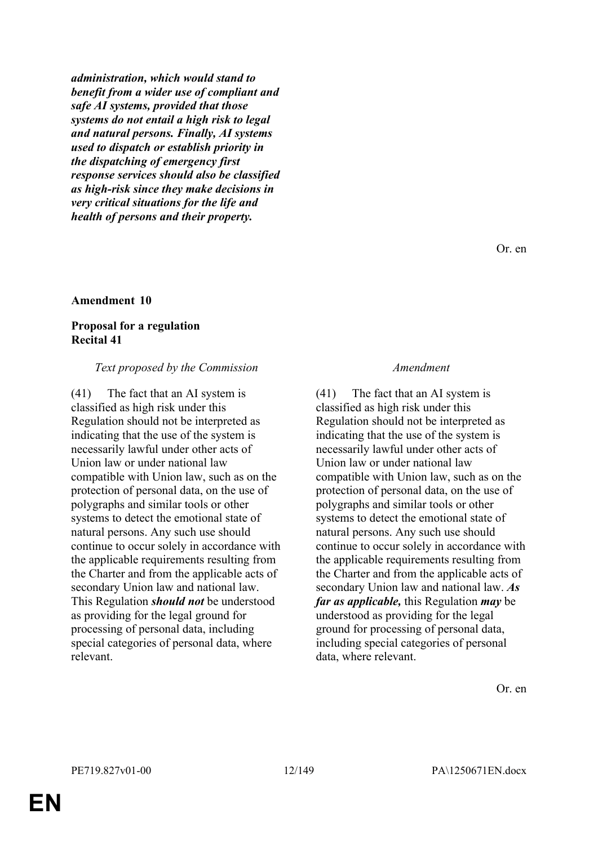*administration, which would stand to benefit from a wider use of compliant and safe AI systems, provided that those systems do not entail a high risk to legal and natural persons. Finally, AI systems used to dispatch or establish priority in the dispatching of emergency first response services should also be classified as high-risk since they make decisions in very critical situations for the life and health of persons and their property.*

#### **Amendment 10**

### **Proposal for a regulation Recital 41**

### *Text proposed by the Commission Amendment*

(41) The fact that an AI system is classified as high risk under this Regulation should not be interpreted as indicating that the use of the system is necessarily lawful under other acts of Union law or under national law compatible with Union law, such as on the protection of personal data, on the use of polygraphs and similar tools or other systems to detect the emotional state of natural persons. Any such use should continue to occur solely in accordance with the applicable requirements resulting from the Charter and from the applicable acts of secondary Union law and national law. This Regulation *should not* be understood as providing for the legal ground for processing of personal data, including special categories of personal data, where relevant.

(41) The fact that an AI system is classified as high risk under this Regulation should not be interpreted as indicating that the use of the system is necessarily lawful under other acts of Union law or under national law compatible with Union law, such as on the protection of personal data, on the use of polygraphs and similar tools or other systems to detect the emotional state of natural persons. Any such use should continue to occur solely in accordance with the applicable requirements resulting from the Charter and from the applicable acts of secondary Union law and national law. *As far as applicable,* this Regulation *may* be understood as providing for the legal ground for processing of personal data, including special categories of personal data, where relevant.

Or. en

Or. en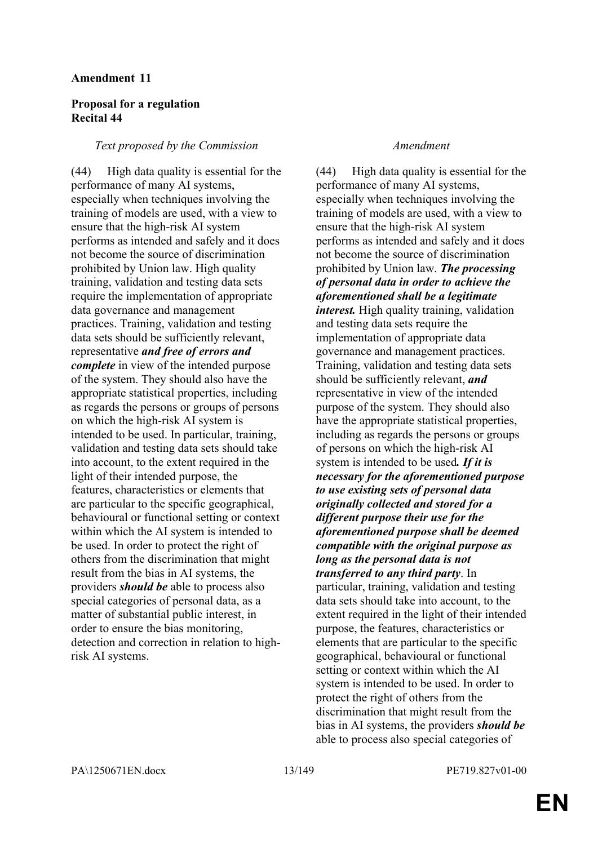## **Proposal for a regulation Recital 44**

#### *Text proposed by the Commission Amendment*

(44) High data quality is essential for the performance of many AI systems, especially when techniques involving the training of models are used, with a view to ensure that the high-risk AI system performs as intended and safely and it does not become the source of discrimination prohibited by Union law. High quality training, validation and testing data sets require the implementation of appropriate data governance and management practices. Training, validation and testing data sets should be sufficiently relevant, representative *and free of errors and complete* in view of the intended purpose of the system. They should also have the appropriate statistical properties, including as regards the persons or groups of persons on which the high-risk AI system is intended to be used. In particular, training, validation and testing data sets should take into account, to the extent required in the light of their intended purpose, the features, characteristics or elements that are particular to the specific geographical, behavioural or functional setting or context within which the AI system is intended to be used. In order to protect the right of others from the discrimination that might result from the bias in AI systems, the providers *should be* able to process also special categories of personal data, as a matter of substantial public interest, in order to ensure the bias monitoring, detection and correction in relation to highrisk AI systems.

(44) High data quality is essential for the performance of many AI systems, especially when techniques involving the training of models are used, with a view to ensure that the high-risk AI system performs as intended and safely and it does not become the source of discrimination prohibited by Union law. *The processing of personal data in order to achieve the aforementioned shall be a legitimate interest.* High quality training, validation and testing data sets require the implementation of appropriate data governance and management practices. Training, validation and testing data sets should be sufficiently relevant, *and* representative in view of the intended purpose of the system. They should also have the appropriate statistical properties, including as regards the persons or groups of persons on which the high-risk AI system is intended to be used*. If it is necessary for the aforementioned purpose to use existing sets of personal data originally collected and stored for a different purpose their use for the aforementioned purpose shall be deemed compatible with the original purpose as long as the personal data is not transferred to any third party*. In particular, training, validation and testing data sets should take into account, to the extent required in the light of their intended purpose, the features, characteristics or elements that are particular to the specific geographical, behavioural or functional setting or context within which the AI system is intended to be used. In order to protect the right of others from the discrimination that might result from the bias in AI systems, the providers *should be* able to process also special categories of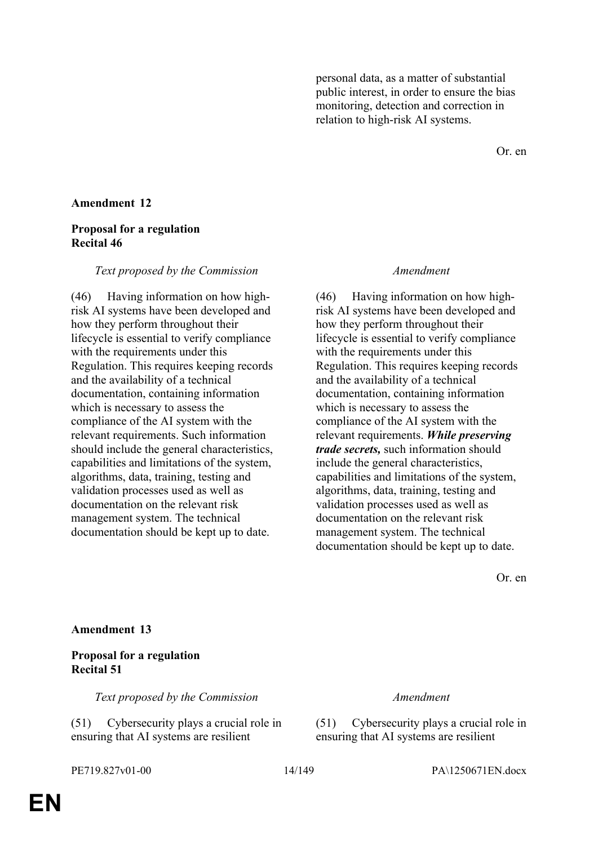personal data, as a matter of substantial public interest, in order to ensure the bias monitoring, detection and correction in relation to high-risk AI systems.

Or. en

# **Amendment 12**

### **Proposal for a regulation Recital 46**

#### *Text proposed by the Commission Amendment*

(46) Having information on how highrisk AI systems have been developed and how they perform throughout their lifecycle is essential to verify compliance with the requirements under this Regulation. This requires keeping records and the availability of a technical documentation, containing information which is necessary to assess the compliance of the AI system with the relevant requirements. Such information should include the general characteristics, capabilities and limitations of the system, algorithms, data, training, testing and validation processes used as well as documentation on the relevant risk management system. The technical documentation should be kept up to date.

(46) Having information on how highrisk AI systems have been developed and how they perform throughout their lifecycle is essential to verify compliance with the requirements under this Regulation. This requires keeping records and the availability of a technical documentation, containing information which is necessary to assess the compliance of the AI system with the relevant requirements. *While preserving trade secrets,* such information should include the general characteristics, capabilities and limitations of the system, algorithms, data, training, testing and validation processes used as well as documentation on the relevant risk management system. The technical documentation should be kept up to date.

Or. en

**Amendment 13**

### **Proposal for a regulation Recital 51**

*Text proposed by the Commission Amendment*

(51) Cybersecurity plays a crucial role in ensuring that AI systems are resilient

(51) Cybersecurity plays a crucial role in ensuring that AI systems are resilient

PE719.827v01-00 14/149 PA\1250671EN.docx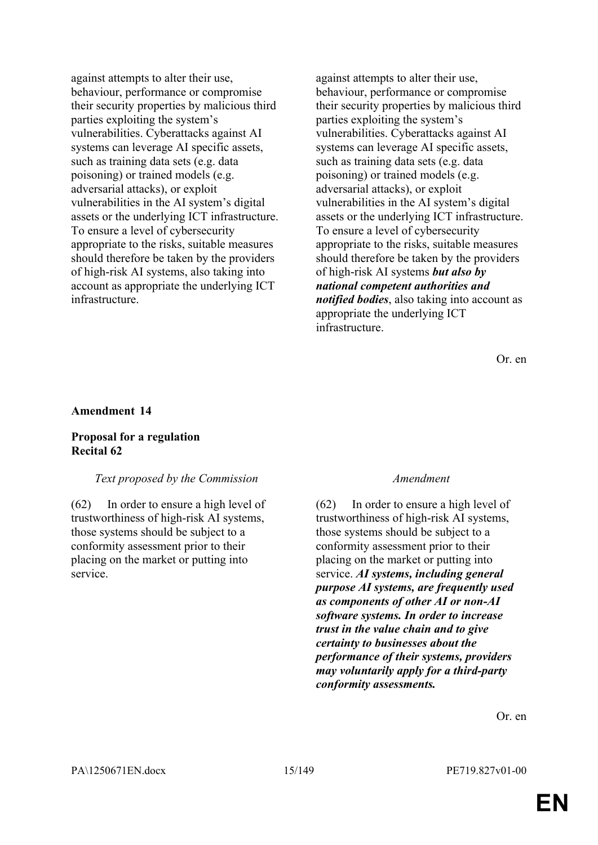against attempts to alter their use, behaviour, performance or compromise their security properties by malicious third parties exploiting the system's vulnerabilities. Cyberattacks against AI systems can leverage AI specific assets, such as training data sets (e.g. data poisoning) or trained models (e.g. adversarial attacks), or exploit vulnerabilities in the AI system's digital assets or the underlying ICT infrastructure. To ensure a level of cybersecurity appropriate to the risks, suitable measures should therefore be taken by the providers of high-risk AI systems, also taking into account as appropriate the underlying ICT infrastructure.

against attempts to alter their use, behaviour, performance or compromise their security properties by malicious third parties exploiting the system's vulnerabilities. Cyberattacks against AI systems can leverage AI specific assets, such as training data sets (e.g. data poisoning) or trained models (e.g. adversarial attacks), or exploit vulnerabilities in the AI system's digital assets or the underlying ICT infrastructure. To ensure a level of cybersecurity appropriate to the risks, suitable measures should therefore be taken by the providers of high-risk AI systems *but also by national competent authorities and notified bodies*, also taking into account as appropriate the underlying ICT infrastructure.

Or. en

#### **Amendment 14**

### **Proposal for a regulation Recital 62**

#### *Text proposed by the Commission Amendment*

(62) In order to ensure a high level of trustworthiness of high-risk AI systems, those systems should be subject to a conformity assessment prior to their placing on the market or putting into service.

(62) In order to ensure a high level of trustworthiness of high-risk AI systems, those systems should be subject to a conformity assessment prior to their placing on the market or putting into service. *AI systems, including general purpose AI systems, are frequently used as components of other AI or non-AI software systems. In order to increase trust in the value chain and to give certainty to businesses about the performance of their systems, providers may voluntarily apply for a third-party conformity assessments.*

Or. en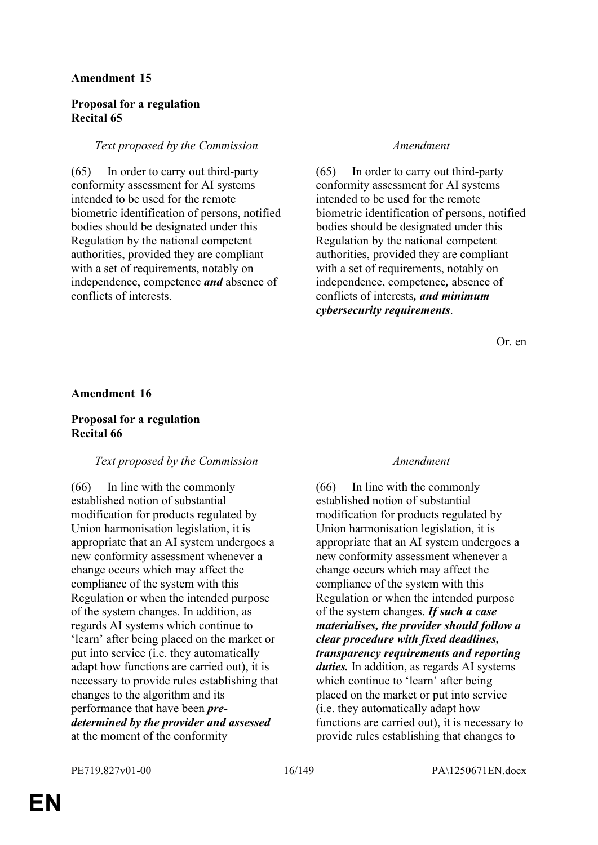# **Proposal for a regulation Recital 65**

# *Text proposed by the Commission Amendment*

(65) In order to carry out third-party conformity assessment for AI systems intended to be used for the remote biometric identification of persons, notified bodies should be designated under this Regulation by the national competent authorities, provided they are compliant with a set of requirements, notably on independence, competence *and* absence of conflicts of interests.

(65) In order to carry out third-party conformity assessment for AI systems intended to be used for the remote biometric identification of persons, notified bodies should be designated under this Regulation by the national competent authorities, provided they are compliant with a set of requirements, notably on independence, competence*,* absence of conflicts of interests*, and minimum cybersecurity requirements*.

Or. en

### **Amendment 16**

# **Proposal for a regulation Recital 66**

# *Text proposed by the Commission Amendment*

(66) In line with the commonly established notion of substantial modification for products regulated by Union harmonisation legislation, it is appropriate that an AI system undergoes a new conformity assessment whenever a change occurs which may affect the compliance of the system with this Regulation or when the intended purpose of the system changes. In addition, as regards AI systems which continue to 'learn' after being placed on the market or put into service (i.e. they automatically adapt how functions are carried out), it is necessary to provide rules establishing that changes to the algorithm and its performance that have been *predetermined by the provider and assessed* at the moment of the conformity

(66) In line with the commonly established notion of substantial modification for products regulated by Union harmonisation legislation, it is appropriate that an AI system undergoes a new conformity assessment whenever a change occurs which may affect the compliance of the system with this Regulation or when the intended purpose of the system changes. *If such a case materialises, the provider should follow a clear procedure with fixed deadlines, transparency requirements and reporting duties.* In addition, as regards AI systems which continue to 'learn' after being placed on the market or put into service (i.e. they automatically adapt how functions are carried out), it is necessary to provide rules establishing that changes to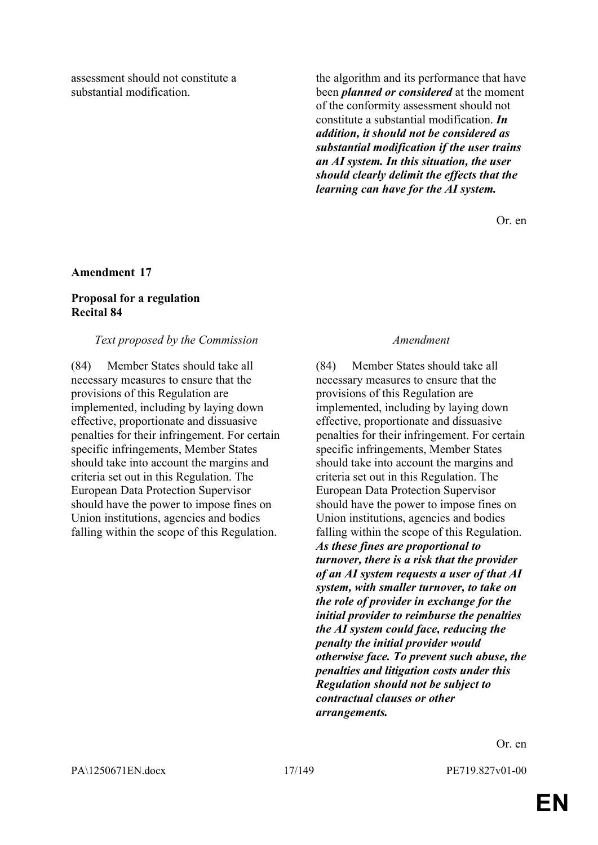assessment should not constitute a substantial modification.

the algorithm and its performance that have been *planned or considered* at the moment of the conformity assessment should not constitute a substantial modification. *In addition, it should not be considered as substantial modification if the user trains an AI system. In this situation, the user should clearly delimit the effects that the learning can have for the AI system.* 

Or. en

#### **Amendment 17**

#### **Proposal for a regulation Recital 84**

#### *Text proposed by the Commission Amendment*

(84) Member States should take all necessary measures to ensure that the provisions of this Regulation are implemented, including by laying down effective, proportionate and dissuasive penalties for their infringement. For certain specific infringements, Member States should take into account the margins and criteria set out in this Regulation. The European Data Protection Supervisor should have the power to impose fines on Union institutions, agencies and bodies falling within the scope of this Regulation.

(84) Member States should take all necessary measures to ensure that the provisions of this Regulation are implemented, including by laying down effective, proportionate and dissuasive penalties for their infringement. For certain specific infringements, Member States should take into account the margins and criteria set out in this Regulation. The European Data Protection Supervisor should have the power to impose fines on Union institutions, agencies and bodies falling within the scope of this Regulation. *As these fines are proportional to turnover, there is a risk that the provider of an AI system requests a user of that AI system, with smaller turnover, to take on the role of provider in exchange for the initial provider to reimburse the penalties the AI system could face, reducing the penalty the initial provider would otherwise face. To prevent such abuse, the penalties and litigation costs under this Regulation should not be subject to contractual clauses or other arrangements.* 

Or. en

**EN**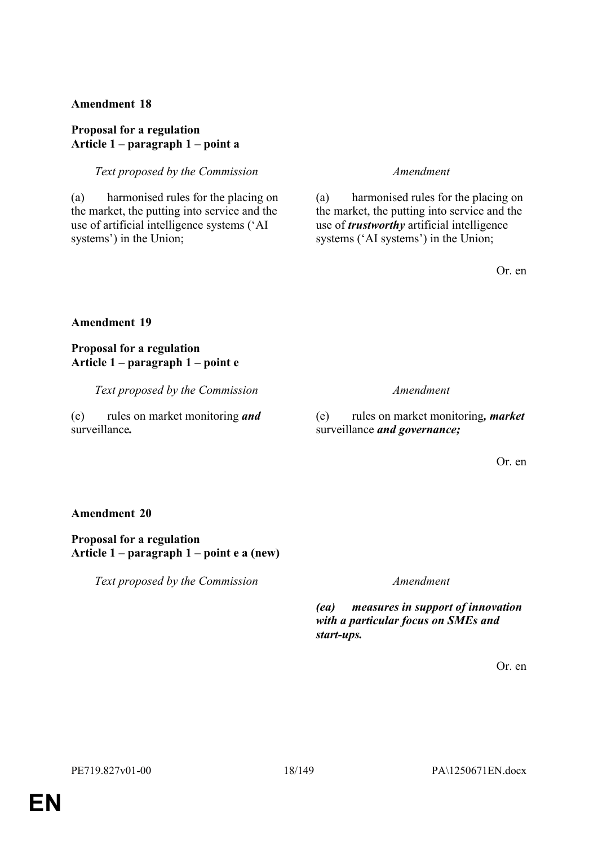# **Proposal for a regulation Article 1 – paragraph 1 – point a**

*Text proposed by the Commission Amendment*

(a) harmonised rules for the placing on the market, the putting into service and the use of artificial intelligence systems ('AI systems') in the Union;

(a) harmonised rules for the placing on the market, the putting into service and the use of *trustworthy* artificial intelligence systems ('AI systems') in the Union;

Or. en

# **Amendment 19**

# **Proposal for a regulation Article 1 – paragraph 1 – point e**

*Text proposed by the Commission Amendment*

## (e) rules on market monitoring *and* surveillance*.*

(e) rules on market monitoring*, market* surveillance *and governance;*

Or. en

### **Amendment 20**

# **Proposal for a regulation Article 1 – paragraph 1 – point e a (new)**

*Text proposed by the Commission Amendment*

*(ea) measures in support of innovation with a particular focus on SMEs and start-ups.*

Or. en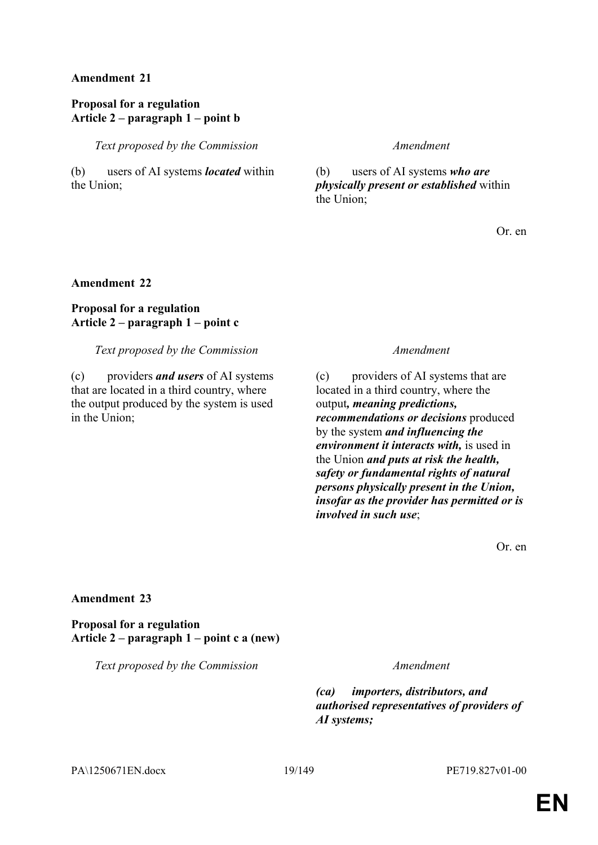# **Proposal for a regulation Article 2 – paragraph 1 – point b**

*Text proposed by the Commission Amendment*

(b) users of AI systems *located* within the Union;

(b) users of AI systems *who are physically present or established* within the Union;

Or. en

# **Amendment 22**

# **Proposal for a regulation Article 2 – paragraph 1 – point c**

*Text proposed by the Commission Amendment*

(c) providers *and users* of AI systems that are located in a third country, where the output produced by the system is used in the Union;

(c) providers of AI systems that are located in a third country, where the output*, meaning predictions, recommendations or decisions* produced by the system *and influencing the environment it interacts with,* is used in the Union *and puts at risk the health, safety or fundamental rights of natural persons physically present in the Union, insofar as the provider has permitted or is involved in such use*;

Or. en

### **Amendment 23**

**Proposal for a regulation Article 2 – paragraph 1 – point c a (new)**

*Text proposed by the Commission Amendment*

*(ca) importers, distributors, and authorised representatives of providers of AI systems;*

PA\1250671EN.docx 19/149 PE719.827v01-00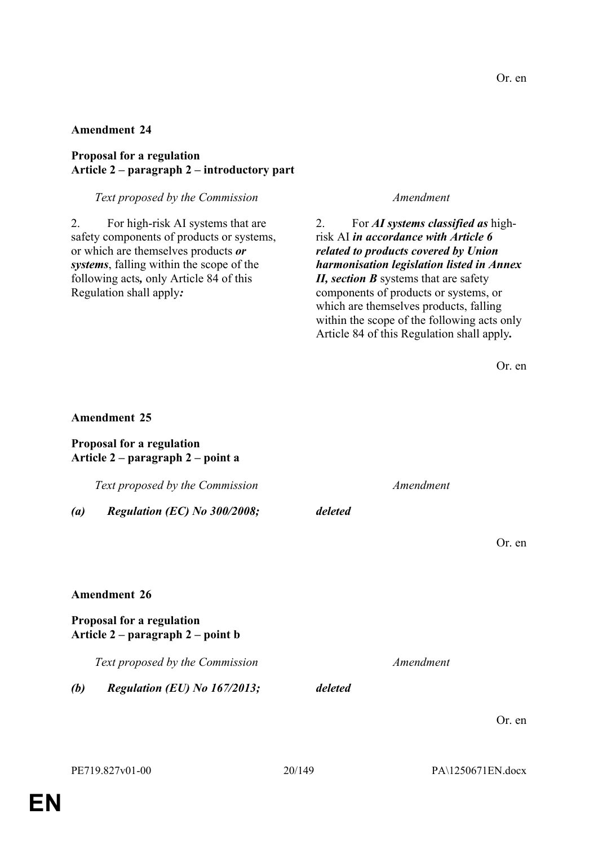### **Proposal for a regulation Article 2 – paragraph 2 – introductory part**

### *Text proposed by the Commission Amendment*

2. For high-risk AI systems that are safety components of products or systems, or which are themselves products *or systems*, falling within the scope of the following acts*,* only Article 84 of this Regulation shall apply*:*

2. For *AI systems classified as* highrisk AI *in accordance with Article 6 related to products covered by Union harmonisation legislation listed in Annex II, section B* systems that are safety components of products or systems, or which are themselves products, falling within the scope of the following acts only Article 84 of this Regulation shall apply*.*

|                                                                |         |           | Or. en |
|----------------------------------------------------------------|---------|-----------|--------|
|                                                                |         |           |        |
| <b>Amendment 25</b>                                            |         |           |        |
| Proposal for a regulation<br>Article 2 – paragraph 2 – point a |         |           |        |
| Text proposed by the Commission                                |         | Amendment |        |
| Regulation (EC) No 300/2008;<br>$\left( a\right)$              | deleted |           |        |
|                                                                |         |           | Or. en |
|                                                                |         |           |        |
| <b>Amendment 26</b>                                            |         |           |        |
| Proposal for a regulation<br>Article 2 – paragraph 2 – point b |         |           |        |
| Text proposed by the Commission                                |         | Amendment |        |
| Regulation (EU) No 167/2013;<br>(b)                            | deleted |           |        |
|                                                                |         |           | Or. en |
|                                                                |         |           |        |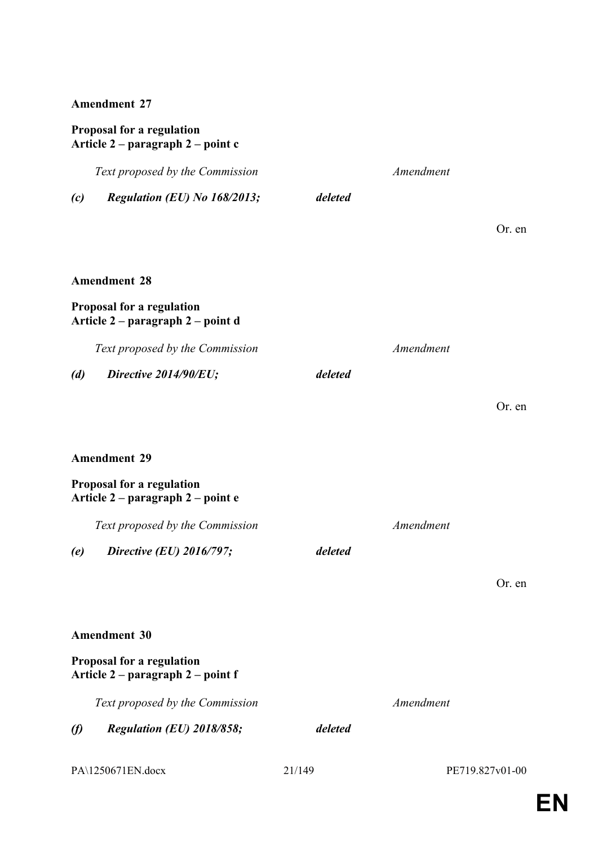# **Proposal for a regulation Article 2 – paragraph 2 – point c**

|           | Text proposed by the Commission                                |         | Amendment |                 |
|-----------|----------------------------------------------------------------|---------|-----------|-----------------|
| (c)       | Regulation (EU) No 168/2013;                                   | deleted |           |                 |
|           |                                                                |         |           | Or. en          |
|           |                                                                |         |           |                 |
|           | <b>Amendment 28</b>                                            |         |           |                 |
|           | Proposal for a regulation<br>Article 2 – paragraph 2 – point d |         |           |                 |
|           | Text proposed by the Commission                                |         | Amendment |                 |
| (d)       | Directive 2014/90/EU;                                          | deleted |           |                 |
|           |                                                                |         |           | Or. en          |
|           |                                                                |         |           |                 |
|           | <b>Amendment 29</b>                                            |         |           |                 |
|           | Proposal for a regulation<br>Article 2 – paragraph 2 – point e |         |           |                 |
|           | Text proposed by the Commission                                |         | Amendment |                 |
| (e)       | Directive (EU) 2016/797;                                       | deleted |           |                 |
|           |                                                                |         |           | Or. en          |
|           |                                                                |         |           |                 |
|           | <b>Amendment 30</b>                                            |         |           |                 |
|           | Proposal for a regulation<br>Article 2 – paragraph 2 – point f |         |           |                 |
|           | Text proposed by the Commission                                |         | Amendment |                 |
| $\varphi$ | Regulation (EU) 2018/858;                                      | deleted |           |                 |
|           | PA\1250671EN.docx                                              | 21/149  |           | PE719.827v01-00 |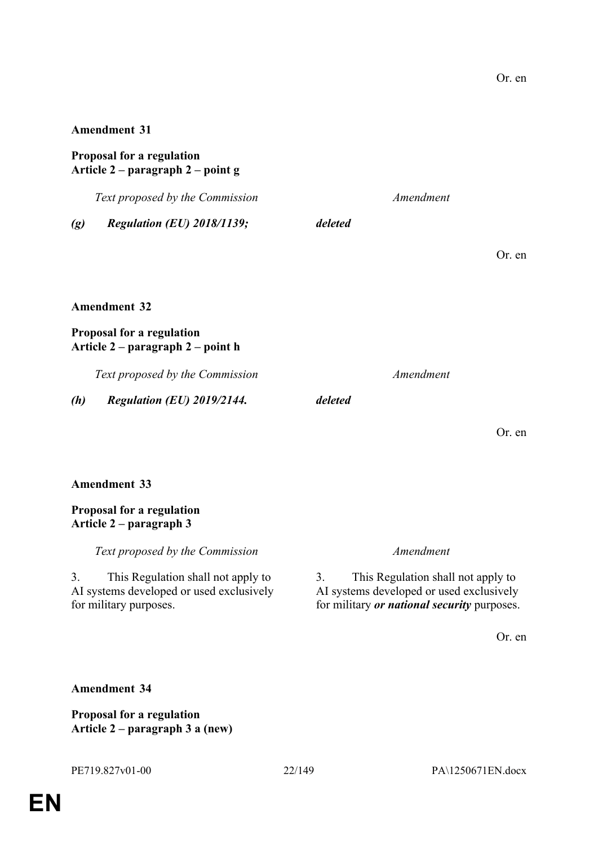## **Proposal for a regulation Article 2 – paragraph 2 – point g**

*Text proposed by the Commission Amendment*

*(g) Regulation (EU) 2018/1139; deleted*

Or. en

Or. en

# **Amendment 32**

### **Proposal for a regulation Article 2 – paragraph 2 – point h**

*Text proposed by the Commission Amendment*

*(h) Regulation (EU) 2019/2144. deleted*

# **Amendment 33**

### **Proposal for a regulation Article 2 – paragraph 3**

*Text proposed by the Commission Amendment*

3. This Regulation shall not apply to AI systems developed or used exclusively for military purposes.

3. This Regulation shall not apply to AI systems developed or used exclusively for military *or national security* purposes.

Or. en

# **Amendment 34**

**Proposal for a regulation Article 2 – paragraph 3 a (new)**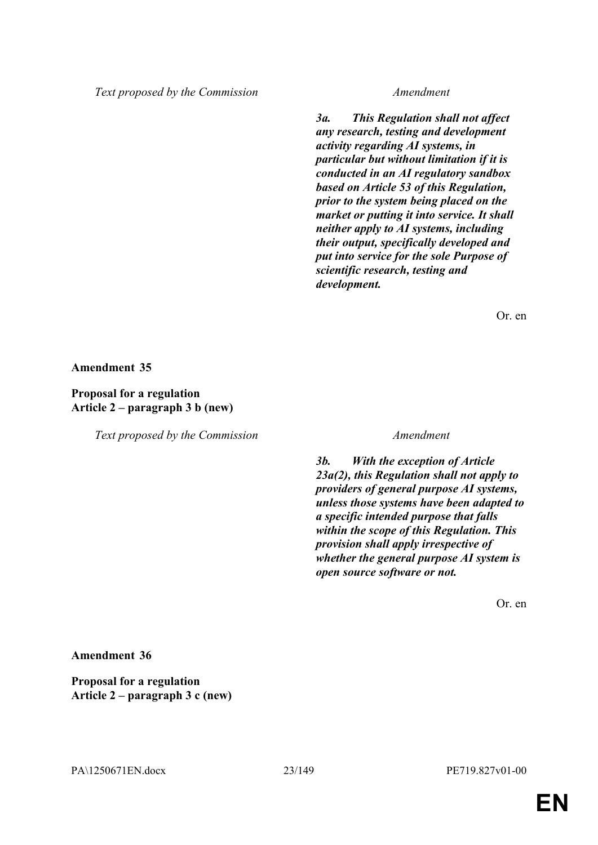*Text proposed by the Commission Amendment*

*3a. This Regulation shall not affect any research, testing and development activity regarding AI systems, in particular but without limitation if it is conducted in an AI regulatory sandbox based on Article 53 of this Regulation, prior to the system being placed on the market or putting it into service. It shall neither apply to AI systems, including their output, specifically developed and put into service for the sole Purpose of scientific research, testing and development.*

Or. en

**Amendment 35**

# **Proposal for a regulation Article 2 – paragraph 3 b (new)**

*Text proposed by the Commission Amendment*

*3b. With the exception of Article 23a(2), this Regulation shall not apply to providers of general purpose AI systems, unless those systems have been adapted to a specific intended purpose that falls within the scope of this Regulation. This provision shall apply irrespective of whether the general purpose AI system is open source software or not.*

Or. en

**Amendment 36**

**Proposal for a regulation Article 2 – paragraph 3 c (new)**

PA\1250671EN.docx 23/149 PE719.827v01-00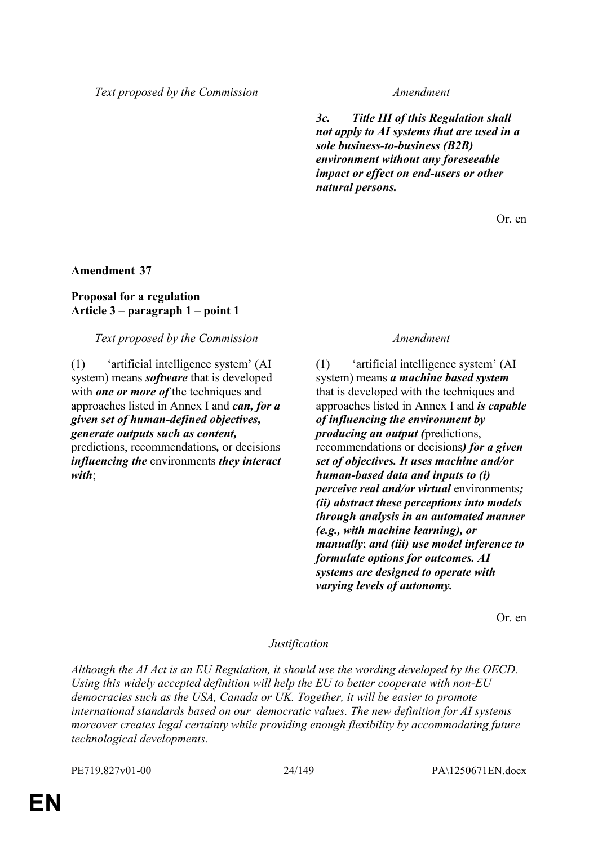*Text proposed by the Commission Amendment*

*3c. Title III of this Regulation shall not apply to AI systems that are used in a sole business-to-business (B2B) environment without any foreseeable impact or effect on end-users or other natural persons.*

Or. en

### **Amendment 37**

# **Proposal for a regulation Article 3 – paragraph 1 – point 1**

### *Text proposed by the Commission Amendment*

(1) 'artificial intelligence system' (AI system) means *software* that is developed with *one or more of* the techniques and approaches listed in Annex I and *can, for a given set of human-defined objectives, generate outputs such as content,* predictions, recommendations*,* or decisions

*influencing the* environments *they interact with*;

(1) 'artificial intelligence system' (AI system) means *a machine based system* that is developed with the techniques and approaches listed in Annex I and *is capable of influencing the environment by producing an output (*predictions, recommendations or decisions*) for a given set of objectives. It uses machine and/or human-based data and inputs to (i) perceive real and/or virtual* environments*; (ii) abstract these perceptions into models through analysis in an automated manner (e.g., with machine learning), or manually*; *and (iii) use model inference to formulate options for outcomes. AI systems are designed to operate with varying levels of autonomy.*

Or. en

### *Justification*

*Although the AI Act is an EU Regulation, it should use the wording developed by the OECD. Using this widely accepted definition will help the EU to better cooperate with non-EU democracies such as the USA, Canada or UK. Together, it will be easier to promote international standards based on our democratic values. The new definition for AI systems moreover creates legal certainty while providing enough flexibility by accommodating future technological developments.*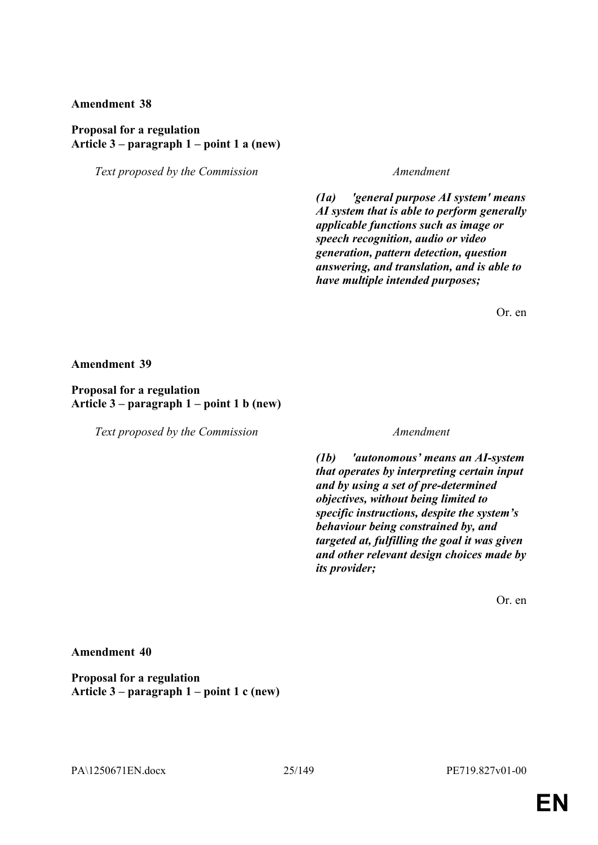### **Proposal for a regulation Article 3 – paragraph 1 – point 1 a (new)**

*Text proposed by the Commission Amendment*

*(1a) 'general purpose AI system' means AI system that is able to perform generally applicable functions such as image or speech recognition, audio or video generation, pattern detection, question answering, and translation, and is able to have multiple intended purposes;*

Or. en

**Amendment 39**

**Proposal for a regulation Article 3 – paragraph 1 – point 1 b (new)**

*Text proposed by the Commission Amendment*

*(1b) 'autonomous' means an AI-system that operates by interpreting certain input and by using a set of pre-determined objectives, without being limited to specific instructions, despite the system's behaviour being constrained by, and targeted at, fulfilling the goal it was given and other relevant design choices made by its provider;*

Or. en

**Amendment 40**

**Proposal for a regulation Article 3 – paragraph 1 – point 1 c (new)**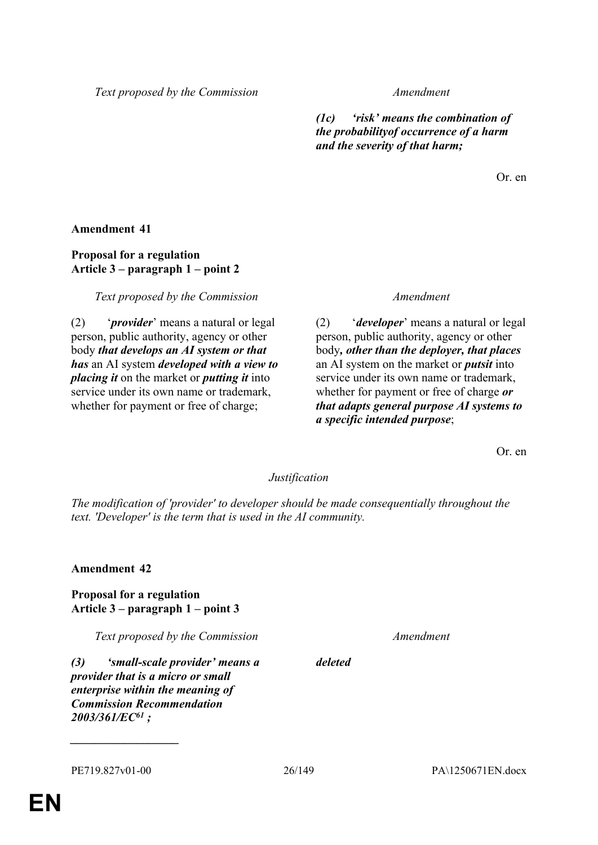*Text proposed by the Commission Amendment*

*(1c) 'risk' means the combination of the probabilityof occurrence of a harm and the severity of that harm;*

Or. en

**Amendment 41**

# **Proposal for a regulation Article 3 – paragraph 1 – point 2**

*Text proposed by the Commission Amendment*

(2) '*provider*' means a natural or legal person, public authority, agency or other body *that develops an AI system or that has* an AI system *developed with a view to placing it* on the market or *putting it* into service under its own name or trademark, whether for payment or free of charge;

(2) '*developer*' means a natural or legal person, public authority, agency or other body*, other than the deployer, that places* an AI system on the market or *putsit* into service under its own name or trademark, whether for payment or free of charge *or that adapts general purpose AI systems to a specific intended purpose*;

Or. en

### *Justification*

*The modification of 'provider' to developer should be made consequentially throughout the text. 'Developer' is the term that is used in the AI community.*

**Amendment 42**

**Proposal for a regulation Article 3 – paragraph 1 – point 3**

*Text proposed by the Commission Amendment*

*(3) 'small-scale provider' means a provider that is a micro or small enterprise within the meaning of Commission Recommendation 2003/361/EC<sup>61</sup> ;*

*deleted*

*\_\_\_\_\_\_\_\_\_\_\_\_\_\_\_\_\_\_*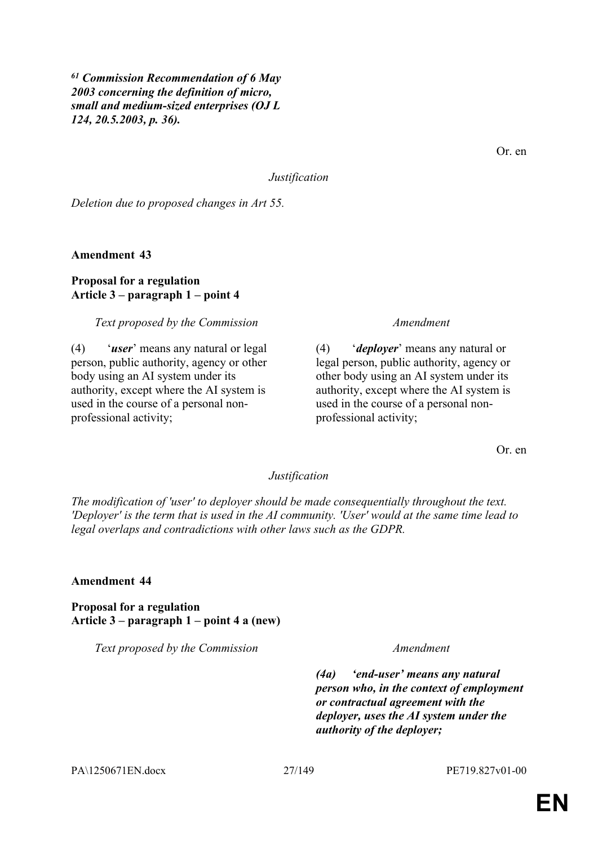*<sup>61</sup> Commission Recommendation of 6 May 2003 concerning the definition of micro, small and medium-sized enterprises (OJ L 124, 20.5.2003, p. 36).*

Or. en

*Justification*

*Deletion due to proposed changes in Art 55.*

**Amendment 43**

# **Proposal for a regulation Article 3 – paragraph 1 – point 4**

*Text proposed by the Commission Amendment*

(4) '*user*' means any natural or legal person, public authority, agency or other body using an AI system under its authority, except where the AI system is used in the course of a personal nonprofessional activity;

(4) '*deployer*' means any natural or legal person, public authority, agency or other body using an AI system under its authority, except where the AI system is used in the course of a personal nonprofessional activity;

Or. en

### *Justification*

*The modification of 'user' to deployer should be made consequentially throughout the text. 'Deployer' is the term that is used in the AI community. 'User' would at the same time lead to legal overlaps and contradictions with other laws such as the GDPR.*

### **Amendment 44**

**Proposal for a regulation Article 3 – paragraph 1 – point 4 a (new)**

*Text proposed by the Commission Amendment*

*(4a) 'end-user' means any natural person who, in the context of employment or contractual agreement with the deployer, uses the AI system under the authority of the deployer;*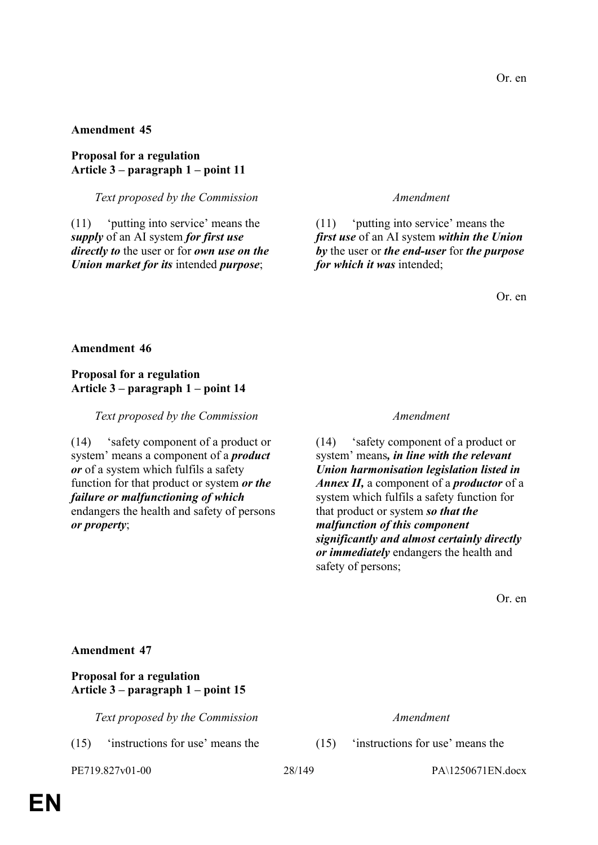**Proposal for a regulation Article 3 – paragraph 1 – point 11**

*Text proposed by the Commission Amendment*

(11) 'putting into service' means the *supply* of an AI system *for first use directly to* the user or for *own use on the Union market for its* intended *purpose*;

(11) 'putting into service' means the *first use* of an AI system *within the Union by* the user or *the end-user* for *the purpose for which it was* intended;

Or. en

### **Amendment 46**

### **Proposal for a regulation Article 3 – paragraph 1 – point 14**

*Text proposed by the Commission Amendment*

(14) 'safety component of a product or system' means a component of a *product or* of a system which fulfils a safety function for that product or system *or the failure or malfunctioning of which* endangers the health and safety of persons *or property*;

(14) 'safety component of a product or system' means*, in line with the relevant Union harmonisation legislation listed in Annex II,* a component of a *productor* of a system which fulfils a safety function for that product or system *so that the malfunction of this component significantly and almost certainly directly or immediately* endangers the health and safety of persons;

Or. en

# **Amendment 47**

# **Proposal for a regulation Article 3 – paragraph 1 – point 15**

*Text proposed by the Commission Amendment*

(15) 'instructions for use' means the (15) 'instructions for use' means the

PE719.827v01-00 28/149 PA\1250671EN.docx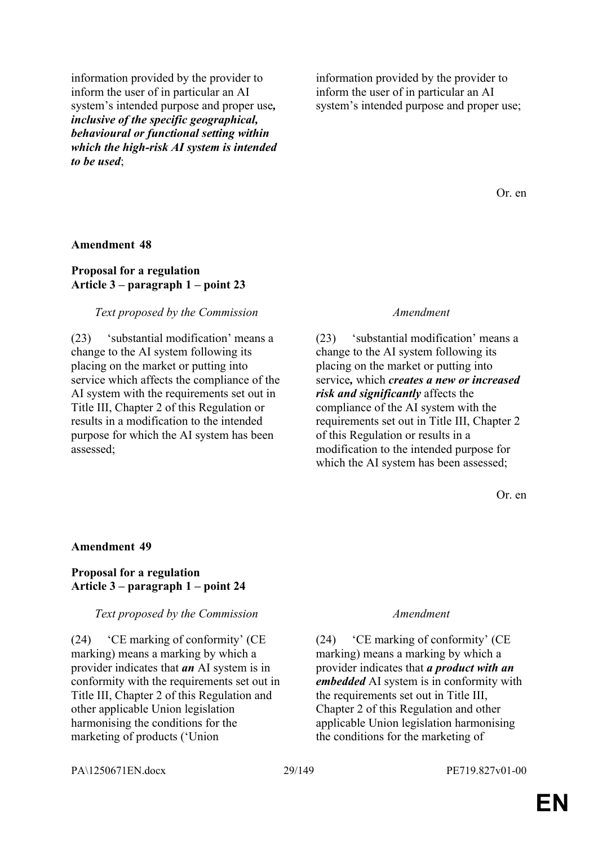information provided by the provider to inform the user of in particular an AI system's intended purpose and proper use*, inclusive of the specific geographical, behavioural or functional setting within which the high-risk AI system is intended to be used*;

information provided by the provider to inform the user of in particular an AI system's intended purpose and proper use;

Or. en

#### **Amendment 48**

## **Proposal for a regulation Article 3 – paragraph 1 – point 23**

#### *Text proposed by the Commission Amendment*

(23) 'substantial modification' means a change to the AI system following its placing on the market or putting into service which affects the compliance of the AI system with the requirements set out in Title III, Chapter 2 of this Regulation or results in a modification to the intended purpose for which the AI system has been assessed;

(23) 'substantial modification' means a change to the AI system following its placing on the market or putting into service*,* which *creates a new or increased risk and significantly* affects the compliance of the AI system with the requirements set out in Title III, Chapter 2 of this Regulation or results in a modification to the intended purpose for which the AI system has been assessed;

Or. en

#### **Amendment 49**

### **Proposal for a regulation Article 3 – paragraph 1 – point 24**

#### *Text proposed by the Commission Amendment*

(24) 'CE marking of conformity' (CE marking) means a marking by which a provider indicates that *an* AI system is in conformity with the requirements set out in Title III, Chapter 2 of this Regulation and other applicable Union legislation harmonising the conditions for the marketing of products ('Union

(24) 'CE marking of conformity' (CE marking) means a marking by which a provider indicates that *a product with an embedded* AI system is in conformity with the requirements set out in Title III, Chapter 2 of this Regulation and other applicable Union legislation harmonising the conditions for the marketing of

PA\1250671EN.docx 29/149 PE719.827v01-00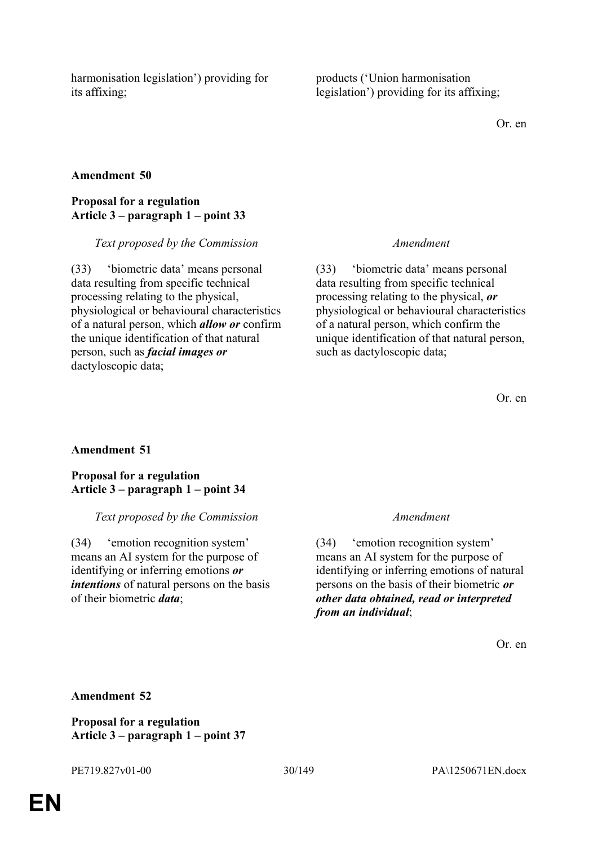harmonisation legislation') providing for its affixing;

products ('Union harmonisation legislation') providing for its affixing;

Or. en

# **Amendment 50**

### **Proposal for a regulation Article 3 – paragraph 1 – point 33**

*Text proposed by the Commission Amendment*

(33) 'biometric data' means personal data resulting from specific technical processing relating to the physical, physiological or behavioural characteristics of a natural person, which *allow or* confirm the unique identification of that natural person, such as *facial images or* dactyloscopic data;

(33) 'biometric data' means personal data resulting from specific technical processing relating to the physical, *or* physiological or behavioural characteristics of a natural person, which confirm the unique identification of that natural person, such as dactyloscopic data;

Or. en

# **Amendment 51**

**Proposal for a regulation Article 3 – paragraph 1 – point 34**

#### *Text proposed by the Commission Amendment*

(34) 'emotion recognition system' means an AI system for the purpose of identifying or inferring emotions *or intentions* of natural persons on the basis of their biometric *data*;

(34) 'emotion recognition system' means an AI system for the purpose of identifying or inferring emotions of natural persons on the basis of their biometric *or other data obtained, read or interpreted from an individual*;

Or. en

### **Amendment 52**

**Proposal for a regulation Article 3 – paragraph 1 – point 37**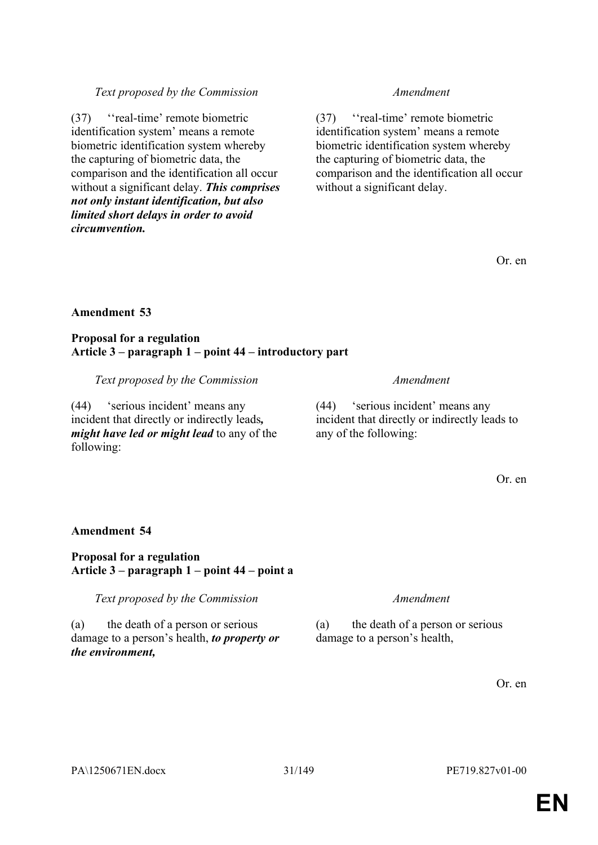# PA\1250671EN.docx 31/149 PE719.827v01-00

# *Text proposed by the Commission Amendment*

(37) ''real-time' remote biometric identification system' means a remote biometric identification system whereby the capturing of biometric data, the comparison and the identification all occur without a significant delay.

Or. en

# **Amendment 53**

*circumvention.*

# **Proposal for a regulation Article 3 – paragraph 1 – point 44 – introductory part**

*Text proposed by the Commission Amendment*

(37) ''real-time' remote biometric identification system' means a remote biometric identification system whereby the capturing of biometric data, the

comparison and the identification all occur without a significant delay. *This comprises not only instant identification, but also limited short delays in order to avoid* 

(44) 'serious incident' means any incident that directly or indirectly leads*, might have led or might lead* to any of the following:

(44) 'serious incident' means any incident that directly or indirectly leads to any of the following:

Or. en

**Amendment 54**

# **Proposal for a regulation Article 3 – paragraph 1 – point 44 – point a**

*Text proposed by the Commission Amendment*

(a) the death of a person or serious damage to a person's health, *to property or the environment,*

(a) the death of a person or serious damage to a person's health,

Or. en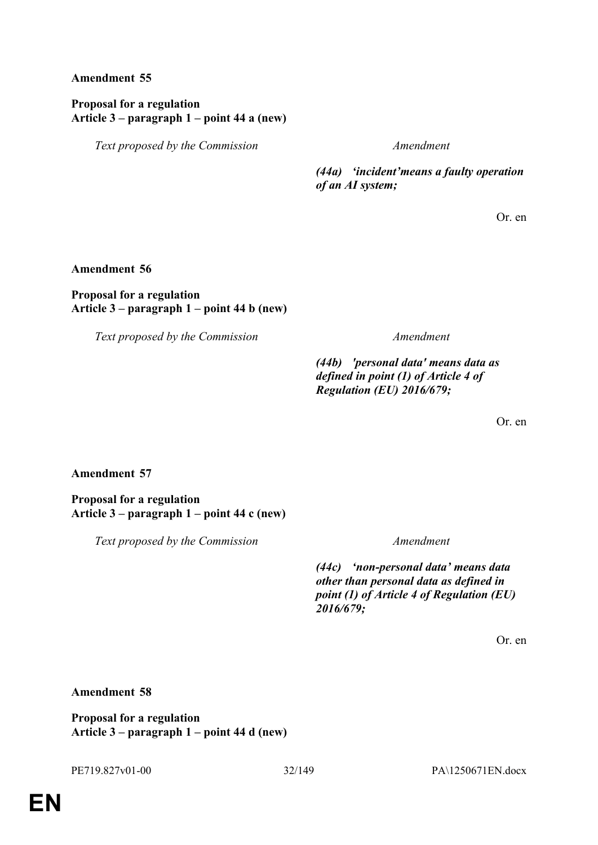# **Proposal for a regulation Article 3 – paragraph 1 – point 44 a (new)**

*Text proposed by the Commission Amendment*

*(44a) 'incident'means a faulty operation of an AI system;*

Or. en

### **Amendment 56**

### **Proposal for a regulation Article 3 – paragraph 1 – point 44 b (new)**

*Text proposed by the Commission Amendment*

*(44b) 'personal data' means data as defined in point (1) of Article 4 of Regulation (EU) 2016/679;*

Or. en

# **Amendment 57**

**Proposal for a regulation Article 3 – paragraph 1 – point 44 c (new)**

*Text proposed by the Commission Amendment*

*(44c) 'non-personal data' means data other than personal data as defined in point (1) of Article 4 of Regulation (EU) 2016/679;*

Or. en

# **Amendment 58**

**Proposal for a regulation Article 3 – paragraph 1 – point 44 d (new)**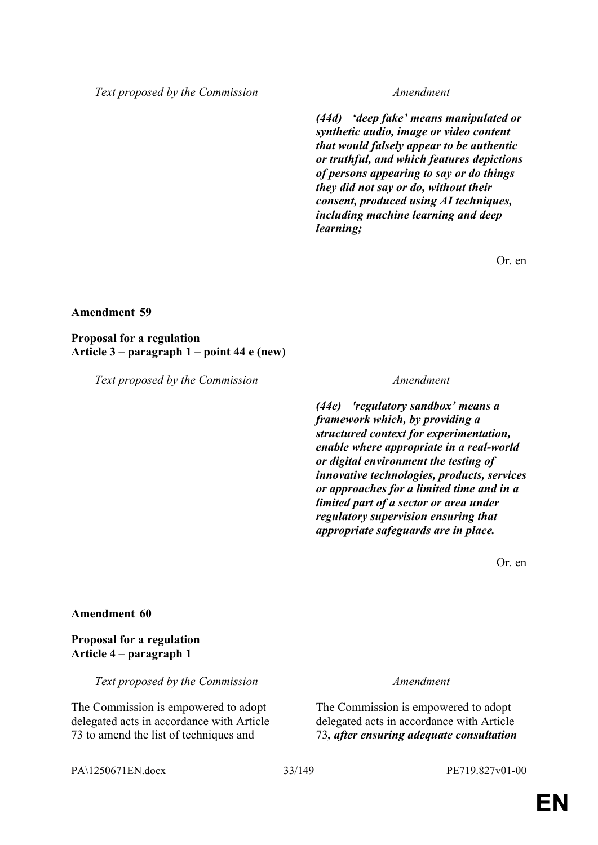*Text proposed by the Commission Amendment*

*(44d) 'deep fake' means manipulated or synthetic audio, image or video content that would falsely appear to be authentic or truthful, and which features depictions of persons appearing to say or do things they did not say or do, without their consent, produced using AI techniques, including machine learning and deep learning;*

Or. en

### **Amendment 59**

**Proposal for a regulation Article 3 – paragraph 1 – point 44 e (new)**

*Text proposed by the Commission Amendment*

*(44e) 'regulatory sandbox' means a framework which, by providing a structured context for experimentation, enable where appropriate in a real-world or digital environment the testing of innovative technologies, products, services or approaches for a limited time and in a limited part of a sector or area under regulatory supervision ensuring that appropriate safeguards are in place.*

Or. en

#### **Amendment 60**

# **Proposal for a regulation Article 4 – paragraph 1**

*Text proposed by the Commission Amendment*

The Commission is empowered to adopt delegated acts in accordance with Article 73 to amend the list of techniques and

The Commission is empowered to adopt delegated acts in accordance with Article 73*, after ensuring adequate consultation* 

PA\1250671EN.docx 33/149 PE719.827v01-00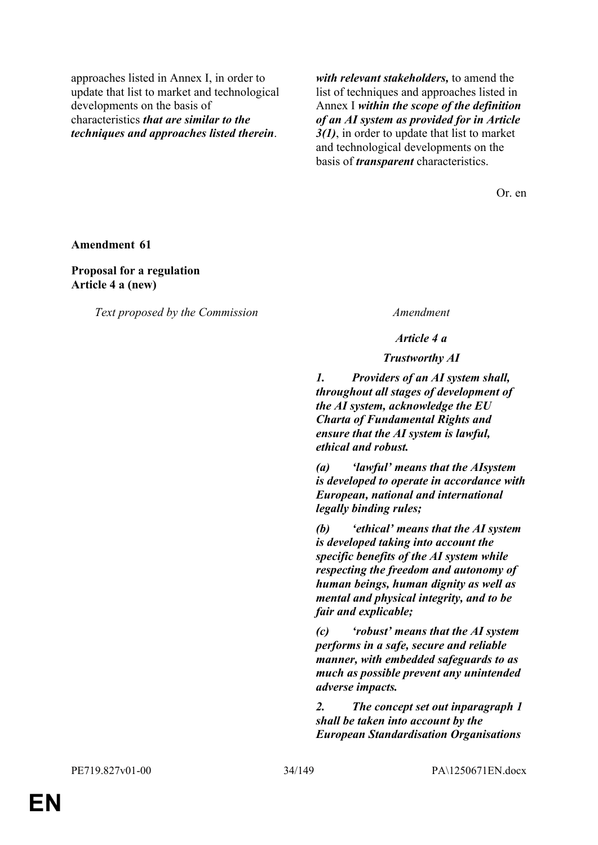approaches listed in Annex I, in order to update that list to market and technological developments on the basis of characteristics *that are similar to the techniques and approaches listed therein*.

*with relevant stakeholders,* to amend the list of techniques and approaches listed in Annex I *within the scope of the definition of an AI system as provided for in Article 3(1)*, in order to update that list to market and technological developments on the basis of *transparent* characteristics.

Or. en

**Amendment 61**

**Proposal for a regulation Article 4 a (new)**

*Text proposed by the Commission Amendment*

*Article 4 a*

*Trustworthy AI*

*1. Providers of an AI system shall, throughout all stages of development of the AI system, acknowledge the EU Charta of Fundamental Rights and ensure that the AI system is lawful, ethical and robust.*

*(a) 'lawful' means that the AIsystem is developed to operate in accordance with European, national and international legally binding rules;*

*(b) 'ethical' means that the AI system is developed taking into account the specific benefits of the AI system while respecting the freedom and autonomy of human beings, human dignity as well as mental and physical integrity, and to be fair and explicable;*

*(c) 'robust' means that the AI system performs in a safe, secure and reliable manner, with embedded safeguards to as much as possible prevent any unintended adverse impacts.*

*2. The concept set out inparagraph 1 shall be taken into account by the European Standardisation Organisations*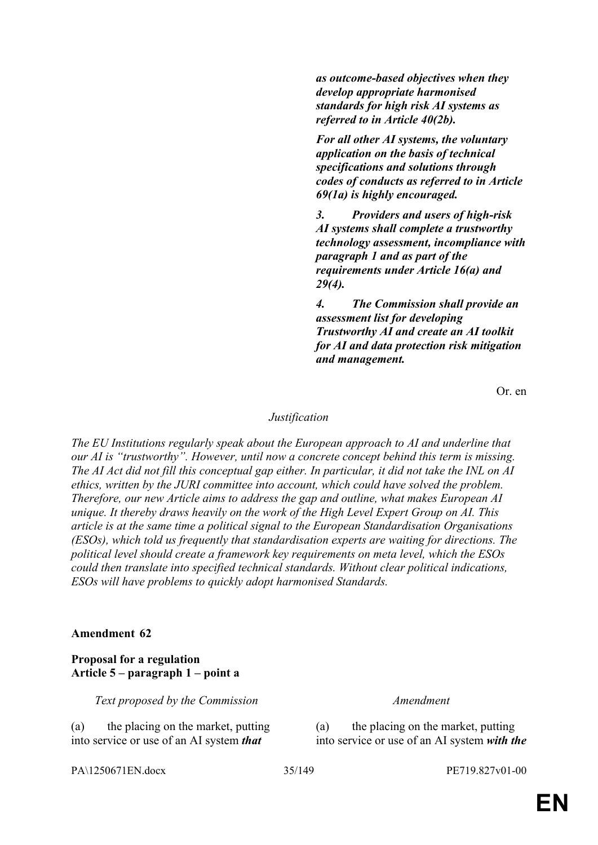*as outcome-based objectives when they develop appropriate harmonised standards for high risk AI systems as referred to in Article 40(2b).*

*For all other AI systems, the voluntary application on the basis of technical specifications and solutions through codes of conducts as referred to in Article 69(1a) is highly encouraged.*

*3. Providers and users of high-risk AI systems shall complete a trustworthy technology assessment, incompliance with paragraph 1 and as part of the requirements under Article 16(a) and 29(4).*

*4. The Commission shall provide an assessment list for developing Trustworthy AI and create an AI toolkit for AI and data protection risk mitigation and management.*

Or. en

#### *Justification*

*The EU Institutions regularly speak about the European approach to AI and underline that our AI is "trustworthy". However, until now a concrete concept behind this term is missing. The AI Act did not fill this conceptual gap either. In particular, it did not take the INL on AI ethics, written by the JURI committee into account, which could have solved the problem. Therefore, our new Article aims to address the gap and outline, what makes European AI unique. It thereby draws heavily on the work of the High Level Expert Group on AI. This article is at the same time a political signal to the European Standardisation Organisations (ESOs), which told us frequently that standardisation experts are waiting for directions. The political level should create a framework key requirements on meta level, which the ESOs could then translate into specified technical standards. Without clear political indications, ESOs will have problems to quickly adopt harmonised Standards.*

#### **Amendment 62**

# **Proposal for a regulation Article 5 – paragraph 1 – point a**

*Text proposed by the Commission Amendment*

(a) the placing on the market, putting into service or use of an AI system *that* 

(a) the placing on the market, putting into service or use of an AI system *with the* 

PA\1250671EN.docx 35/149 PE719.827v01-00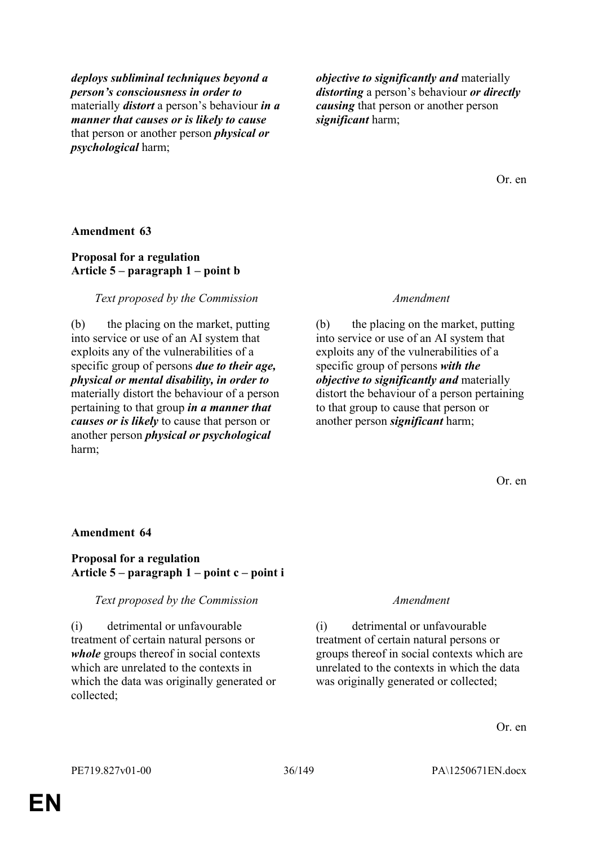*deploys subliminal techniques beyond a person's consciousness in order to* materially *distort* a person's behaviour *in a manner that causes or is likely to cause* that person or another person *physical or psychological* harm;

*objective to significantly and* materially *distorting* a person's behaviour *or directly causing* that person or another person *significant* harm;

Or. en

#### **Amendment 63**

## **Proposal for a regulation Article 5 – paragraph 1 – point b**

#### *Text proposed by the Commission Amendment*

(b) the placing on the market, putting into service or use of an AI system that exploits any of the vulnerabilities of a specific group of persons *due to their age, physical or mental disability, in order to* materially distort the behaviour of a person pertaining to that group *in a manner that causes or is likely* to cause that person or another person *physical or psychological* harm;

(b) the placing on the market, putting into service or use of an AI system that exploits any of the vulnerabilities of a specific group of persons *with the objective to significantly and* materially distort the behaviour of a person pertaining to that group to cause that person or another person *significant* harm;

Or. en

#### **Amendment 64**

### **Proposal for a regulation Article 5 – paragraph 1 – point c – point i**

#### *Text proposed by the Commission Amendment*

(i) detrimental or unfavourable treatment of certain natural persons or *whole* groups thereof in social contexts which are unrelated to the contexts in which the data was originally generated or collected;

(i) detrimental or unfavourable treatment of certain natural persons or groups thereof in social contexts which are unrelated to the contexts in which the data was originally generated or collected;

Or. en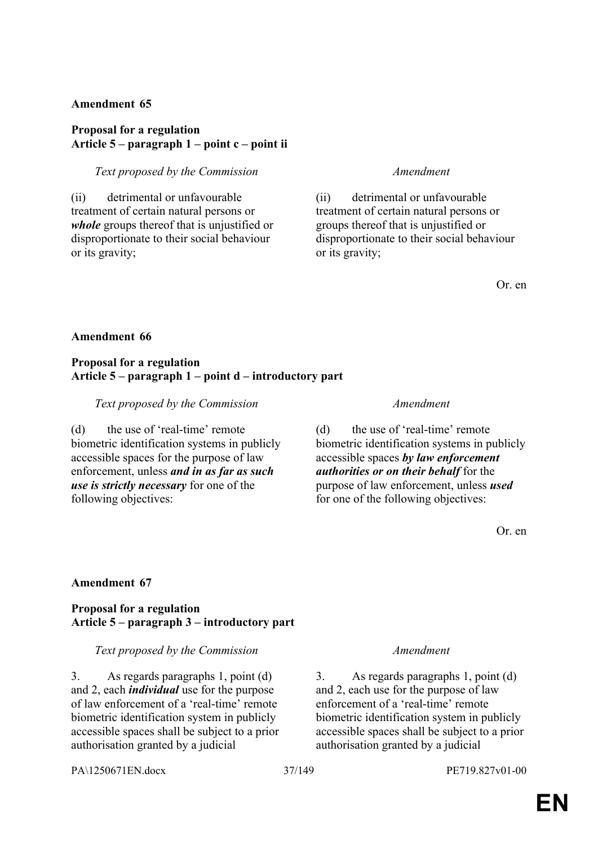### **Proposal for a regulation Article 5 – paragraph 1 – point c – point ii**

### *Text proposed by the Commission Amendment*

(ii) detrimental or unfavourable treatment of certain natural persons or *whole* groups thereof that is unjustified or disproportionate to their social behaviour or its gravity;

(ii) detrimental or unfavourable treatment of certain natural persons or groups thereof that is unjustified or disproportionate to their social behaviour or its gravity;

Or. en

### **Amendment 66**

#### **Proposal for a regulation Article 5 – paragraph 1 – point d – introductory part**

*Text proposed by the Commission Amendment*

(d) the use of 'real-time' remote biometric identification systems in publicly accessible spaces for the purpose of law enforcement, unless *and in as far as such use is strictly necessary* for one of the following objectives:

(d) the use of 'real-time' remote biometric identification systems in publicly accessible spaces *by law enforcement authorities or on their behalf* for the purpose of law enforcement, unless *used* for one of the following objectives:

Or. en

### **Amendment 67**

### **Proposal for a regulation Article 5 – paragraph 3 – introductory part**

#### *Text proposed by the Commission Amendment*

3. As regards paragraphs 1, point (d) and 2, each *individual* use for the purpose of law enforcement of a 'real-time' remote biometric identification system in publicly accessible spaces shall be subject to a prior authorisation granted by a judicial

3. As regards paragraphs 1, point (d) and 2, each use for the purpose of law enforcement of a 'real-time' remote biometric identification system in publicly accessible spaces shall be subject to a prior authorisation granted by a judicial

PA\1250671EN.docx 37/149 PE719.827v01-00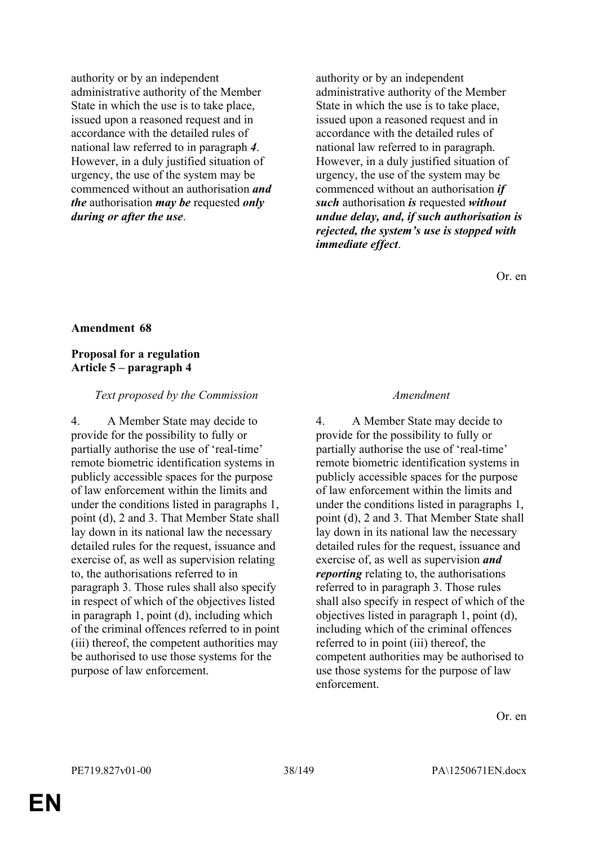authority or by an independent administrative authority of the Member State in which the use is to take place, issued upon a reasoned request and in accordance with the detailed rules of national law referred to in paragraph *4*. However, in a duly justified situation of urgency, the use of the system may be commenced without an authorisation *and the* authorisation *may be* requested *only during or after the use*.

authority or by an independent administrative authority of the Member State in which the use is to take place, issued upon a reasoned request and in accordance with the detailed rules of national law referred to in paragraph. However, in a duly justified situation of urgency, the use of the system may be commenced without an authorisation *if such* authorisation *is* requested *without undue delay, and, if such authorisation is rejected, the system's use is stopped with immediate effect*.

Or. en

### **Amendment 68**

### **Proposal for a regulation Article 5 – paragraph 4**

#### *Text proposed by the Commission Amendment*

4. A Member State may decide to provide for the possibility to fully or partially authorise the use of 'real-time' remote biometric identification systems in publicly accessible spaces for the purpose of law enforcement within the limits and under the conditions listed in paragraphs 1, point (d), 2 and 3. That Member State shall lay down in its national law the necessary detailed rules for the request, issuance and exercise of, as well as supervision relating to, the authorisations referred to in paragraph 3. Those rules shall also specify in respect of which of the objectives listed in paragraph 1, point (d), including which of the criminal offences referred to in point (iii) thereof, the competent authorities may be authorised to use those systems for the purpose of law enforcement.

4. A Member State may decide to provide for the possibility to fully or partially authorise the use of 'real-time' remote biometric identification systems in publicly accessible spaces for the purpose of law enforcement within the limits and under the conditions listed in paragraphs 1, point (d), 2 and 3. That Member State shall lay down in its national law the necessary detailed rules for the request, issuance and exercise of, as well as supervision *and reporting* relating to, the authorisations referred to in paragraph 3. Those rules shall also specify in respect of which of the objectives listed in paragraph 1, point (d), including which of the criminal offences referred to in point (iii) thereof, the competent authorities may be authorised to use those systems for the purpose of law enforcement.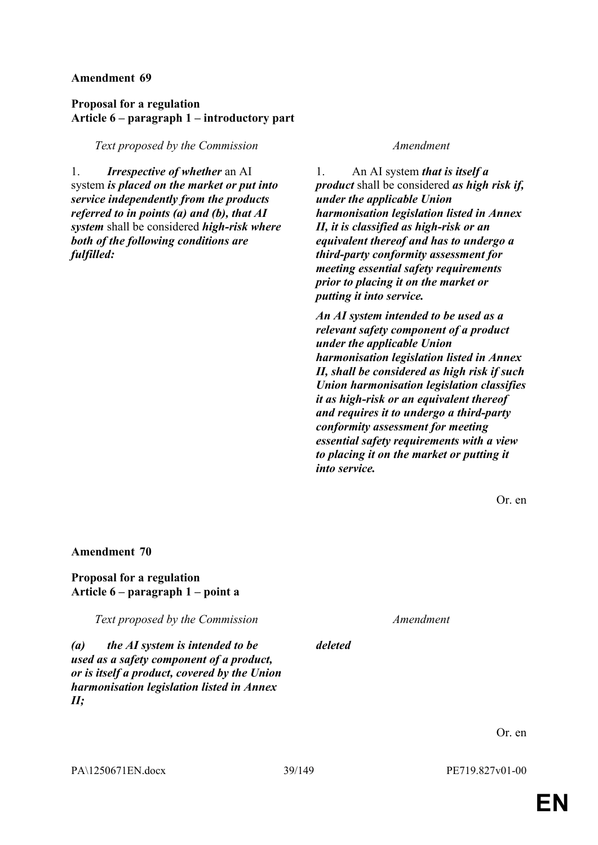# **Proposal for a regulation Article 6 – paragraph 1 – introductory part**

*Text proposed by the Commission Amendment*

1. *Irrespective of whether* an AI system *is placed on the market or put into service independently from the products referred to in points (a) and (b), that AI system* shall be considered *high-risk where both of the following conditions are fulfilled:*

1. An AI system *that is itself a product* shall be considered *as high risk if, under the applicable Union harmonisation legislation listed in Annex II, it is classified as high-risk or an equivalent thereof and has to undergo a third-party conformity assessment for meeting essential safety requirements prior to placing it on the market or putting it into service.*

*An AI system intended to be used as a relevant safety component of a product under the applicable Union harmonisation legislation listed in Annex II, shall be considered as high risk if such Union harmonisation legislation classifies it as high-risk or an equivalent thereof and requires it to undergo a third-party conformity assessment for meeting essential safety requirements with a view to placing it on the market or putting it into service.*

Or. en

### **Amendment 70**

### **Proposal for a regulation Article 6 – paragraph 1 – point a**

*Text proposed by the Commission Amendment*

*deleted*

*(a) the AI system is intended to be used as a safety component of a product, or is itself a product, covered by the Union harmonisation legislation listed in Annex II;*

Or. en

PA\1250671EN.docx 39/149 PE719.827v01-00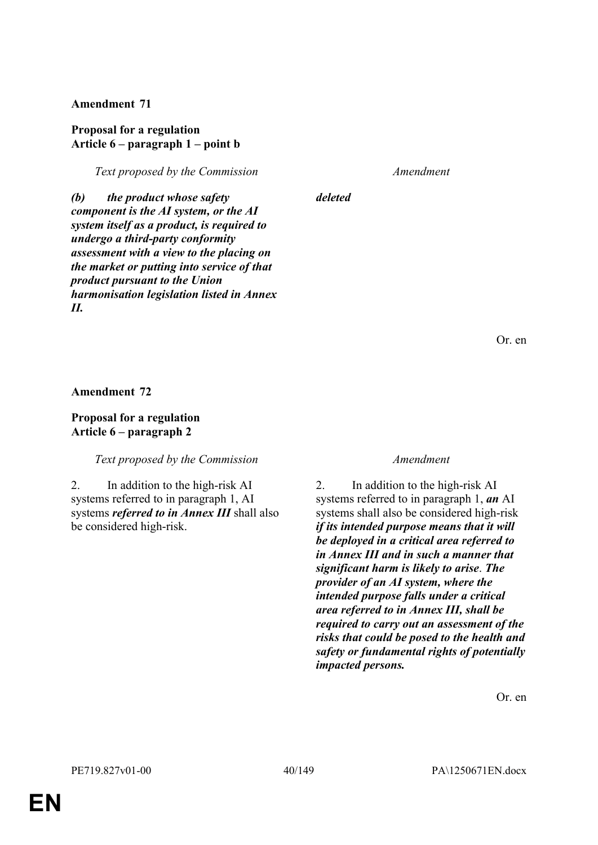### **Proposal for a regulation Article 6 – paragraph 1 – point b**

*Text proposed by the Commission Amendment*

*deleted*

*(b) the product whose safety component is the AI system, or the AI system itself as a product, is required to undergo a third-party conformity assessment with a view to the placing on the market or putting into service of that product pursuant to the Union harmonisation legislation listed in Annex II.*

Or. en

**Amendment 72**

**Proposal for a regulation Article 6 – paragraph 2**

*Text proposed by the Commission Amendment*

2. In addition to the high-risk AI systems referred to in paragraph 1, AI systems *referred to in Annex III* shall also be considered high-risk.

2. In addition to the high-risk AI systems referred to in paragraph 1, *an* AI systems shall also be considered high-risk *if its intended purpose means that it will be deployed in a critical area referred to in Annex III and in such a manner that significant harm is likely to arise*. *The provider of an AI system, where the intended purpose falls under a critical area referred to in Annex III, shall be required to carry out an assessment of the risks that could be posed to the health and safety or fundamental rights of potentially impacted persons.*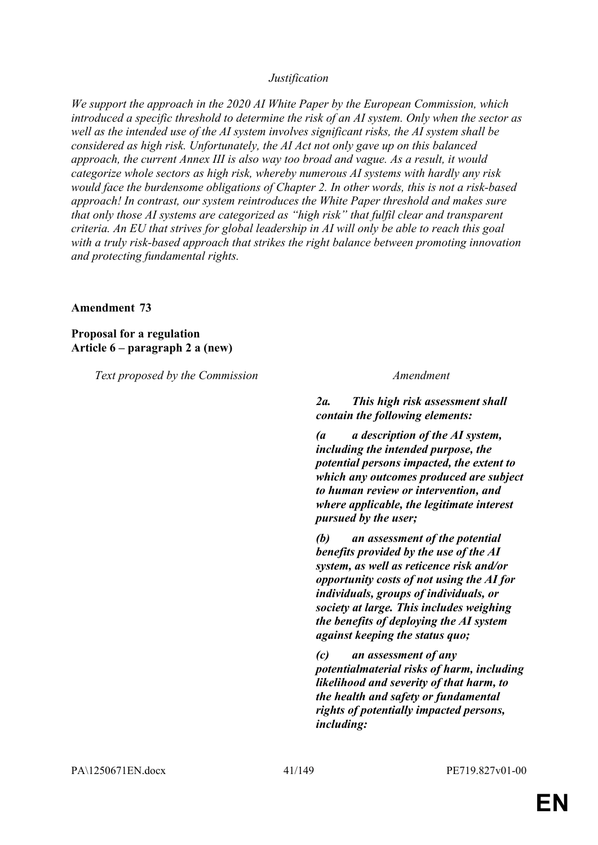### *Justification*

*We support the approach in the 2020 AI White Paper by the European Commission, which introduced a specific threshold to determine the risk of an AI system. Only when the sector as well as the intended use of the AI system involves significant risks, the AI system shall be considered as high risk. Unfortunately, the AI Act not only gave up on this balanced approach, the current Annex III is also way too broad and vague. As a result, it would categorize whole sectors as high risk, whereby numerous AI systems with hardly any risk would face the burdensome obligations of Chapter 2. In other words, this is not a risk-based approach! In contrast, our system reintroduces the White Paper threshold and makes sure that only those AI systems are categorized as "high risk" that fulfil clear and transparent criteria. An EU that strives for global leadership in AI will only be able to reach this goal with a truly risk-based approach that strikes the right balance between promoting innovation and protecting fundamental rights.*

#### **Amendment 73**

**Proposal for a regulation Article 6 – paragraph 2 a (new)**

*Text proposed by the Commission Amendment*

*2a. This high risk assessment shall contain the following elements:*

*(a a description of the AI system, including the intended purpose, the potential persons impacted, the extent to which any outcomes produced are subject to human review or intervention, and where applicable, the legitimate interest pursued by the user;*

*(b) an assessment of the potential benefits provided by the use of the AI system, as well as reticence risk and/or opportunity costs of not using the AI for individuals, groups of individuals, or society at large. This includes weighing the benefits of deploying the AI system against keeping the status quo;*

*(c) an assessment of any potentialmaterial risks of harm, including likelihood and severity of that harm, to the health and safety or fundamental rights of potentially impacted persons, including:*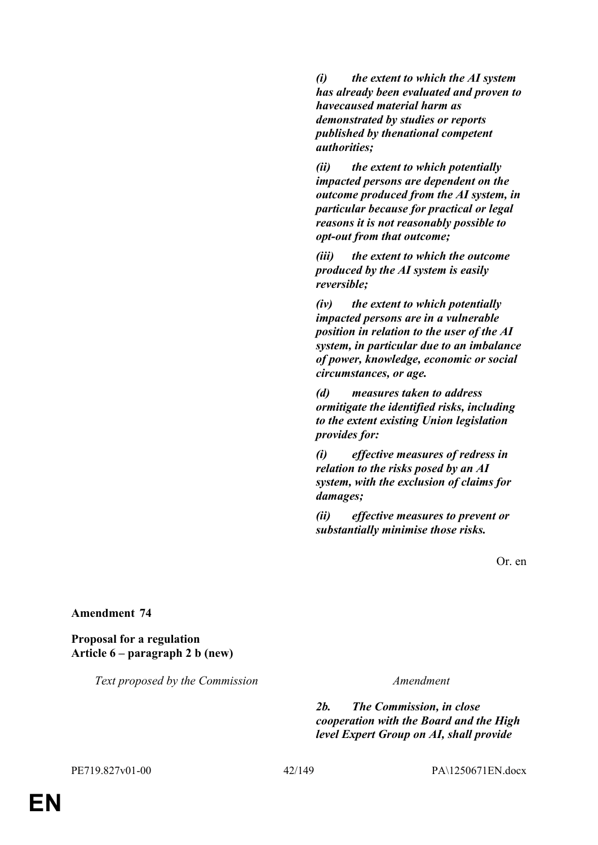*(i) the extent to which the AI system has already been evaluated and proven to havecaused material harm as demonstrated by studies or reports published by thenational competent authorities;*

*(ii) the extent to which potentially impacted persons are dependent on the outcome produced from the AI system, in particular because for practical or legal reasons it is not reasonably possible to opt-out from that outcome;*

*(iii) the extent to which the outcome produced by the AI system is easily reversible;*

*(iv) the extent to which potentially impacted persons are in a vulnerable position in relation to the user of the AI system, in particular due to an imbalance of power, knowledge, economic or social circumstances, or age.*

*(d) measures taken to address ormitigate the identified risks, including to the extent existing Union legislation provides for:*

*(i) effective measures of redress in relation to the risks posed by an AI system, with the exclusion of claims for damages;*

*(ii) effective measures to prevent or substantially minimise those risks.*

Or. en

**Amendment 74**

**Proposal for a regulation Article 6 – paragraph 2 b (new)**

*Text proposed by the Commission Amendment*

*2b. The Commission, in close cooperation with the Board and the High level Expert Group on AI, shall provide*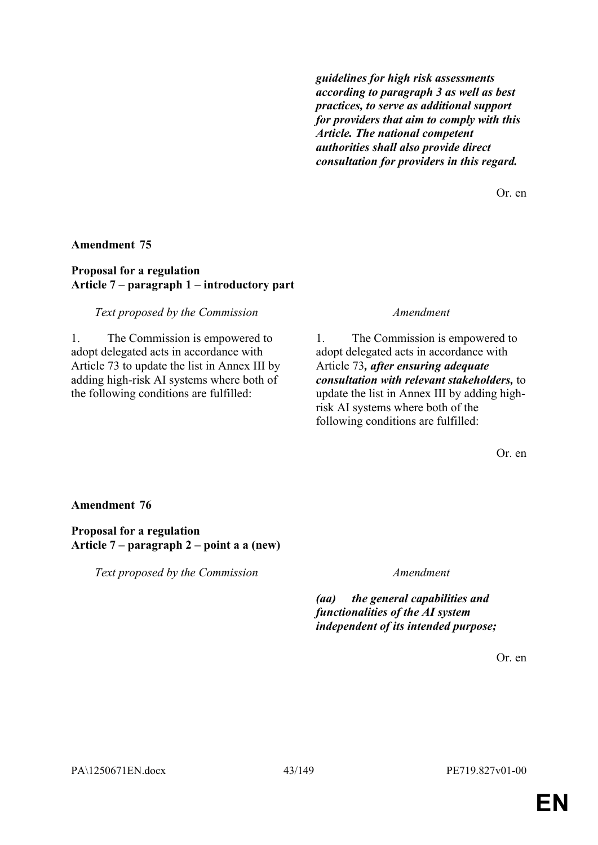*guidelines for high risk assessments according to paragraph 3 as well as best practices, to serve as additional support for providers that aim to comply with this Article. The national competent authorities shall also provide direct consultation for providers in this regard.*

Or. en

### **Amendment 75**

### **Proposal for a regulation Article 7 – paragraph 1 – introductory part**

### *Text proposed by the Commission Amendment*

1. The Commission is empowered to adopt delegated acts in accordance with Article 73 to update the list in Annex III by adding high-risk AI systems where both of the following conditions are fulfilled:

1. The Commission is empowered to adopt delegated acts in accordance with Article 73*, after ensuring adequate consultation with relevant stakeholders,* to update the list in Annex III by adding highrisk AI systems where both of the following conditions are fulfilled:

Or. en

### **Amendment 76**

### **Proposal for a regulation Article 7 – paragraph 2 – point a a (new)**

*Text proposed by the Commission Amendment*

*(aa) the general capabilities and functionalities of the AI system independent of its intended purpose;*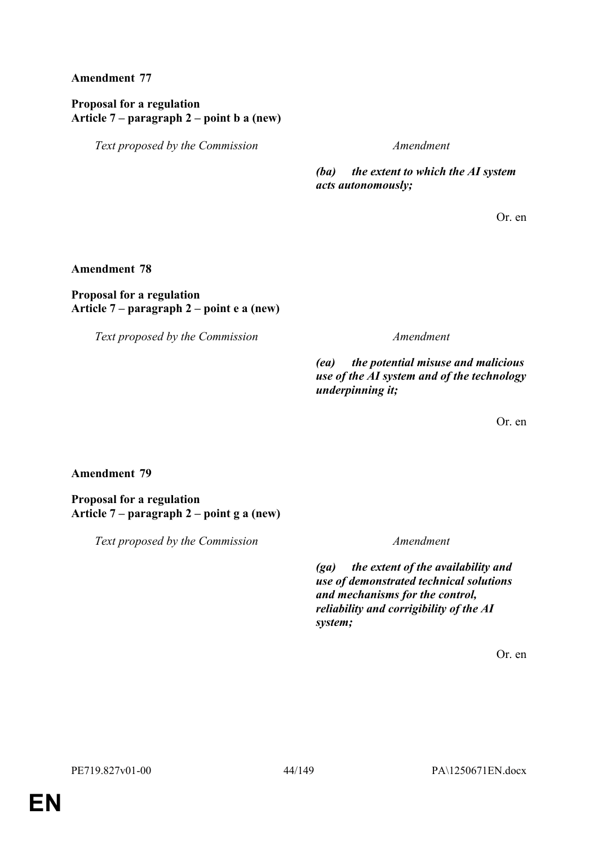# **Proposal for a regulation Article 7 – paragraph 2 – point b a (new)**

*Text proposed by the Commission Amendment*

*(ba) the extent to which the AI system acts autonomously;*

Or. en

### **Amendment 78**

### **Proposal for a regulation Article 7 – paragraph 2 – point e a (new)**

*Text proposed by the Commission Amendment*

*(ea) the potential misuse and malicious use of the AI system and of the technology underpinning it;*

Or. en

# **Amendment 79**

**Proposal for a regulation Article 7 – paragraph 2 – point g a (new)**

*Text proposed by the Commission Amendment*

*(ga) the extent of the availability and use of demonstrated technical solutions and mechanisms for the control, reliability and corrigibility of the AI system;*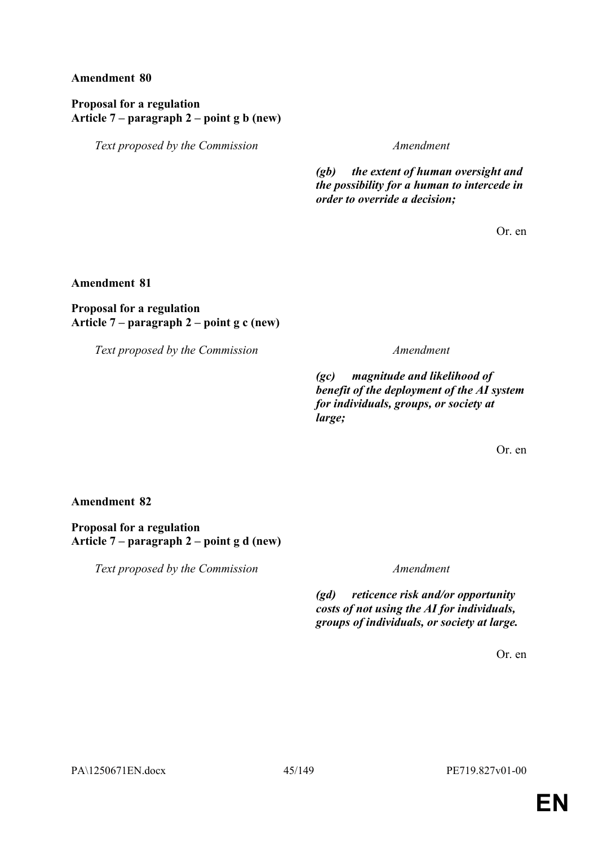# **Proposal for a regulation Article 7 – paragraph 2 – point g b (new)**

*Text proposed by the Commission Amendment*

*(gb) the extent of human oversight and the possibility for a human to intercede in order to override a decision;*

Or. en

**Amendment 81**

# **Proposal for a regulation Article 7 – paragraph 2 – point g c (new)**

*Text proposed by the Commission Amendment*

*(gc) magnitude and likelihood of benefit of the deployment of the AI system for individuals, groups, or society at large;*

Or. en

# **Amendment 82**

**Proposal for a regulation Article 7 – paragraph 2 – point g d (new)**

*Text proposed by the Commission Amendment*

*(gd) reticence risk and/or opportunity costs of not using the AI for individuals, groups of individuals, or society at large.*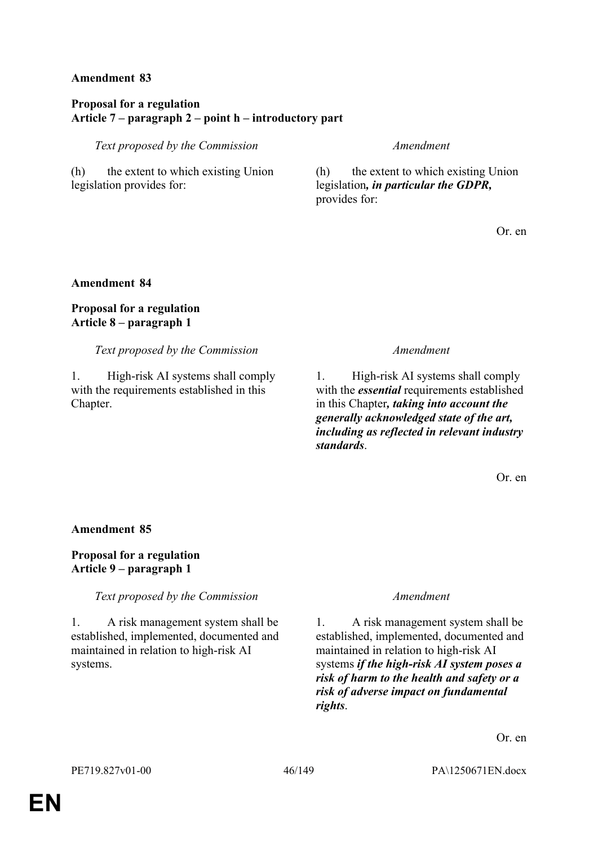# **Proposal for a regulation Article 7 – paragraph 2 – point h – introductory part**

*Text proposed by the Commission Amendment*

(h) the extent to which existing Union legislation provides for:

(h) the extent to which existing Union legislation*, in particular the GDPR,* provides for:

Or. en

# **Amendment 84**

# **Proposal for a regulation Article 8 – paragraph 1**

*Text proposed by the Commission Amendment*

1. High-risk AI systems shall comply with the requirements established in this Chapter.

1. High-risk AI systems shall comply with the *essential* requirements established in this Chapter*, taking into account the generally acknowledged state of the art, including as reflected in relevant industry standards*.

Or. en

# **Amendment 85**

# **Proposal for a regulation Article 9 – paragraph 1**

*Text proposed by the Commission Amendment*

1. A risk management system shall be established, implemented, documented and maintained in relation to high-risk AI systems.

1. A risk management system shall be established, implemented, documented and maintained in relation to high-risk AI systems *if the high-risk AI system poses a risk of harm to the health and safety or a risk of adverse impact on fundamental rights*.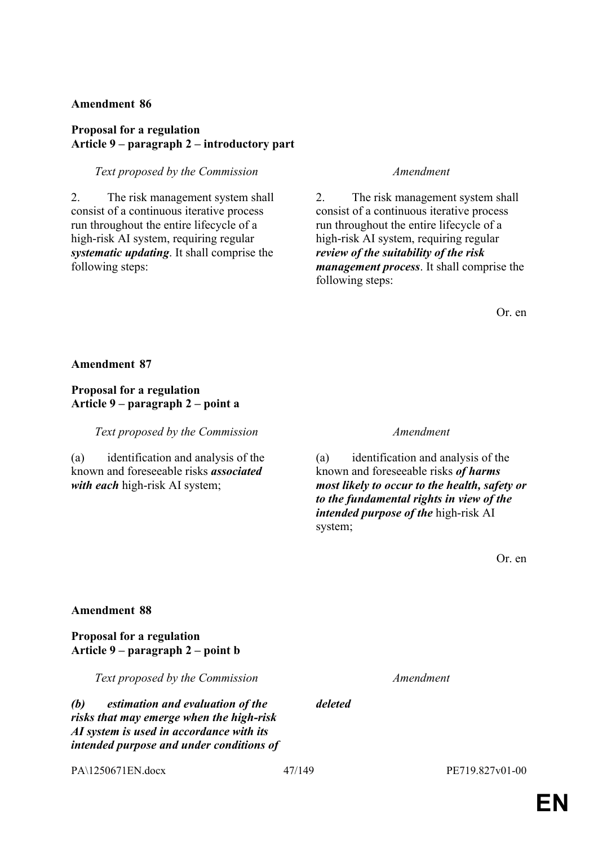# **Proposal for a regulation Article 9 – paragraph 2 – introductory part**

### *Text proposed by the Commission Amendment*

2. The risk management system shall consist of a continuous iterative process run throughout the entire lifecycle of a high-risk AI system, requiring regular *systematic updating*. It shall comprise the following steps:

2. The risk management system shall consist of a continuous iterative process run throughout the entire lifecycle of a high-risk AI system, requiring regular *review of the suitability of the risk management process*. It shall comprise the following steps:

Or. en

**Amendment 87**

# **Proposal for a regulation Article 9 – paragraph 2 – point a**

*Text proposed by the Commission Amendment*

(a) identification and analysis of the known and foreseeable risks *associated with each* high-risk AI system;

(a) identification and analysis of the known and foreseeable risks *of harms most likely to occur to the health, safety or to the fundamental rights in view of the intended purpose of the* high-risk AI system;

Or. en

# **Amendment 88**

### **Proposal for a regulation Article 9 – paragraph 2 – point b**

*Text proposed by the Commission Amendment*

*(b) estimation and evaluation of the risks that may emerge when the high-risk AI system is used in accordance with its intended purpose and under conditions of* 

PA\1250671EN.docx 47/149 PE719.827v01-00

*deleted*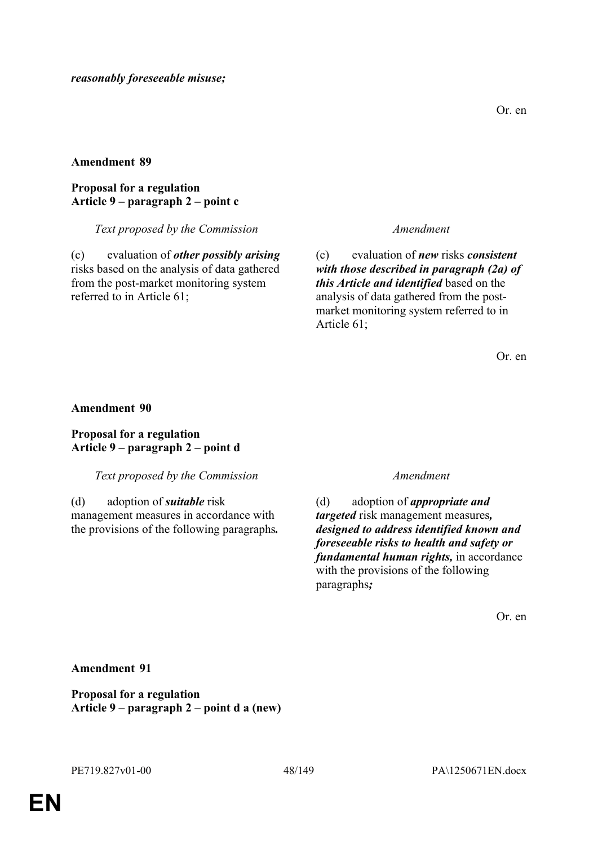### **Proposal for a regulation Article 9 – paragraph 2 – point c**

### *Text proposed by the Commission Amendment*

(c) evaluation of *other possibly arising* risks based on the analysis of data gathered from the post-market monitoring system referred to in Article 61;

(c) evaluation of *new* risks *consistent with those described in paragraph (2a) of this Article and identified* based on the analysis of data gathered from the postmarket monitoring system referred to in Article 61;

Or. en

### **Amendment 90**

### **Proposal for a regulation Article 9 – paragraph 2 – point d**

### *Text proposed by the Commission Amendment*

(d) adoption of *suitable* risk management measures in accordance with the provisions of the following paragraphs*.*

(d) adoption of *appropriate and targeted* risk management measures*, designed to address identified known and foreseeable risks to health and safety or fundamental human rights,* in accordance with the provisions of the following paragraphs*;*

Or. en

### **Amendment 91**

**Proposal for a regulation Article 9 – paragraph 2 – point d a (new)**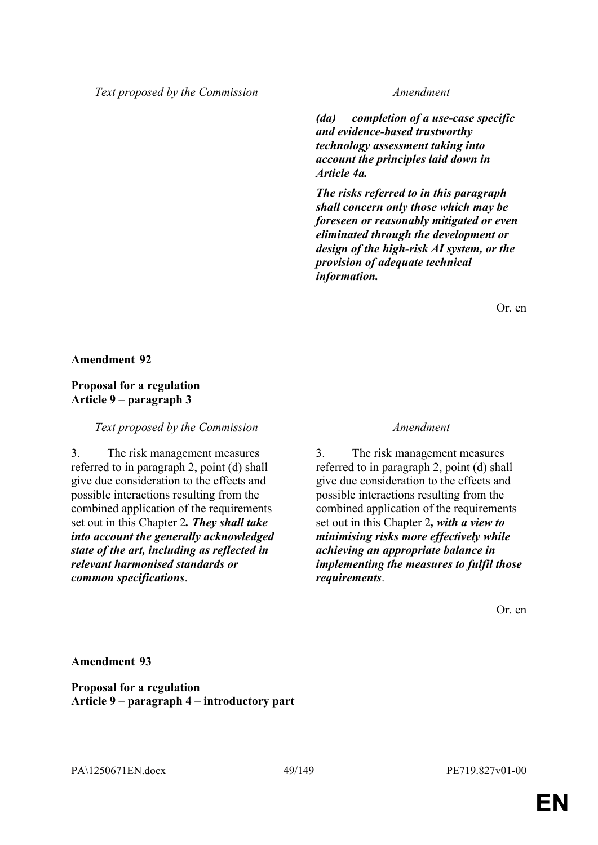*Text proposed by the Commission Amendment*

*(da) completion of a use-case specific and evidence-based trustworthy technology assessment taking into account the principles laid down in Article 4a.*

*The risks referred to in this paragraph shall concern only those which may be foreseen or reasonably mitigated or even eliminated through the development or design of the high-risk AI system, or the provision of adequate technical information.*

Or. en

### **Amendment 92**

### **Proposal for a regulation Article 9 – paragraph 3**

*Text proposed by the Commission Amendment*

3. The risk management measures referred to in paragraph 2, point (d) shall give due consideration to the effects and possible interactions resulting from the combined application of the requirements set out in this Chapter 2*. They shall take into account the generally acknowledged state of the art, including as reflected in relevant harmonised standards or common specifications*.

3. The risk management measures referred to in paragraph 2, point (d) shall give due consideration to the effects and possible interactions resulting from the combined application of the requirements set out in this Chapter 2*, with a view to minimising risks more effectively while achieving an appropriate balance in implementing the measures to fulfil those requirements*.

Or. en

**Amendment 93**

**Proposal for a regulation Article 9 – paragraph 4 – introductory part**

PA\1250671EN.docx 49/149 PE719.827v01-00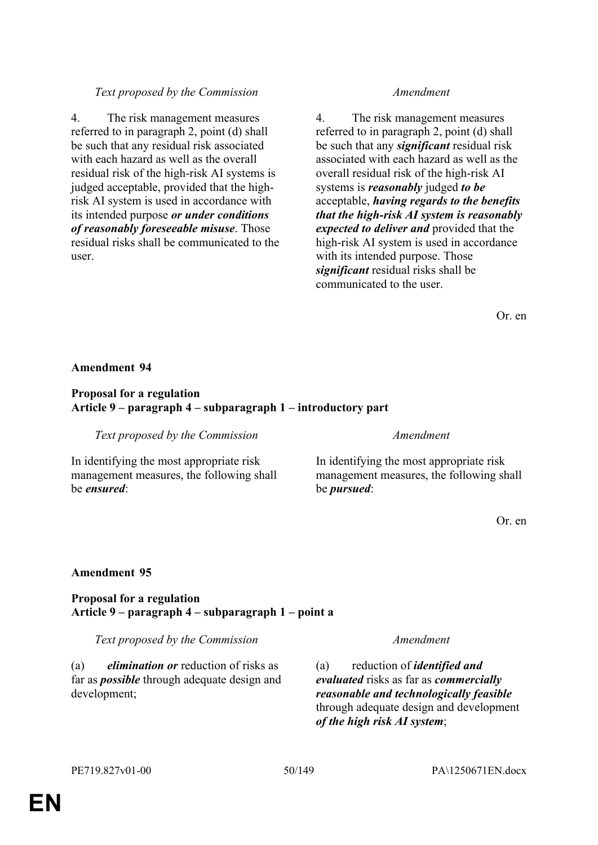# 4. The risk management measures

referred to in paragraph 2, point (d) shall be such that any residual risk associated with each hazard as well as the overall residual risk of the high-risk AI systems is judged acceptable, provided that the highrisk AI system is used in accordance with its intended purpose *or under conditions of reasonably foreseeable misuse*. Those residual risks shall be communicated to the user.

# *Text proposed by the Commission Amendment*

4. The risk management measures referred to in paragraph 2, point (d) shall be such that any *significant* residual risk associated with each hazard as well as the overall residual risk of the high-risk AI systems is *reasonably* judged *to be* acceptable, *having regards to the benefits that the high-risk AI system is reasonably expected to deliver and* provided that the high-risk AI system is used in accordance with its intended purpose. Those *significant* residual risks shall be communicated to the user.

Or. en

#### **Amendment 94**

### **Proposal for a regulation Article 9 – paragraph 4 – subparagraph 1 – introductory part**

*Text proposed by the Commission Amendment*

In identifying the most appropriate risk management measures, the following shall be *ensured*:

In identifying the most appropriate risk management measures, the following shall be *pursued*:

Or. en

#### **Amendment 95**

### **Proposal for a regulation Article 9 – paragraph 4 – subparagraph 1 – point a**

*Text proposed by the Commission Amendment*

(a) *elimination or* reduction of risks as far as *possible* through adequate design and development;

(a) reduction of *identified and evaluated* risks as far as *commercially reasonable and technologically feasible* through adequate design and development *of the high risk AI system*;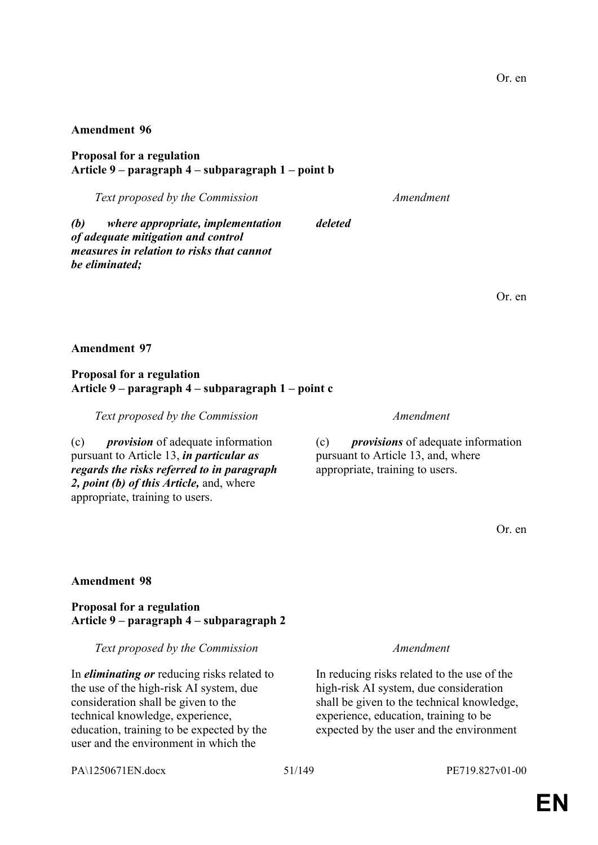**Proposal for a regulation Article 9 – paragraph 4 – subparagraph 1 – point b**

*Text proposed by the Commission Amendment*

*(b) where appropriate, implementation of adequate mitigation and control measures in relation to risks that cannot be eliminated;*

Or. en

### **Amendment 97**

### **Proposal for a regulation Article 9 – paragraph 4 – subparagraph 1 – point c**

*Text proposed by the Commission Amendment*

(c) *provision* of adequate information pursuant to Article 13, *in particular as regards the risks referred to in paragraph 2, point (b) of this Article,* and, where appropriate, training to users.

*deleted*

(c) *provisions* of adequate information pursuant to Article 13, and, where appropriate, training to users.

Or. en

### **Amendment 98**

**Proposal for a regulation Article 9 – paragraph 4 – subparagraph 2**

*Text proposed by the Commission Amendment*

In *eliminating or* reducing risks related to the use of the high-risk AI system, due consideration shall be given to the technical knowledge, experience, education, training to be expected by the user and the environment in which the

PA\1250671EN.docx 51/149 PE719.827v01-00

In reducing risks related to the use of the high-risk AI system, due consideration shall be given to the technical knowledge, experience, education, training to be expected by the user and the environment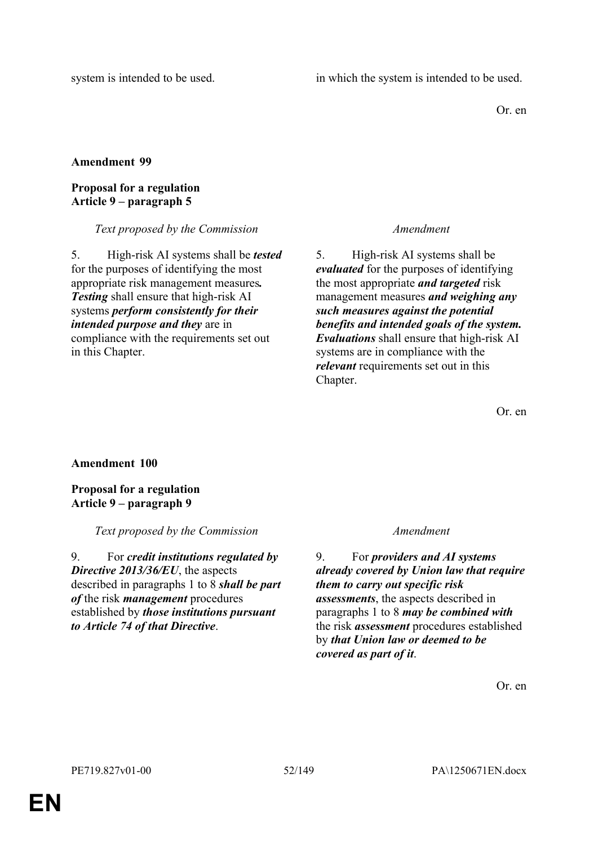Or. en

# **Amendment 99**

# **Proposal for a regulation Article 9 – paragraph 5**

# *Text proposed by the Commission Amendment*

5. High-risk AI systems shall be *tested* for the purposes of identifying the most appropriate risk management measures*. Testing* shall ensure that high-risk AI systems *perform consistently for their intended purpose and they* are in compliance with the requirements set out in this Chapter.

5. High-risk AI systems shall be *evaluated* for the purposes of identifying the most appropriate *and targeted* risk management measures *and weighing any such measures against the potential benefits and intended goals of the system. Evaluations* shall ensure that high-risk AI systems are in compliance with the *relevant* requirements set out in this Chapter.

Or. en

# **Amendment 100**

# **Proposal for a regulation Article 9 – paragraph 9**

*Text proposed by the Commission Amendment*

9. For *credit institutions regulated by Directive 2013/36/EU*, the aspects described in paragraphs 1 to 8 *shall be part of* the risk *management* procedures established by *those institutions pursuant to Article 74 of that Directive*.

9. For *providers and AI systems already covered by Union law that require them to carry out specific risk assessments*, the aspects described in paragraphs 1 to 8 *may be combined with* the risk *assessment* procedures established by *that Union law or deemed to be covered as part of it*.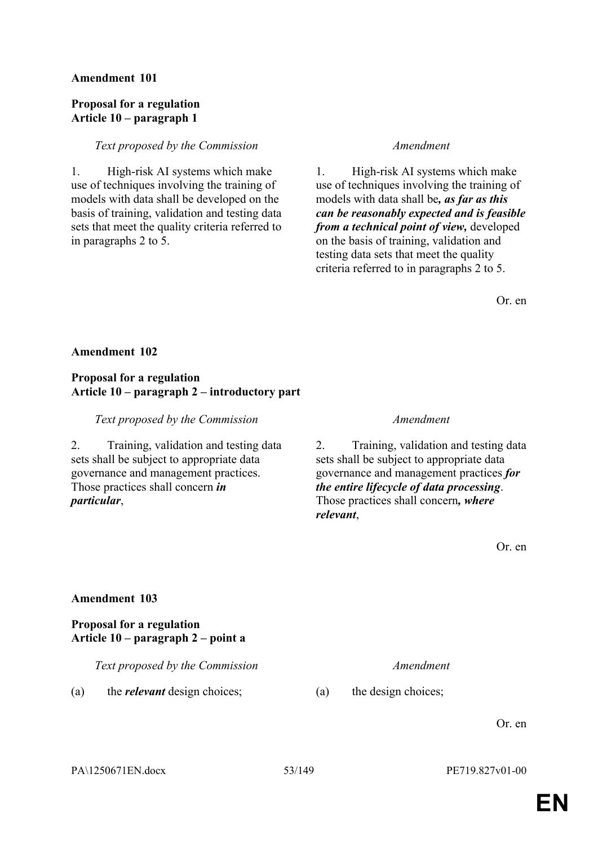### **Proposal for a regulation Article 10 – paragraph 1**

### *Text proposed by the Commission Amendment*

1. High-risk AI systems which make use of techniques involving the training of models with data shall be developed on the basis of training, validation and testing data sets that meet the quality criteria referred to in paragraphs 2 to 5.

1. High-risk AI systems which make use of techniques involving the training of models with data shall be*, as far as this can be reasonably expected and is feasible from a technical point of view,* developed on the basis of training, validation and testing data sets that meet the quality criteria referred to in paragraphs 2 to 5.

Or. en

### **Amendment 102**

### **Proposal for a regulation Article 10 – paragraph 2 – introductory part**

*Text proposed by the Commission Amendment*

2. Training, validation and testing data sets shall be subject to appropriate data governance and management practices. Those practices shall concern *in particular*,

2. Training, validation and testing data sets shall be subject to appropriate data governance and management practices *for the entire lifecycle of data processing*. Those practices shall concern*, where relevant*,

Or. en

### **Amendment 103**

# **Proposal for a regulation Article 10 – paragraph 2 – point a**

*Text proposed by the Commission Amendment*

(a) the *relevant* design choices; (a) the design choices;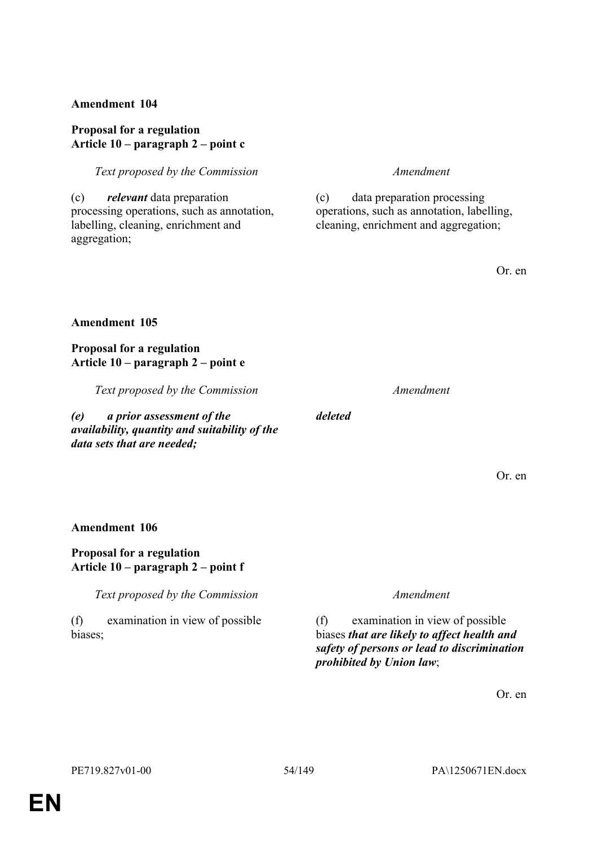### **Proposal for a regulation Article 10 – paragraph 2 – point c**

*Text proposed by the Commission Amendment*

(c) *relevant* data preparation processing operations, such as annotation, labelling, cleaning, enrichment and aggregation;

(c) data preparation processing operations, such as annotation, labelling, cleaning, enrichment and aggregation;

Or. en

### **Amendment 105**

**Proposal for a regulation Article 10 – paragraph 2 – point e**

*Text proposed by the Commission Amendment*

*(e) a prior assessment of the availability, quantity and suitability of the data sets that are needed;*

*deleted*

Or. en

### **Amendment 106**

### **Proposal for a regulation Article 10 – paragraph 2 – point f**

*Text proposed by the Commission Amendment*

(f) examination in view of possible biases;

(f) examination in view of possible biases *that are likely to affect health and safety of persons or lead to discrimination prohibited by Union law*;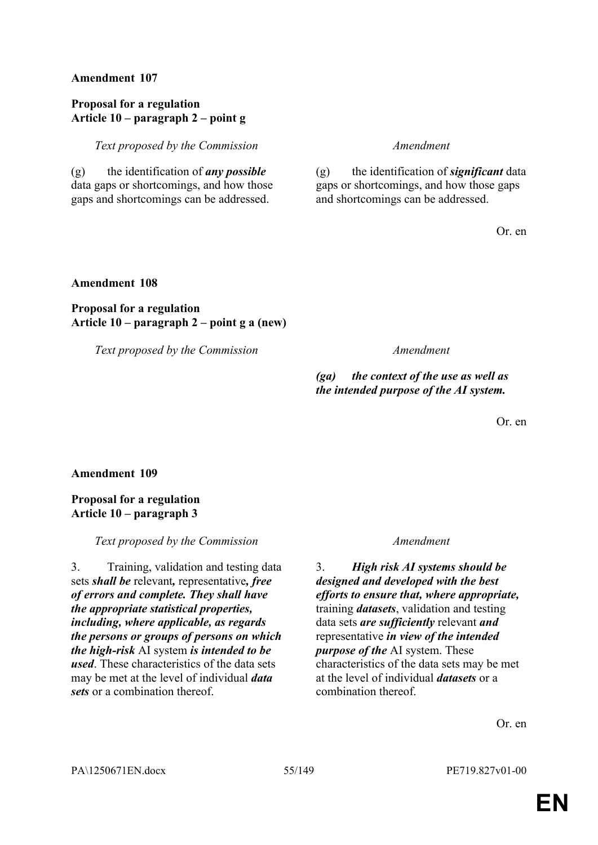### **Proposal for a regulation Article 10 – paragraph 2 – point g**

*Text proposed by the Commission Amendment*

(g) the identification of *any possible* data gaps or shortcomings, and how those gaps and shortcomings can be addressed.

(g) the identification of *significant* data gaps or shortcomings, and how those gaps and shortcomings can be addressed.

Or. en

#### **Amendment 108**

# **Proposal for a regulation Article 10 – paragraph 2 – point g a (new)**

*Text proposed by the Commission Amendment*

*(ga) the context of the use as well as the intended purpose of the AI system.*

Or. en

**Amendment 109**

**Proposal for a regulation Article 10 – paragraph 3**

*Text proposed by the Commission Amendment*

3. Training, validation and testing data sets *shall be* relevant*,* representative*, free of errors and complete. They shall have the appropriate statistical properties, including, where applicable, as regards the persons or groups of persons on which the high-risk* AI system *is intended to be used*. These characteristics of the data sets may be met at the level of individual *data sets* or a combination thereof.

3. *High risk AI systems should be designed and developed with the best efforts to ensure that, where appropriate,* training *datasets*, validation and testing data sets *are sufficiently* relevant *and* representative *in view of the intended purpose of the* AI system. These characteristics of the data sets may be met at the level of individual *datasets* or a combination thereof.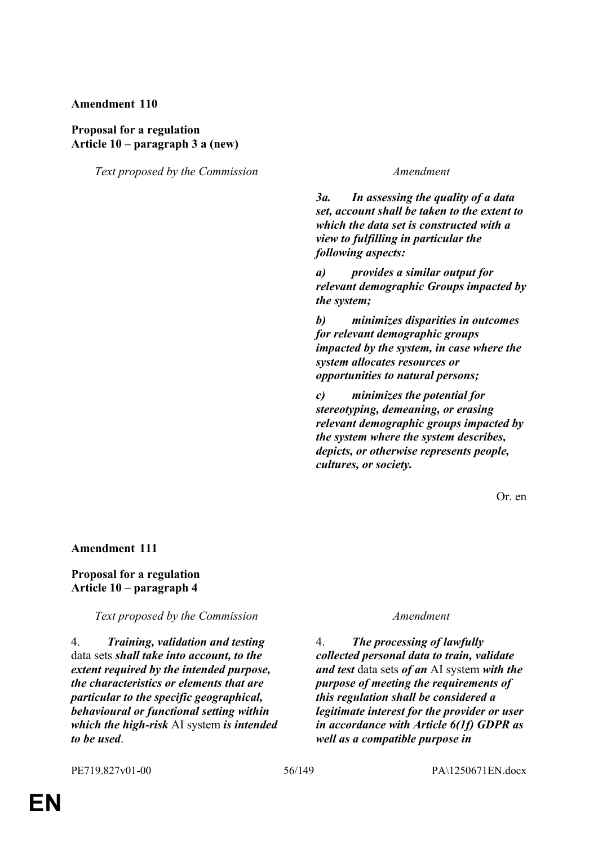### **Proposal for a regulation Article 10 – paragraph 3 a (new)**

*Text proposed by the Commission Amendment*

*3a. In assessing the quality of a data set, account shall be taken to the extent to which the data set is constructed with a view to fulfilling in particular the following aspects:*

*a) provides a similar output for relevant demographic Groups impacted by the system;*

*b) minimizes disparities in outcomes for relevant demographic groups impacted by the system, in case where the system allocates resources or opportunities to natural persons;*

*c) minimizes the potential for stereotyping, demeaning, or erasing relevant demographic groups impacted by the system where the system describes, depicts, or otherwise represents people, cultures, or society.*

Or. en

**Amendment 111**

#### **Proposal for a regulation Article 10 – paragraph 4**

*Text proposed by the Commission Amendment*

4. *Training, validation and testing* data sets *shall take into account, to the extent required by the intended purpose, the characteristics or elements that are particular to the specific geographical, behavioural or functional setting within which the high-risk* AI system *is intended to be used*.

4. *The processing of lawfully collected personal data to train, validate and test* data sets *of an* AI system *with the purpose of meeting the requirements of this regulation shall be considered a legitimate interest for the provider or user in accordance with Article 6(1f) GDPR as well as a compatible purpose in*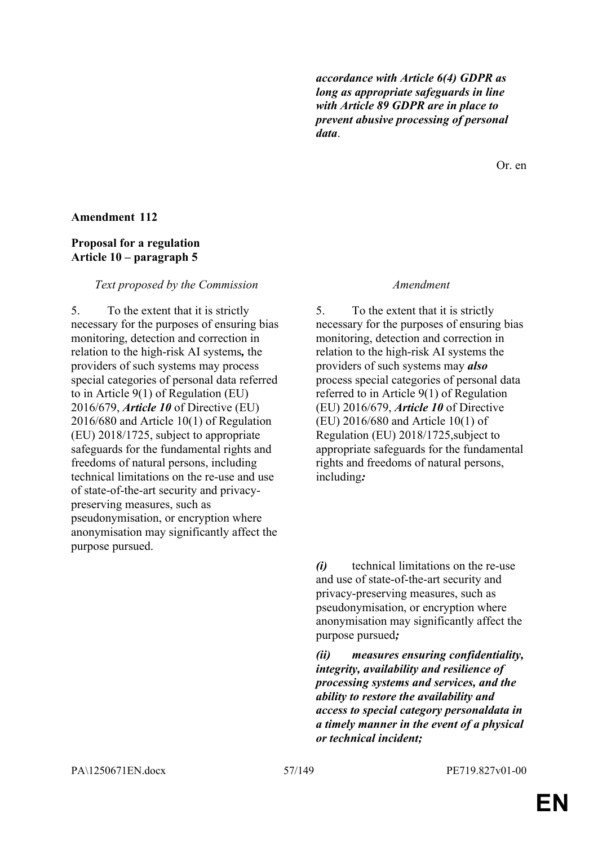*accordance with Article 6(4) GDPR as long as appropriate safeguards in line with Article 89 GDPR are in place to prevent abusive processing of personal data*.

Or. en

#### **Amendment 112**

### **Proposal for a regulation Article 10 – paragraph 5**

#### *Text proposed by the Commission Amendment*

5. To the extent that it is strictly necessary for the purposes of ensuring bias monitoring, detection and correction in relation to the high-risk AI systems*,* the providers of such systems may process special categories of personal data referred to in Article 9(1) of Regulation (EU) 2016/679, *Article 10* of Directive (EU) 2016/680 and Article 10(1) of Regulation (EU) 2018/1725, subject to appropriate safeguards for the fundamental rights and freedoms of natural persons, including technical limitations on the re-use and use of state-of-the-art security and privacypreserving measures, such as pseudonymisation, or encryption where anonymisation may significantly affect the purpose pursued.

5. To the extent that it is strictly necessary for the purposes of ensuring bias monitoring, detection and correction in relation to the high-risk AI systems the providers of such systems may *also* process special categories of personal data referred to in Article 9(1) of Regulation (EU) 2016/679, *Article 10* of Directive (EU) 2016/680 and Article 10(1) of Regulation (EU) 2018/1725,subject to appropriate safeguards for the fundamental rights and freedoms of natural persons, including*:*

*(i)* technical limitations on the re-use and use of state-of-the-art security and privacy-preserving measures, such as pseudonymisation, or encryption where anonymisation may significantly affect the purpose pursued*;*

*(ii) measures ensuring confidentiality, integrity, availability and resilience of processing systems and services, and the ability to restore the availability and access to special category personaldata in a timely manner in the event of a physical or technical incident;*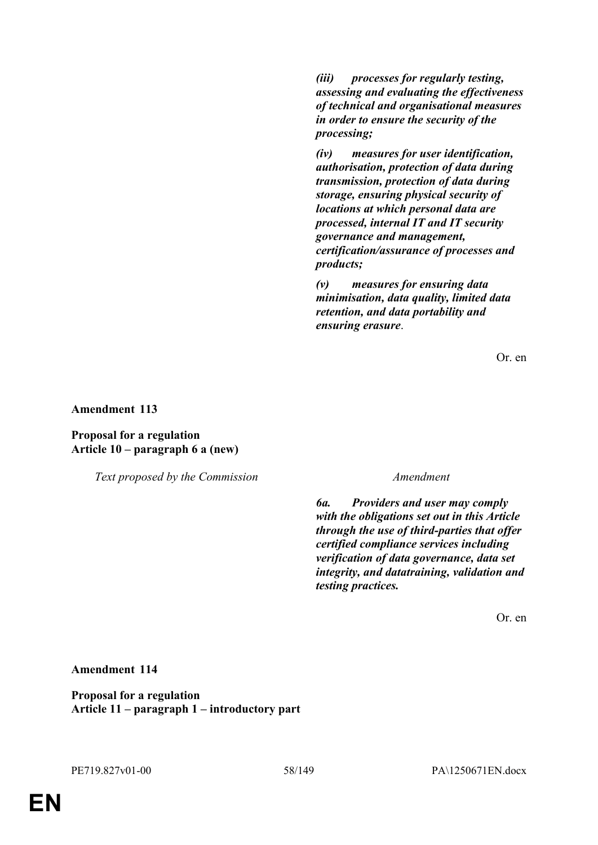*(iii) processes for regularly testing, assessing and evaluating the effectiveness of technical and organisational measures in order to ensure the security of the processing;*

*(iv) measures for user identification, authorisation, protection of data during transmission, protection of data during storage, ensuring physical security of locations at which personal data are processed, internal IT and IT security governance and management, certification/assurance of processes and products;*

*(v) measures for ensuring data minimisation, data quality, limited data retention, and data portability and ensuring erasure*.

Or. en

**Amendment 113**

**Proposal for a regulation Article 10 – paragraph 6 a (new)**

*Text proposed by the Commission Amendment*

*6a. Providers and user may comply with the obligations set out in this Article through the use of third-parties that offer certified compliance services including verification of data governance, data set integrity, and datatraining, validation and testing practices.*

Or. en

### **Amendment 114**

**Proposal for a regulation Article 11 – paragraph 1 – introductory part**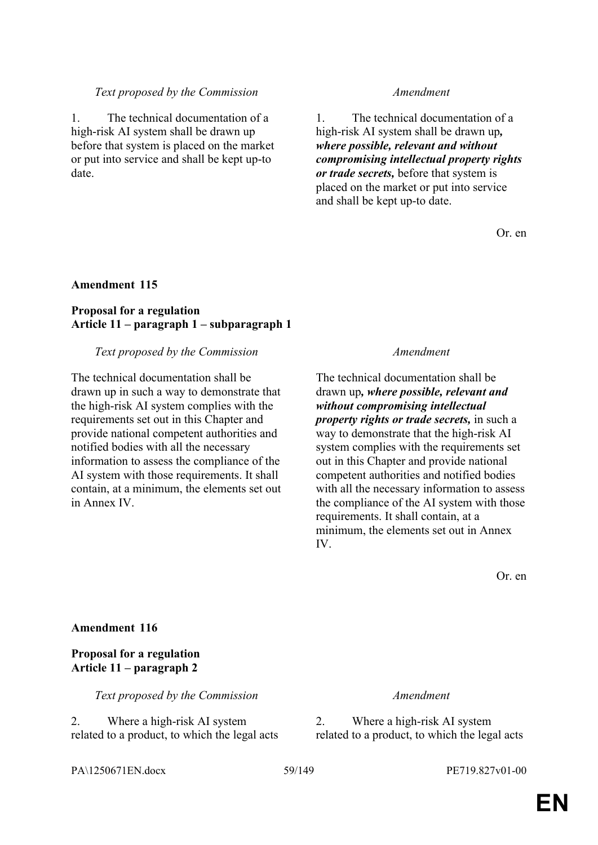#### *Text proposed by the Commission Amendment*

1. The technical documentation of a high-risk AI system shall be drawn up before that system is placed on the market or put into service and shall be kept up-to date.

1. The technical documentation of a high-risk AI system shall be drawn up*, where possible, relevant and without compromising intellectual property rights or trade secrets,* before that system is placed on the market or put into service and shall be kept up-to date.

Or. en

#### **Amendment 115**

# **Proposal for a regulation Article 11 – paragraph 1 – subparagraph 1**

#### *Text proposed by the Commission Amendment*

The technical documentation shall be drawn up in such a way to demonstrate that the high-risk AI system complies with the requirements set out in this Chapter and provide national competent authorities and notified bodies with all the necessary information to assess the compliance of the AI system with those requirements. It shall contain, at a minimum, the elements set out in Annex IV.

The technical documentation shall be drawn up*, where possible, relevant and without compromising intellectual property rights or trade secrets,* in such a way to demonstrate that the high-risk AI system complies with the requirements set out in this Chapter and provide national competent authorities and notified bodies with all the necessary information to assess the compliance of the AI system with those requirements. It shall contain, at a minimum, the elements set out in Annex IV.

Or. en

#### **Amendment 116**

#### **Proposal for a regulation Article 11 – paragraph 2**

*Text proposed by the Commission Amendment*

2. Where a high-risk AI system related to a product, to which the legal acts

2. Where a high-risk AI system related to a product, to which the legal acts

PA\1250671EN.docx 59/149 PE719.827v01-00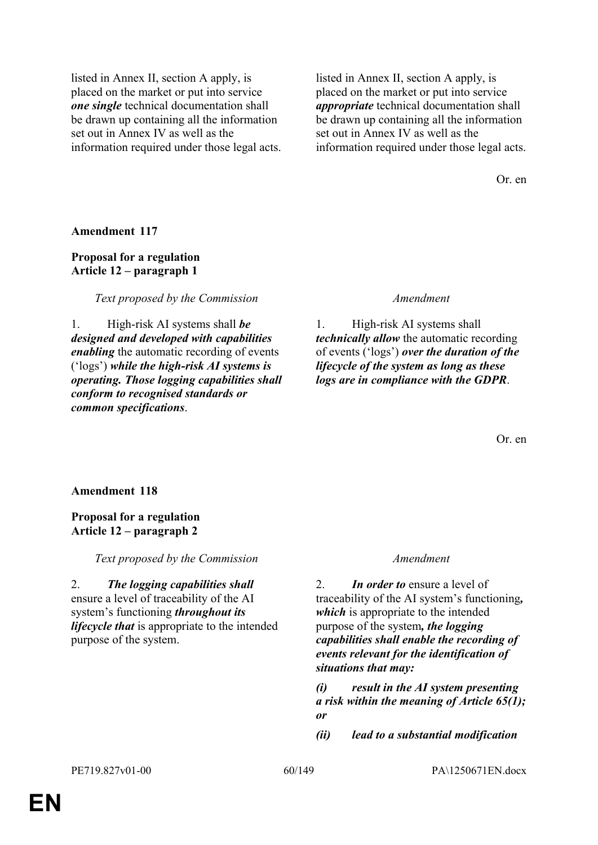listed in Annex II, section A apply, is placed on the market or put into service *one single* technical documentation shall be drawn up containing all the information set out in Annex IV as well as the information required under those legal acts. listed in Annex II, section A apply, is placed on the market or put into service *appropriate* technical documentation shall be drawn up containing all the information set out in Annex IV as well as the information required under those legal acts.

Or. en

**Amendment 117**

# **Proposal for a regulation Article 12 – paragraph 1**

*Text proposed by the Commission Amendment*

1. High-risk AI systems shall *be designed and developed with capabilities enabling* the automatic recording of events ('logs') *while the high-risk AI systems is operating. Those logging capabilities shall conform to recognised standards or common specifications*.

1. High-risk AI systems shall *technically allow* the automatic recording of events ('logs') *over the duration of the lifecycle of the system as long as these logs are in compliance with the GDPR*.

Or. en

# **Amendment 118**

# **Proposal for a regulation Article 12 – paragraph 2**

*Text proposed by the Commission Amendment*

2. *The logging capabilities shall* ensure a level of traceability of the AI system's functioning *throughout its lifecycle that* is appropriate to the intended purpose of the system.

2. *In order to* ensure a level of traceability of the AI system's functioning*, which* is appropriate to the intended purpose of the system*, the logging capabilities shall enable the recording of events relevant for the identification of situations that may:*

*(i) result in the AI system presenting a risk within the meaning of Article 65(1); or* 

*(ii) lead to a substantial modification*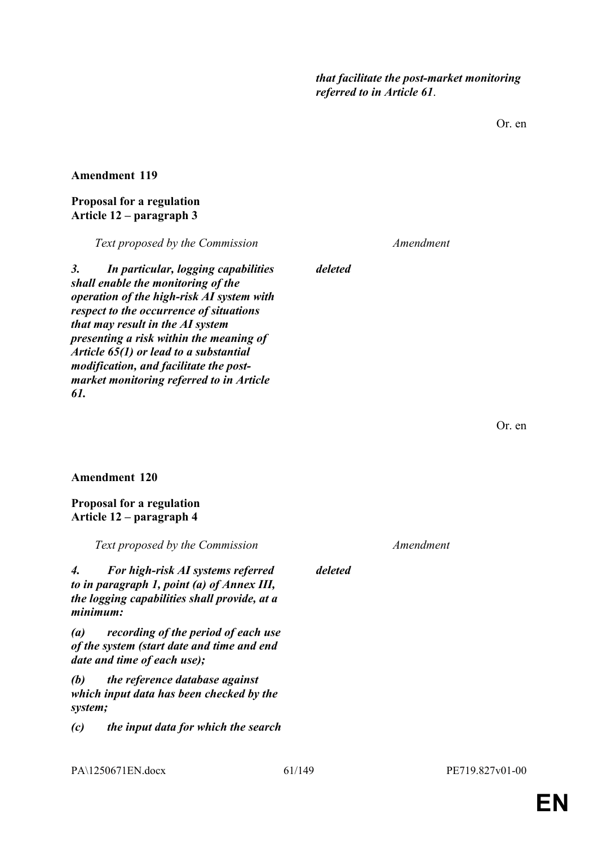*that facilitate the post-market monitoring referred to in Article 61*.

Or. en

**Amendment 119**

### **Proposal for a regulation Article 12 – paragraph 3**

*Text proposed by the Commission Amendment*

*3. In particular, logging capabilities shall enable the monitoring of the operation of the high-risk AI system with respect to the occurrence of situations that may result in the AI system presenting a risk within the meaning of Article 65(1) or lead to a substantial modification, and facilitate the postmarket monitoring referred to in Article 61.*

*deleted*

Or. en

### **Amendment 120**

### **Proposal for a regulation Article 12 – paragraph 4**

*Text proposed by the Commission Amendment 4. For high-risk AI systems referred to in paragraph 1, point (a) of Annex III, the logging capabilities shall provide, at a minimum: deleted (a) recording of the period of each use of the system (start date and time and end date and time of each use); (b) the reference database against which input data has been checked by the system; (c) the input data for which the search*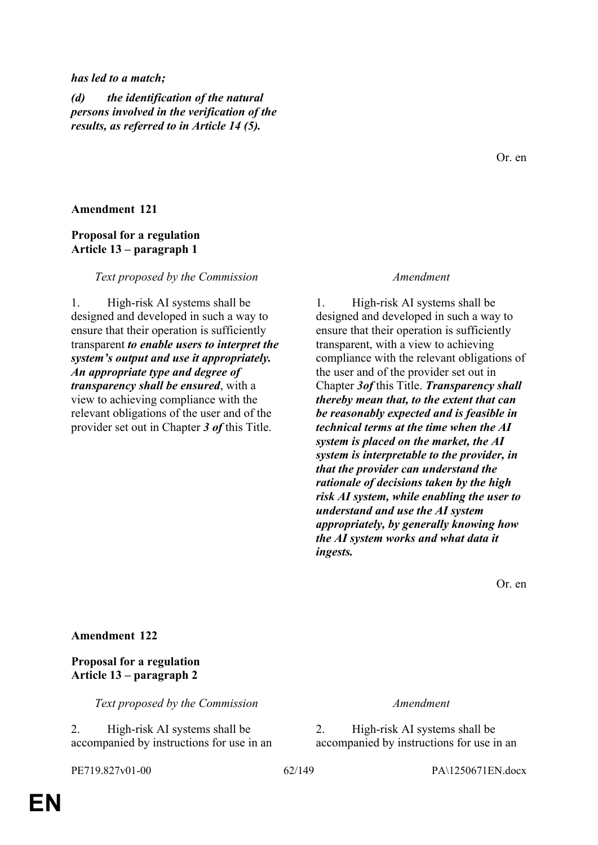#### *has led to a match;*

*(d) the identification of the natural persons involved in the verification of the results, as referred to in Article 14 (5).*

### **Amendment 121**

### **Proposal for a regulation Article 13 – paragraph 1**

#### *Text proposed by the Commission Amendment*

1. High-risk AI systems shall be designed and developed in such a way to ensure that their operation is sufficiently transparent *to enable users to interpret the system's output and use it appropriately. An appropriate type and degree of transparency shall be ensured*, with a view to achieving compliance with the relevant obligations of the user and of the provider set out in Chapter *3 of* this Title.

1. High-risk AI systems shall be designed and developed in such a way to ensure that their operation is sufficiently transparent, with a view to achieving compliance with the relevant obligations of the user and of the provider set out in Chapter *3of* this Title. *Transparency shall thereby mean that, to the extent that can be reasonably expected and is feasible in technical terms at the time when the AI system is placed on the market, the AI system is interpretable to the provider, in that the provider can understand the rationale of decisions taken by the high risk AI system, while enabling the user to understand and use the AI system appropriately, by generally knowing how the AI system works and what data it ingests.*

Or. en

### **Amendment 122**

# **Proposal for a regulation Article 13 – paragraph 2**

*Text proposed by the Commission Amendment*

2. High-risk AI systems shall be accompanied by instructions for use in an

2. High-risk AI systems shall be accompanied by instructions for use in an

PE719.827v01-00 62/149 PA\1250671EN.docx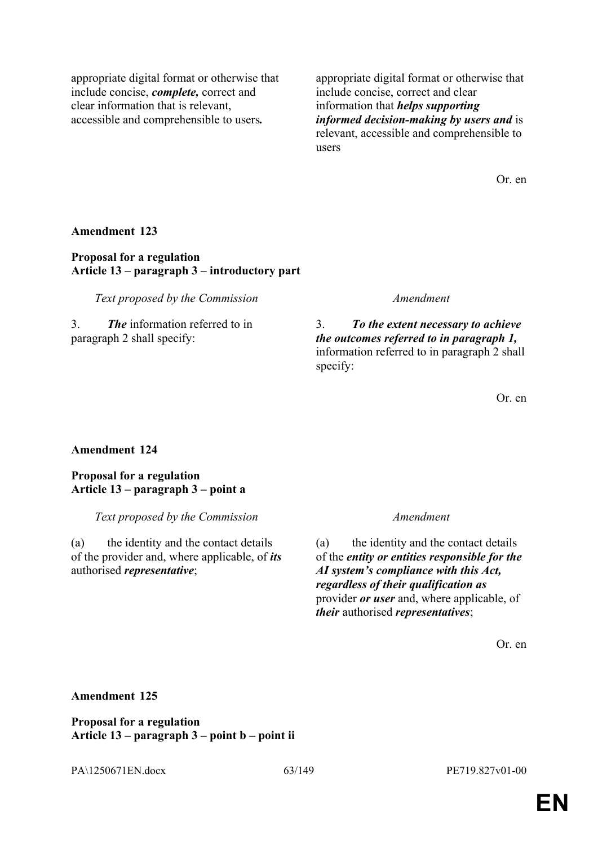appropriate digital format or otherwise that include concise, *complete,* correct and clear information that is relevant, accessible and comprehensible to users*.*

appropriate digital format or otherwise that include concise, correct and clear information that *helps supporting informed decision-making by users and* is relevant, accessible and comprehensible to users

Or. en

### **Amendment 123**

### **Proposal for a regulation Article 13 – paragraph 3 – introductory part**

*Text proposed by the Commission Amendment*

3. *The* information referred to in paragraph 2 shall specify:

3. *To the extent necessary to achieve the outcomes referred to in paragraph 1,* information referred to in paragraph 2 shall specify:

Or. en

### **Amendment 124**

**Proposal for a regulation Article 13 – paragraph 3 – point a**

*Text proposed by the Commission Amendment*

(a) the identity and the contact details of the provider and, where applicable, of *its* authorised *representative*;

(a) the identity and the contact details of the *entity or entities responsible for the AI system's compliance with this Act, regardless of their qualification as* provider *or user* and, where applicable, of *their* authorised *representatives*;

Or. en

### **Amendment 125**

**Proposal for a regulation Article 13 – paragraph 3 – point b – point ii**

PA\1250671EN.docx 63/149 PE719.827v01-00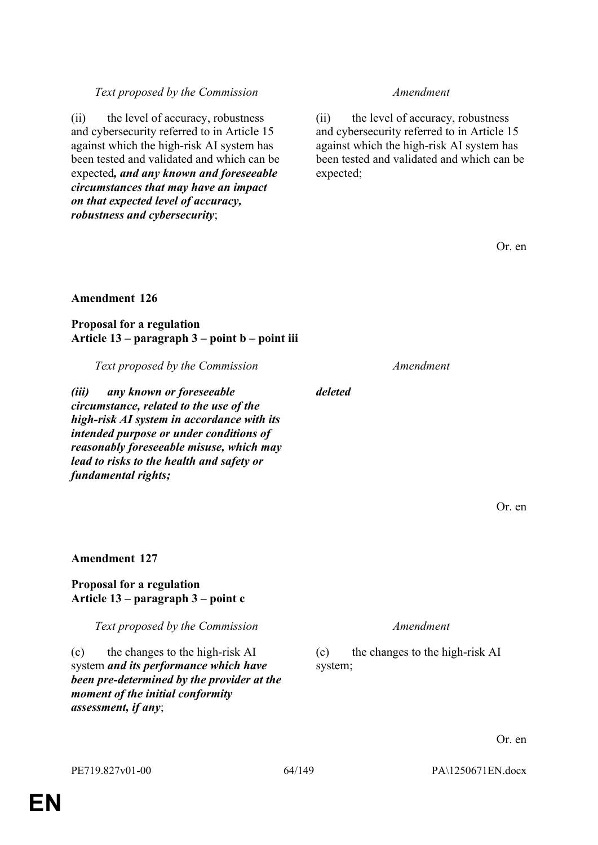*assessment, if any*;

**Amendment 127**

**Proposal for a regulation**

**Article 13 – paragraph 3 – point c**

(c) the changes to the high-risk AI system *and its performance which have been pre-determined by the provider at the* 

*moment of the initial conformity* 

# *Text proposed by the Commission Amendment*

(ii) the level of accuracy, robustness and cybersecurity referred to in Article 15 against which the high-risk AI system has been tested and validated and which can be expected*, and any known and foreseeable circumstances that may have an impact on that expected level of accuracy, robustness and cybersecurity*;

(ii) the level of accuracy, robustness and cybersecurity referred to in Article 15 against which the high-risk AI system has been tested and validated and which can be expected;

Or. en

# **Amendment 126**

**Proposal for a regulation Article 13 – paragraph 3 – point b – point iii**

*Text proposed by the Commission Amendment*

*(iii) any known or foreseeable circumstance, related to the use of the high-risk AI system in accordance with its intended purpose or under conditions of reasonably foreseeable misuse, which may lead to risks to the health and safety or fundamental rights;*

### *deleted*

Or. en

*Text proposed by the Commission Amendment*

(c) the changes to the high-risk AI system;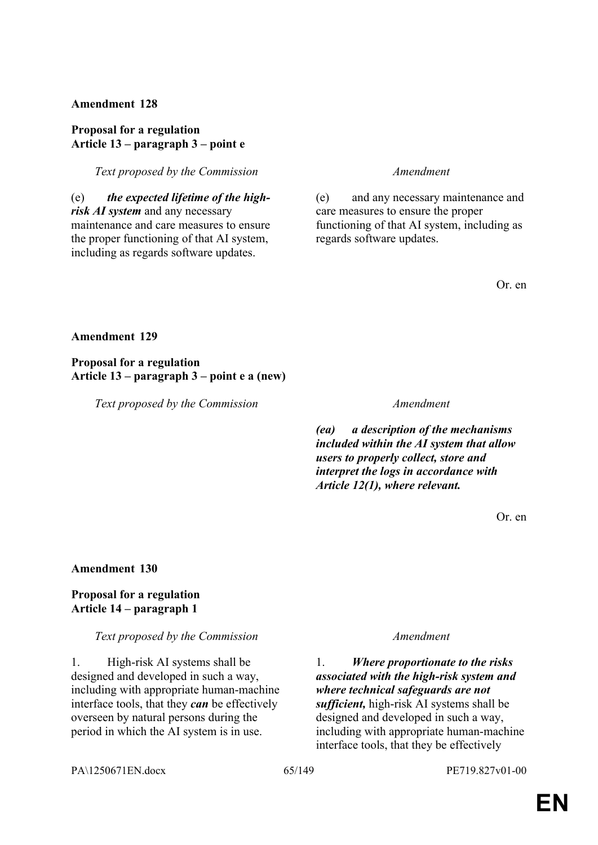### **Proposal for a regulation Article 13 – paragraph 3 – point e**

*Text proposed by the Commission Amendment*

(e) *the expected lifetime of the highrisk AI system* and any necessary maintenance and care measures to ensure the proper functioning of that AI system, including as regards software updates.

(e) and any necessary maintenance and care measures to ensure the proper functioning of that AI system, including as regards software updates.

Or. en

#### **Amendment 129**

**Proposal for a regulation Article 13 – paragraph 3 – point e a (new)**

*Text proposed by the Commission Amendment*

*(ea) a description of the mechanisms included within the AI system that allow users to properly collect, store and interpret the logs in accordance with Article 12(1), where relevant.*

Or. en

#### **Amendment 130**

### **Proposal for a regulation Article 14 – paragraph 1**

#### *Text proposed by the Commission Amendment*

1. High-risk AI systems shall be designed and developed in such a way, including with appropriate human-machine interface tools, that they *can* be effectively overseen by natural persons during the period in which the AI system is in use.

1. *Where proportionate to the risks associated with the high-risk system and where technical safeguards are not sufficient,* high-risk AI systems shall be designed and developed in such a way, including with appropriate human-machine interface tools, that they be effectively

PA\1250671EN.docx 65/149 PE719.827v01-00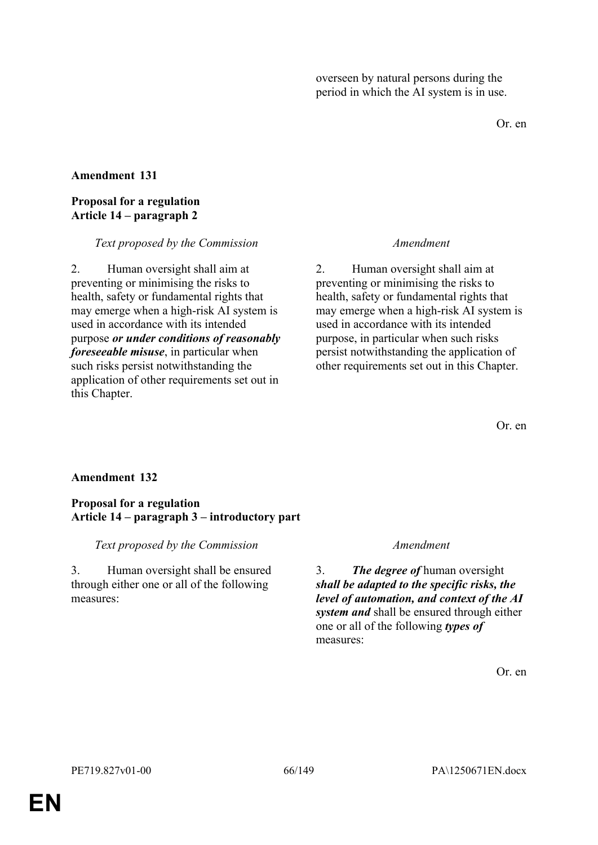overseen by natural persons during the period in which the AI system is in use.

Or. en

### **Amendment 131**

### **Proposal for a regulation Article 14 – paragraph 2**

#### *Text proposed by the Commission Amendment*

2. Human oversight shall aim at preventing or minimising the risks to health, safety or fundamental rights that may emerge when a high-risk AI system is used in accordance with its intended purpose *or under conditions of reasonably foreseeable misuse*, in particular when such risks persist notwithstanding the application of other requirements set out in this Chapter.

2. Human oversight shall aim at preventing or minimising the risks to health, safety or fundamental rights that may emerge when a high-risk AI system is used in accordance with its intended purpose, in particular when such risks persist notwithstanding the application of other requirements set out in this Chapter.

Or. en

# **Amendment 132**

### **Proposal for a regulation Article 14 – paragraph 3 – introductory part**

### *Text proposed by the Commission Amendment*

3. Human oversight shall be ensured through either one or all of the following measures:

3. *The degree of* human oversight *shall be adapted to the specific risks, the level of automation, and context of the AI system and* shall be ensured through either one or all of the following *types of* measures: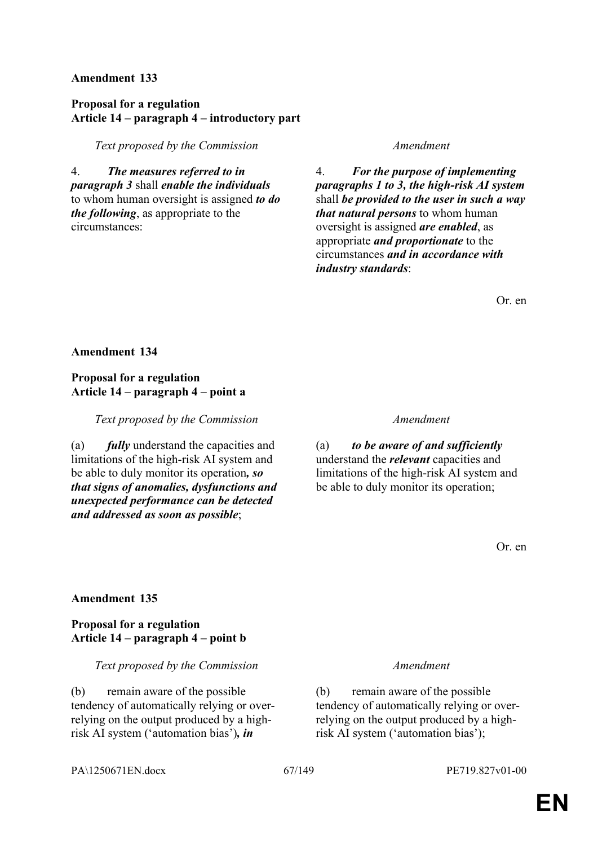### **Proposal for a regulation Article 14 – paragraph 4 – introductory part**

*Text proposed by the Commission Amendment*

4. *The measures referred to in paragraph 3* shall *enable the individuals* to whom human oversight is assigned *to do the following*, as appropriate to the circumstances:

4. *For the purpose of implementing paragraphs 1 to 3, the high-risk AI system* shall *be provided to the user in such a way that natural persons* to whom human oversight is assigned *are enabled*, as appropriate *and proportionate* to the circumstances *and in accordance with industry standards*:

Or. en

#### **Amendment 134**

### **Proposal for a regulation Article 14 – paragraph 4 – point a**

*Text proposed by the Commission Amendment*

(a) *fully* understand the capacities and limitations of the high-risk AI system and be able to duly monitor its operation*, so that signs of anomalies, dysfunctions and unexpected performance can be detected and addressed as soon as possible*;

(a) *to be aware of and sufficiently* understand the *relevant* capacities and limitations of the high-risk AI system and be able to duly monitor its operation;

Or. en

#### **Amendment 135**

### **Proposal for a regulation Article 14 – paragraph 4 – point b**

*Text proposed by the Commission Amendment*

(b) remain aware of the possible tendency of automatically relying or overrelying on the output produced by a highrisk AI system ('automation bias')*, in* 

(b) remain aware of the possible tendency of automatically relying or overrelying on the output produced by a highrisk AI system ('automation bias');

#### PA\1250671EN.docx 67/149 PE719.827v01-00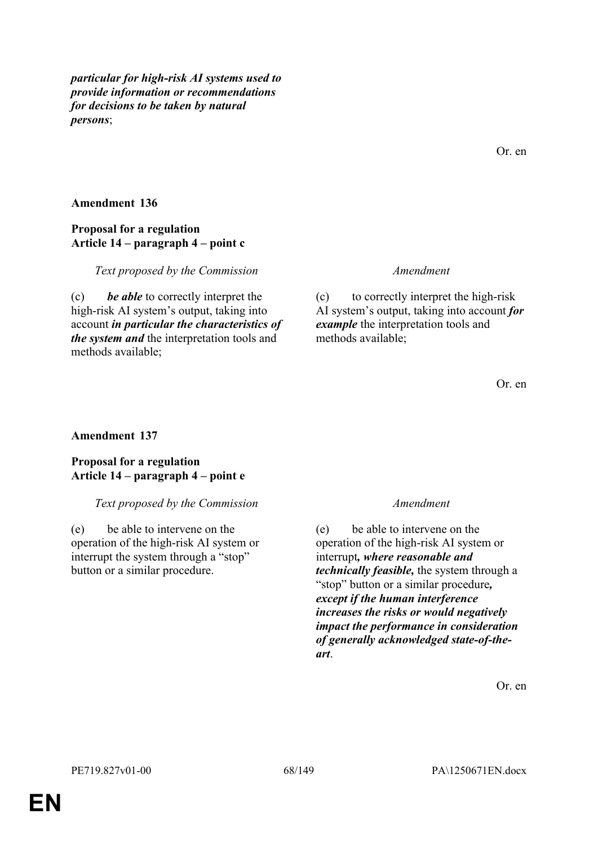*particular for high-risk AI systems used to provide information or recommendations for decisions to be taken by natural persons*;

**Amendment 136**

### **Proposal for a regulation Article 14 – paragraph 4 – point c**

*Text proposed by the Commission Amendment*

(c) *be able* to correctly interpret the high-risk AI system's output, taking into account *in particular the characteristics of the system and* the interpretation tools and methods available;

(c) to correctly interpret the high-risk AI system's output, taking into account *for example* the interpretation tools and methods available;

Or. en

Or. en

### **Amendment 137**

**Proposal for a regulation Article 14 – paragraph 4 – point e**

### *Text proposed by the Commission Amendment*

(e) be able to intervene on the operation of the high-risk AI system or interrupt the system through a "stop" button or a similar procedure.

(e) be able to intervene on the operation of the high-risk AI system or interrupt*, where reasonable and technically feasible,* the system through a "stop" button or a similar procedure*, except if the human interference increases the risks or would negatively impact the performance in consideration of generally acknowledged state-of-theart*.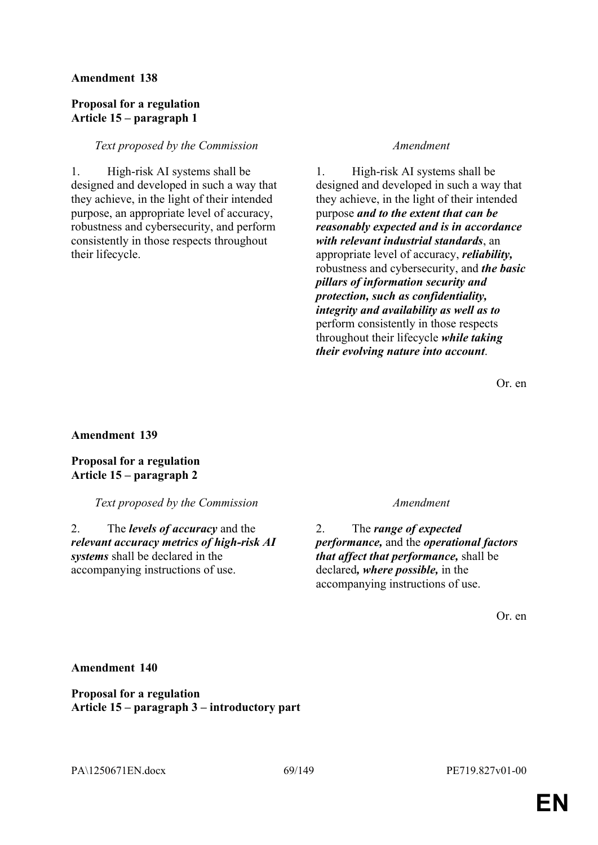### **Proposal for a regulation Article 15 – paragraph 1**

### *Text proposed by the Commission Amendment*

1. High-risk AI systems shall be designed and developed in such a way that they achieve, in the light of their intended purpose, an appropriate level of accuracy, robustness and cybersecurity, and perform consistently in those respects throughout their lifecycle.

1. High-risk AI systems shall be designed and developed in such a way that they achieve, in the light of their intended purpose *and to the extent that can be reasonably expected and is in accordance with relevant industrial standards*, an appropriate level of accuracy, *reliability,* robustness and cybersecurity, and *the basic pillars of information security and protection, such as confidentiality, integrity and availability as well as to* perform consistently in those respects throughout their lifecycle *while taking their evolving nature into account*.

Or. en

**Amendment 139**

**Proposal for a regulation Article 15 – paragraph 2**

*Text proposed by the Commission Amendment*

2. The *levels of accuracy* and the *relevant accuracy metrics of high-risk AI systems* shall be declared in the accompanying instructions of use.

2. The *range of expected performance,* and the *operational factors that affect that performance,* shall be declared*, where possible,* in the accompanying instructions of use.

Or. en

**Amendment 140**

**Proposal for a regulation Article 15 – paragraph 3 – introductory part**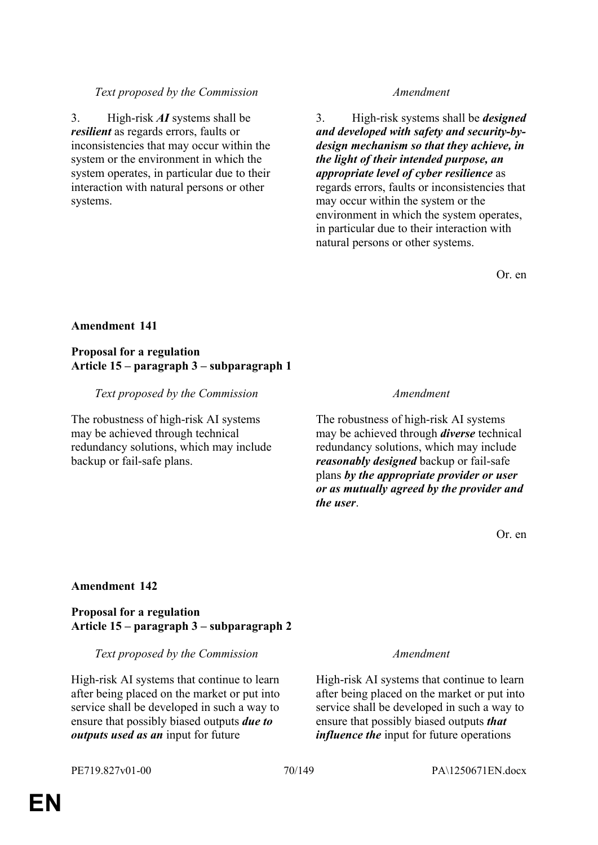# **Proposal for a regulation Article 15 – paragraph 3 – subparagraph 2**

# *Text proposed by the Commission Amendment*

# High-risk AI systems that continue to learn after being placed on the market or put into service shall be developed in such a way to ensure that possibly biased outputs *due to outputs used as an* input for future

# interaction with natural persons or other

3. High-risk *AI* systems shall be *resilient* as regards errors, faults or

inconsistencies that may occur within the system or the environment in which the system operates, in particular due to their

# *Text proposed by the Commission Amendment*

3. High-risk systems shall be *designed and developed with safety and security-bydesign mechanism so that they achieve, in the light of their intended purpose, an appropriate level of cyber resilience* as regards errors, faults or inconsistencies that may occur within the system or the environment in which the system operates, in particular due to their interaction with natural persons or other systems.

Or. en

# **Amendment 141**

systems.

# **Proposal for a regulation Article 15 – paragraph 3 – subparagraph 1**

### *Text proposed by the Commission Amendment*

The robustness of high-risk AI systems may be achieved through technical redundancy solutions, which may include backup or fail-safe plans.

The robustness of high-risk AI systems may be achieved through *diverse* technical redundancy solutions, which may include *reasonably designed* backup or fail-safe plans *by the appropriate provider or user or as mutually agreed by the provider and the user*.

Or. en

High-risk AI systems that continue to learn after being placed on the market or put into service shall be developed in such a way to ensure that possibly biased outputs *that influence the* input for future operations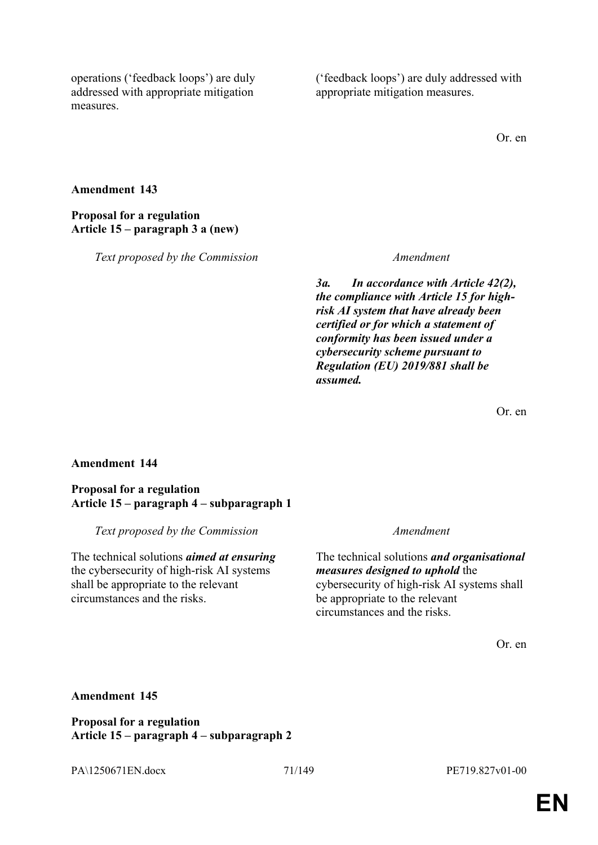operations ('feedback loops') are duly addressed with appropriate mitigation measures.

('feedback loops') are duly addressed with appropriate mitigation measures.

Or. en

#### **Amendment 143**

# **Proposal for a regulation Article 15 – paragraph 3 a (new)**

*Text proposed by the Commission Amendment*

*3a. In accordance with Article 42(2), the compliance with Article 15 for highrisk AI system that have already been certified or for which a statement of conformity has been issued under a cybersecurity scheme pursuant to Regulation (EU) 2019/881 shall be assumed.*

Or. en

### **Amendment 144**

#### **Proposal for a regulation Article 15 – paragraph 4 – subparagraph 1**

*Text proposed by the Commission Amendment*

The technical solutions *aimed at ensuring* the cybersecurity of high-risk AI systems shall be appropriate to the relevant circumstances and the risks.

The technical solutions *and organisational measures designed to uphold* the cybersecurity of high-risk AI systems shall be appropriate to the relevant circumstances and the risks.

Or. en

#### **Amendment 145**

**Proposal for a regulation Article 15 – paragraph 4 – subparagraph 2**

PA\1250671EN.docx 71/149 PE719.827v01-00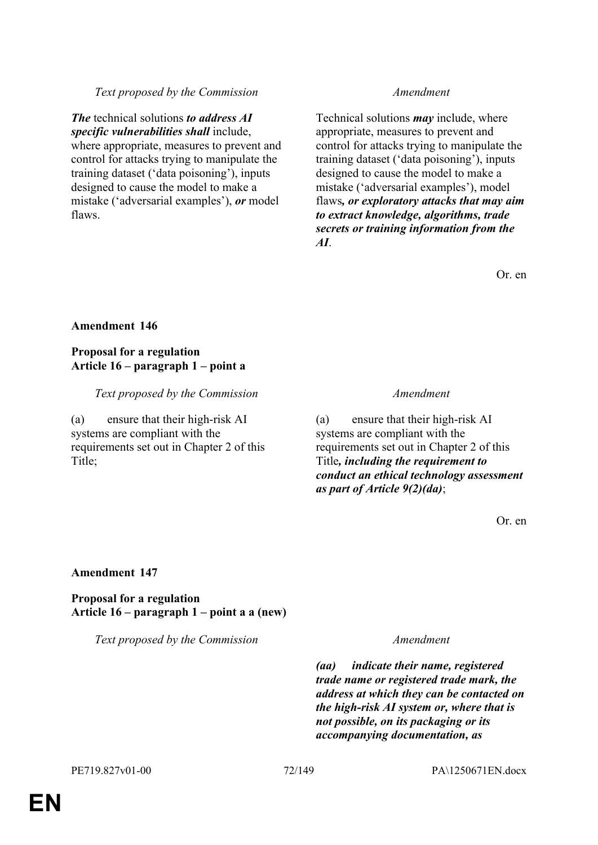### *Text proposed by the Commission Amendment*

*The* technical solutions *to address AI specific vulnerabilities shall* include, where appropriate, measures to prevent and control for attacks trying to manipulate the training dataset ('data poisoning'), inputs designed to cause the model to make a mistake ('adversarial examples'), *or* model flaws.

Technical solutions *may* include, where appropriate, measures to prevent and control for attacks trying to manipulate the training dataset ('data poisoning'), inputs designed to cause the model to make a mistake ('adversarial examples'), model flaws*, or exploratory attacks that may aim to extract knowledge, algorithms, trade secrets or training information from the AI*.

Or. en

### **Amendment 146**

### **Proposal for a regulation Article 16 – paragraph 1 – point a**

### *Text proposed by the Commission Amendment*

(a) ensure that their high-risk AI systems are compliant with the requirements set out in Chapter 2 of this Title;

(a) ensure that their high-risk AI systems are compliant with the requirements set out in Chapter 2 of this Title*, including the requirement to conduct an ethical technology assessment as part of Article 9(2)(da)*;

Or. en

#### **Amendment 147**

**Proposal for a regulation Article 16 – paragraph 1 – point a a (new)**

*Text proposed by the Commission Amendment*

*(aa) indicate their name, registered trade name or registered trade mark, the address at which they can be contacted on the high-risk AI system or, where that is not possible, on its packaging or its accompanying documentation, as*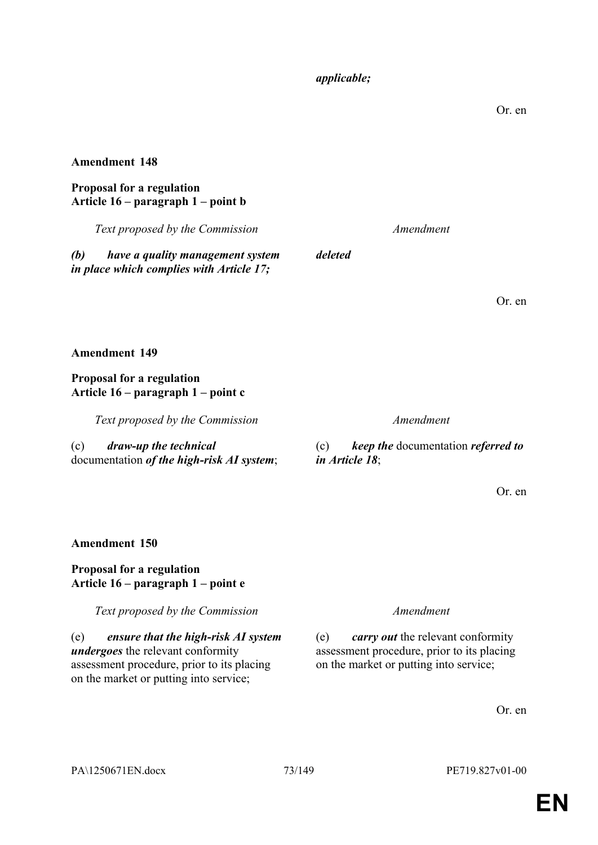## *applicable;*

Or. en

## **Amendment 148**

## **Proposal for a regulation Article 16 – paragraph 1 – point b**

*Text proposed by the Commission Amendment*

*deleted*

*(b) have a quality management system in place which complies with Article 17;*

**Amendment 149**

# **Proposal for a regulation Article 16 – paragraph 1 – point c**

*Text proposed by the Commission* 

(c) *draw-up the technical* documentation *of the high-risk AI system*;

(c) *keep the* documentation *referred to in Article 18*;

Or. en

# **Amendment 150**

# **Proposal for a regulation Article 16 – paragraph 1 – point e**

*Text proposed by the Commission Amendment*

(e) *ensure that the high-risk AI system undergoes* the relevant conformity assessment procedure, prior to its placing on the market or putting into service;

(e) *carry out* the relevant conformity assessment procedure, prior to its placing on the market or putting into service;

Or. en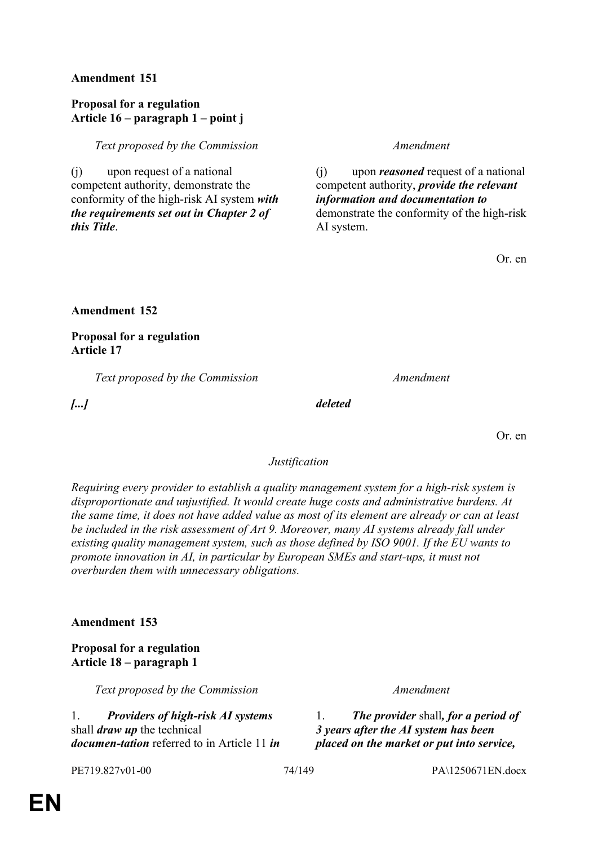## **Proposal for a regulation Article 16 – paragraph 1 – point j**

*Text proposed by the Commission Amendment*

(j) upon request of a national competent authority, demonstrate the conformity of the high-risk AI system *with the requirements set out in Chapter 2 of this Title*.

(j) upon *reasoned* request of a national competent authority, *provide the relevant information and documentation to* demonstrate the conformity of the high-risk AI system.

Or. en

**Amendment 152**

**Proposal for a regulation Article 17**

*Text proposed by the Commission Amendment*

*[...] deleted*

Or. en

### *Justification*

*Requiring every provider to establish a quality management system for a high-risk system is disproportionate and unjustified. It would create huge costs and administrative burdens. At the same time, it does not have added value as most of its element are already or can at least be included in the risk assessment of Art 9. Moreover, many AI systems already fall under existing quality management system, such as those defined by ISO 9001. If the EU wants to promote innovation in AI, in particular by European SMEs and start-ups, it must not overburden them with unnecessary obligations.*

## **Amendment 153**

## **Proposal for a regulation Article 18 – paragraph 1**

*Text proposed by the Commission Amendment*

1. *Providers of high-risk AI systems* shall *draw up* the technical *documen-tation* referred to in Article 11 *in* 

1. *The provider* shall*, for a period of 3 years after the AI system has been placed on the market or put into service,* 

PE719.827v01-00 74/149 PA\1250671EN.docx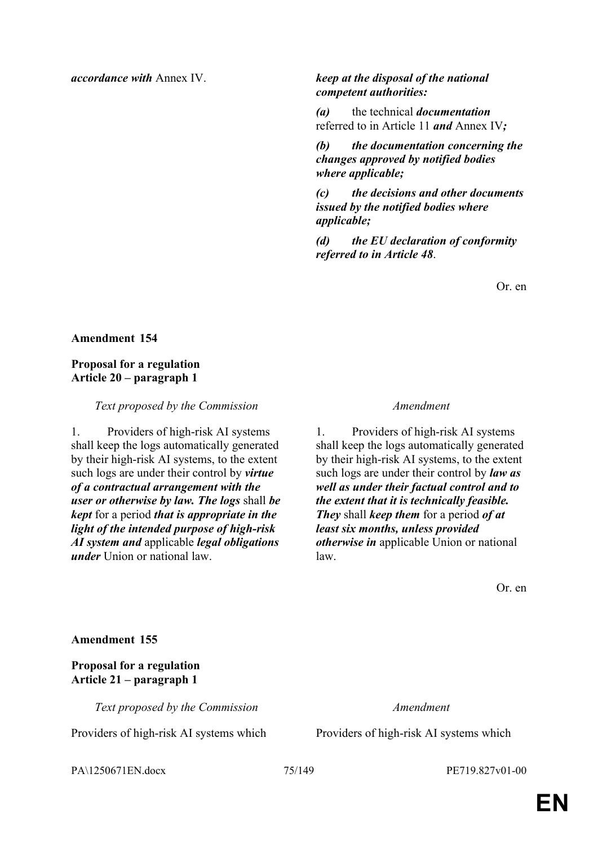# *accordance with* Annex IV. *keep at the disposal of the national competent authorities:*

*(a)* the technical *documentation* referred to in Article 11 *and* Annex IV*;*

*(b) the documentation concerning the changes approved by notified bodies where applicable;*

*(c) the decisions and other documents issued by the notified bodies where applicable;*

*(d) the EU declaration of conformity referred to in Article 48*.

Or. en

## **Amendment 154**

## **Proposal for a regulation Article 20 – paragraph 1**

### *Text proposed by the Commission Amendment*

1. Providers of high-risk AI systems shall keep the logs automatically generated by their high-risk AI systems, to the extent such logs are under their control by *virtue of a contractual arrangement with the user or otherwise by law. The logs* shall *be kept* for a period *that is appropriate in the light of the intended purpose of high-risk AI system and* applicable *legal obligations under* Union or national law.

1. Providers of high-risk AI systems shall keep the logs automatically generated by their high-risk AI systems, to the extent such logs are under their control by *law as well as under their factual control and to the extent that it is technically feasible. They* shall *keep them* for a period *of at least six months, unless provided otherwise in* applicable Union or national law.

Or. en

**Amendment 155**

**Proposal for a regulation Article 21 – paragraph 1**

*Text proposed by the Commission Amendment*

Providers of high-risk AI systems which Providers of high-risk AI systems which

PA\1250671EN.docx 75/149 PE719.827v01-00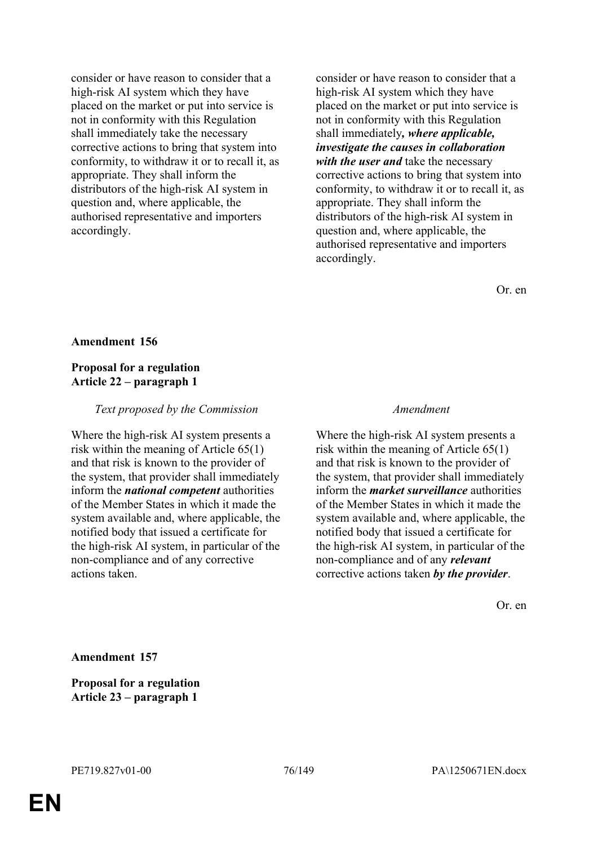consider or have reason to consider that a high-risk AI system which they have placed on the market or put into service is not in conformity with this Regulation shall immediately take the necessary corrective actions to bring that system into conformity, to withdraw it or to recall it, as appropriate. They shall inform the distributors of the high-risk AI system in question and, where applicable, the authorised representative and importers accordingly.

consider or have reason to consider that a high-risk AI system which they have placed on the market or put into service is not in conformity with this Regulation shall immediately*, where applicable, investigate the causes in collaboration with the user and* take the necessary corrective actions to bring that system into conformity, to withdraw it or to recall it, as appropriate. They shall inform the distributors of the high-risk AI system in question and, where applicable, the authorised representative and importers accordingly.

Or. en

### **Amendment 156**

## **Proposal for a regulation Article 22 – paragraph 1**

### *Text proposed by the Commission Amendment*

Where the high-risk AI system presents a risk within the meaning of Article 65(1) and that risk is known to the provider of the system, that provider shall immediately inform the *national competent* authorities of the Member States in which it made the system available and, where applicable, the notified body that issued a certificate for the high-risk AI system, in particular of the non-compliance and of any corrective actions taken.

Where the high-risk AI system presents a risk within the meaning of Article 65(1) and that risk is known to the provider of the system, that provider shall immediately inform the *market surveillance* authorities of the Member States in which it made the system available and, where applicable, the notified body that issued a certificate for the high-risk AI system, in particular of the non-compliance and of any *relevant* corrective actions taken *by the provider*.

Or. en

**Amendment 157**

**Proposal for a regulation Article 23 – paragraph 1**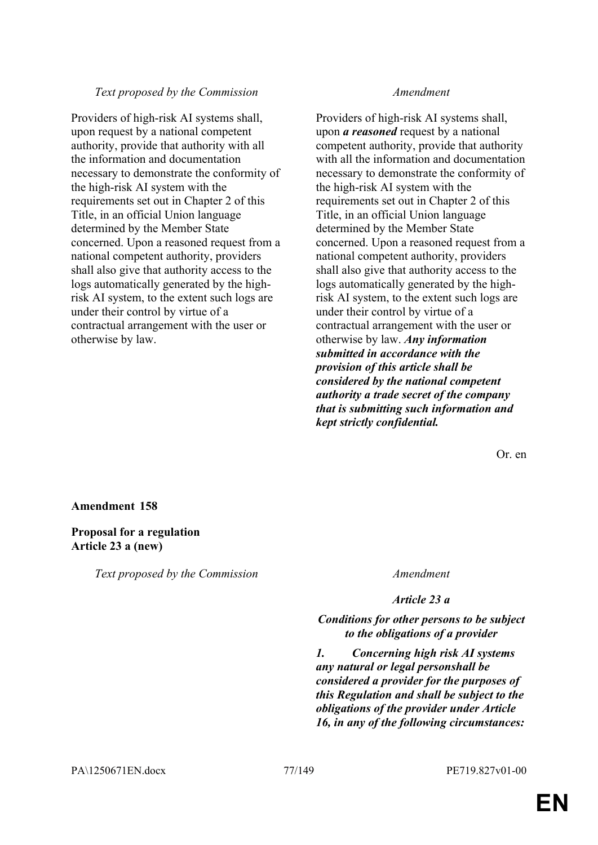## *Text proposed by the Commission Amendment*

Providers of high-risk AI systems shall, upon request by a national competent authority, provide that authority with all the information and documentation necessary to demonstrate the conformity of the high-risk AI system with the requirements set out in Chapter 2 of this Title, in an official Union language determined by the Member State concerned. Upon a reasoned request from a national competent authority, providers shall also give that authority access to the logs automatically generated by the highrisk AI system, to the extent such logs are under their control by virtue of a contractual arrangement with the user or otherwise by law.

Providers of high-risk AI systems shall, upon *a reasoned* request by a national competent authority, provide that authority with all the information and documentation necessary to demonstrate the conformity of the high-risk AI system with the requirements set out in Chapter 2 of this Title, in an official Union language determined by the Member State concerned. Upon a reasoned request from a national competent authority, providers shall also give that authority access to the logs automatically generated by the highrisk AI system, to the extent such logs are under their control by virtue of a contractual arrangement with the user or otherwise by law. *Any information submitted in accordance with the provision of this article shall be considered by the national competent authority a trade secret of the company that is submitting such information and kept strictly confidential.*

Or. en

## **Amendment 158**

## **Proposal for a regulation Article 23 a (new)**

*Text proposed by the Commission Amendment*

*Article 23 a*

*Conditions for other persons to be subject to the obligations of a provider*

*1. Concerning high risk AI systems any natural or legal personshall be considered a provider for the purposes of this Regulation and shall be subject to the obligations of the provider under Article 16, in any of the following circumstances:*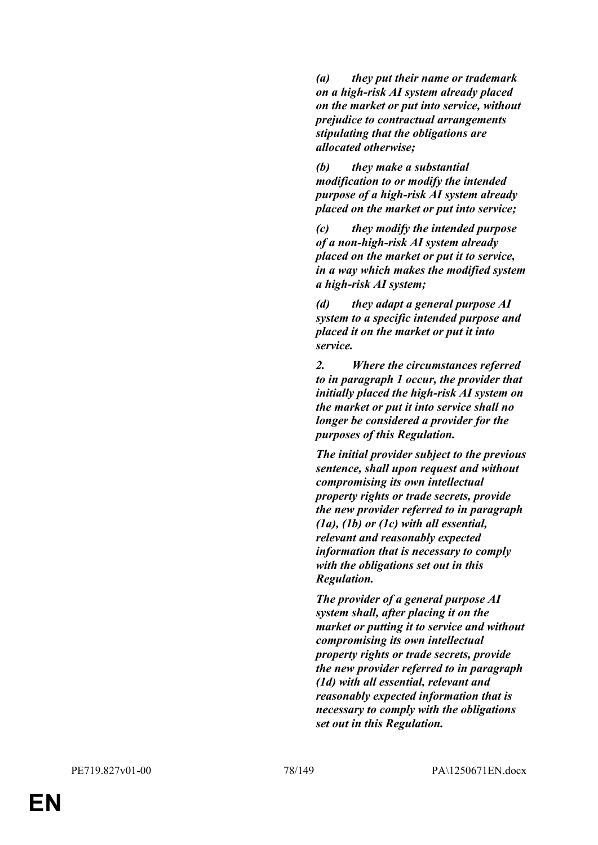*(a) they put their name or trademark on a high-risk AI system already placed on the market or put into service, without prejudice to contractual arrangements stipulating that the obligations are allocated otherwise;*

*(b) they make a substantial modification to or modify the intended purpose of a high-risk AI system already placed on the market or put into service;*

*(c) they modify the intended purpose of a non-high-risk AI system already placed on the market or put it to service, in a way which makes the modified system a high-risk AI system;*

*(d) they adapt a general purpose AI system to a specific intended purpose and placed it on the market or put it into service.*

*2. Where the circumstances referred to in paragraph 1 occur, the provider that initially placed the high-risk AI system on the market or put it into service shall no longer be considered a provider for the purposes of this Regulation.*

*The initial provider subject to the previous sentence, shall upon request and without compromising its own intellectual property rights or trade secrets, provide the new provider referred to in paragraph (1a), (1b) or (1c) with all essential, relevant and reasonably expected information that is necessary to comply with the obligations set out in this Regulation.*

*The provider of a general purpose AI system shall, after placing it on the market or putting it to service and without compromising its own intellectual property rights or trade secrets, provide the new provider referred to in paragraph (1d) with all essential, relevant and reasonably expected information that is necessary to comply with the obligations set out in this Regulation.*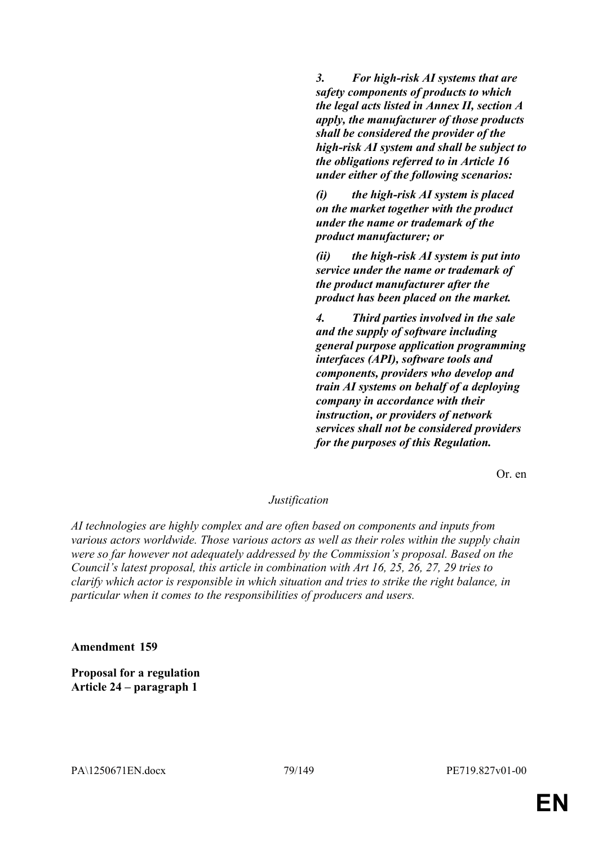*3. For high-risk AI systems that are safety components of products to which the legal acts listed in Annex II, section A apply, the manufacturer of those products shall be considered the provider of the high-risk AI system and shall be subject to the obligations referred to in Article 16 under either of the following scenarios:*

*(i) the high-risk AI system is placed on the market together with the product under the name or trademark of the product manufacturer; or*

*(ii) the high-risk AI system is put into service under the name or trademark of the product manufacturer after the product has been placed on the market.* 

*4. Third parties involved in the sale and the supply of software including general purpose application programming interfaces (API), software tools and components, providers who develop and train AI systems on behalf of a deploying company in accordance with their instruction, or providers of network services shall not be considered providers for the purposes of this Regulation.*

Or. en

# *Justification*

*AI technologies are highly complex and are often based on components and inputs from various actors worldwide. Those various actors as well as their roles within the supply chain were so far however not adequately addressed by the Commission's proposal. Based on the Council's latest proposal, this article in combination with Art 16, 25, 26, 27, 29 tries to clarify which actor is responsible in which situation and tries to strike the right balance, in particular when it comes to the responsibilities of producers and users.*

**Amendment 159**

**Proposal for a regulation Article 24 – paragraph 1**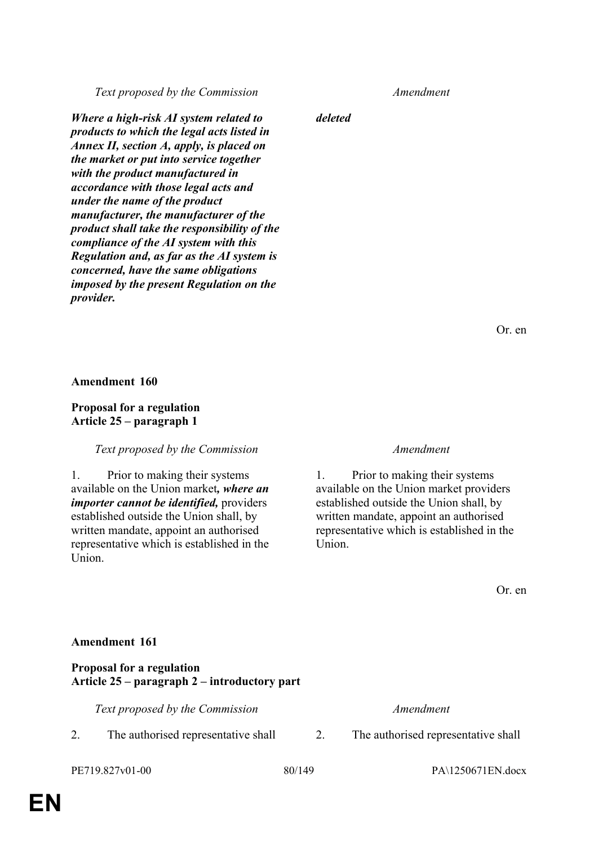*Text proposed by the Commission Amendment*

*Where a high-risk AI system related to products to which the legal acts listed in Annex II, section A, apply, is placed on the market or put into service together with the product manufactured in accordance with those legal acts and under the name of the product manufacturer, the manufacturer of the product shall take the responsibility of the compliance of the AI system with this Regulation and, as far as the AI system is concerned, have the same obligations imposed by the present Regulation on the provider.*

*deleted*

Or. en

**Amendment 160**

## **Proposal for a regulation Article 25 – paragraph 1**

## *Text proposed by the Commission Amendment*

1. Prior to making their systems available on the Union market*, where an importer cannot be identified,* providers established outside the Union shall, by written mandate, appoint an authorised representative which is established in the Union.

1. Prior to making their systems available on the Union market providers established outside the Union shall, by written mandate, appoint an authorised representative which is established in the Union.

Or. en

PE719.827v01-00 80/149 PA\1250671EN.docx

**Proposal for a regulation Article 25 – paragraph 2 – introductory part**

*Text proposed by the Commission Amendment*

- 2. The authorised representative shall 2. The authorised representative shall
-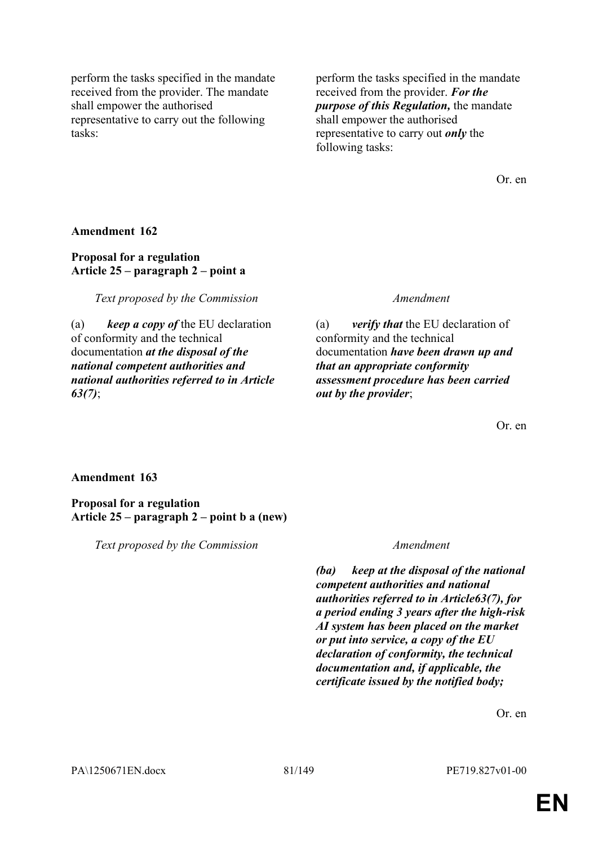perform the tasks specified in the mandate received from the provider. The mandate shall empower the authorised representative to carry out the following tasks:

perform the tasks specified in the mandate received from the provider. *For the purpose of this Regulation,* the mandate shall empower the authorised representative to carry out *only* the following tasks:

Or. en

**Amendment 162**

# **Proposal for a regulation Article 25 – paragraph 2 – point a**

*Text proposed by the Commission Amendment*

(a) *keep a copy of* the EU declaration of conformity and the technical documentation *at the disposal of the national competent authorities and national authorities referred to in Article 63(7)*;

(a) *verify that* the EU declaration of conformity and the technical documentation *have been drawn up and that an appropriate conformity assessment procedure has been carried out by the provider*;

Or. en

# **Amendment 163**

**Proposal for a regulation Article 25 – paragraph 2 – point b a (new)**

*Text proposed by the Commission Amendment*

*(ba) keep at the disposal of the national competent authorities and national authorities referred to in Article63(7), for a period ending 3 years after the high-risk AI system has been placed on the market or put into service, a copy of the EU declaration of conformity, the technical documentation and, if applicable, the certificate issued by the notified body;*

Or. en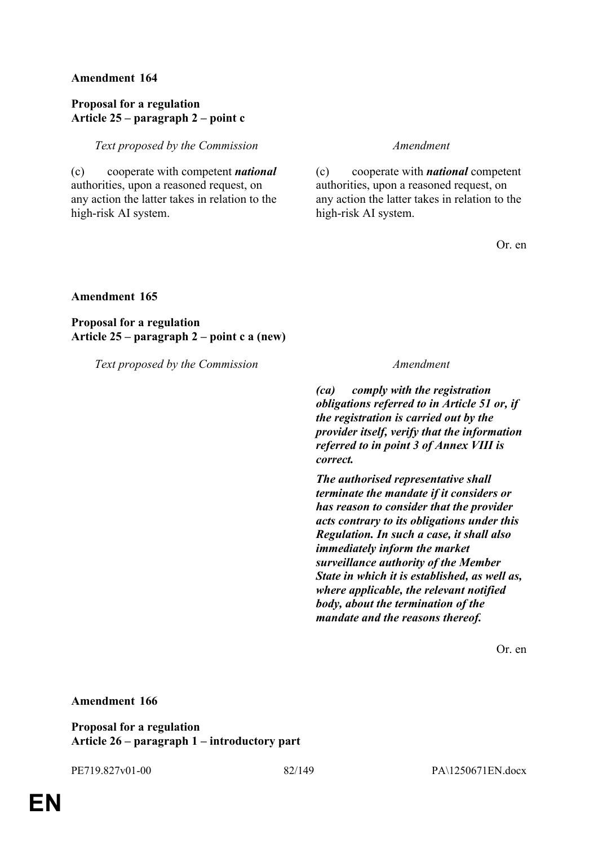## **Proposal for a regulation Article 25 – paragraph 2 – point c**

*Text proposed by the Commission Amendment*

(c) cooperate with competent *national* authorities, upon a reasoned request, on any action the latter takes in relation to the high-risk AI system.

(c) cooperate with *national* competent authorities, upon a reasoned request, on any action the latter takes in relation to the high-risk AI system.

Or. en

## **Amendment 165**

**Proposal for a regulation Article 25 – paragraph 2 – point c a (new)**

*Text proposed by the Commission Amendment*

*(ca) comply with the registration obligations referred to in Article 51 or, if the registration is carried out by the provider itself, verify that the information referred to in point 3 of Annex VIII is correct.* 

*The authorised representative shall terminate the mandate if it considers or has reason to consider that the provider acts contrary to its obligations under this Regulation. In such a case, it shall also immediately inform the market surveillance authority of the Member State in which it is established, as well as, where applicable, the relevant notified body, about the termination of the mandate and the reasons thereof.*

Or. en

## **Amendment 166**

**Proposal for a regulation Article 26 – paragraph 1 – introductory part**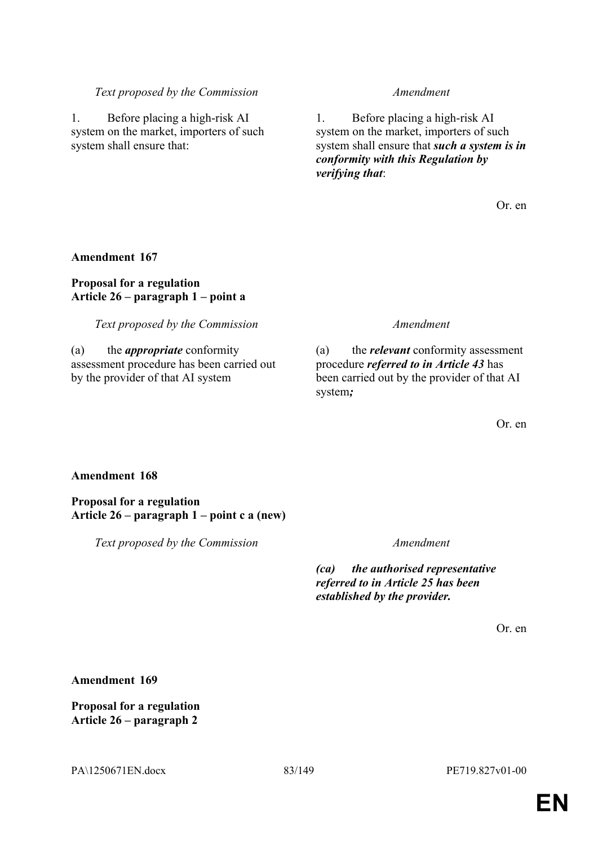## *Text proposed by the Commission Amendment*

1. Before placing a high-risk AI system on the market, importers of such system shall ensure that:

1. Before placing a high-risk AI system on the market, importers of such system shall ensure that *such a system is in conformity with this Regulation by verifying that*:

Or. en

# **Amendment 167**

# **Proposal for a regulation Article 26 – paragraph 1 – point a**

*Text proposed by the Commission Amendment*

(a) the *appropriate* conformity assessment procedure has been carried out by the provider of that AI system

(a) the *relevant* conformity assessment procedure *referred to in Article 43* has been carried out by the provider of that AI system*;*

Or. en

# **Amendment 168**

**Proposal for a regulation Article 26 – paragraph 1 – point c a (new)**

*Text proposed by the Commission Amendment*

*(ca) the authorised representative referred to in Article 25 has been established by the provider.*

Or. en

**Amendment 169**

**Proposal for a regulation Article 26 – paragraph 2**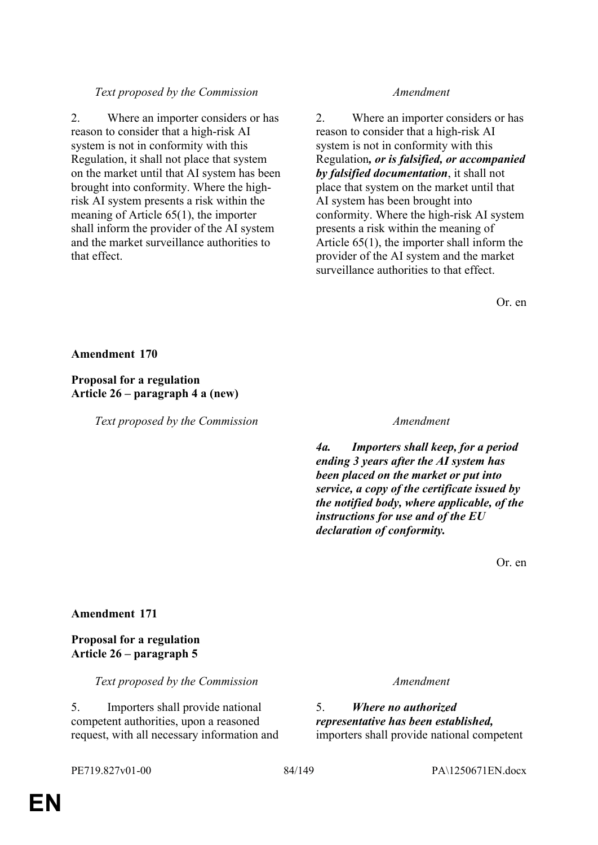## *Text proposed by the Commission Amendment*

2. Where an importer considers or has reason to consider that a high-risk AI system is not in conformity with this Regulation, it shall not place that system on the market until that AI system has been brought into conformity. Where the highrisk AI system presents a risk within the meaning of Article 65(1), the importer shall inform the provider of the AI system and the market surveillance authorities to that effect.

2. Where an importer considers or has reason to consider that a high-risk AI system is not in conformity with this Regulation*, or is falsified, or accompanied by falsified documentation*, it shall not place that system on the market until that AI system has been brought into conformity. Where the high-risk AI system presents a risk within the meaning of Article 65(1), the importer shall inform the provider of the AI system and the market surveillance authorities to that effect.

Or. en

**Amendment 170**

# **Proposal for a regulation Article 26 – paragraph 4 a (new)**

*Text proposed by the Commission Amendment*

*4a. Importers shall keep, for a period ending 3 years after the AI system has been placed on the market or put into service, a copy of the certificate issued by the notified body, where applicable, of the instructions for use and of the EU declaration of conformity.*

Or. en

## **Amendment 171**

**Proposal for a regulation Article 26 – paragraph 5**

*Text proposed by the Commission Amendment*

5. Importers shall provide national competent authorities, upon a reasoned request, with all necessary information and 5. *Where no authorized representative has been established,* importers shall provide national competent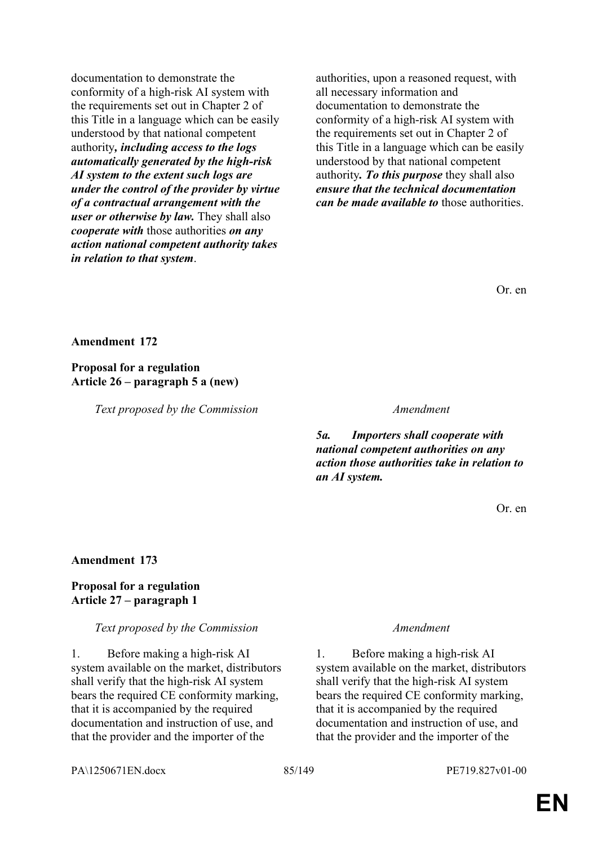documentation to demonstrate the conformity of a high-risk AI system with the requirements set out in Chapter 2 of this Title in a language which can be easily understood by that national competent authority*, including access to the logs automatically generated by the high-risk AI system to the extent such logs are under the control of the provider by virtue of a contractual arrangement with the user or otherwise by law.* They shall also *cooperate with* those authorities *on any action national competent authority takes in relation to that system*.

authorities, upon a reasoned request, with all necessary information and documentation to demonstrate the conformity of a high-risk AI system with the requirements set out in Chapter 2 of this Title in a language which can be easily understood by that national competent authority*. To this purpose* they shall also *ensure that the technical documentation can be made available to* those authorities.

Or. en

**Amendment 172**

**Proposal for a regulation Article 26 – paragraph 5 a (new)**

*Text proposed by the Commission Amendment*

*5a. Importers shall cooperate with national competent authorities on any action those authorities take in relation to an AI system.*

Or. en

## **Amendment 173**

# **Proposal for a regulation Article 27 – paragraph 1**

## *Text proposed by the Commission Amendment*

1. Before making a high-risk AI system available on the market, distributors shall verify that the high-risk AI system bears the required CE conformity marking, that it is accompanied by the required documentation and instruction of use, and that the provider and the importer of the

1. Before making a high-risk AI system available on the market, distributors shall verify that the high-risk AI system bears the required CE conformity marking, that it is accompanied by the required documentation and instruction of use, and that the provider and the importer of the

PA\1250671EN.docx 85/149 PE719.827v01-00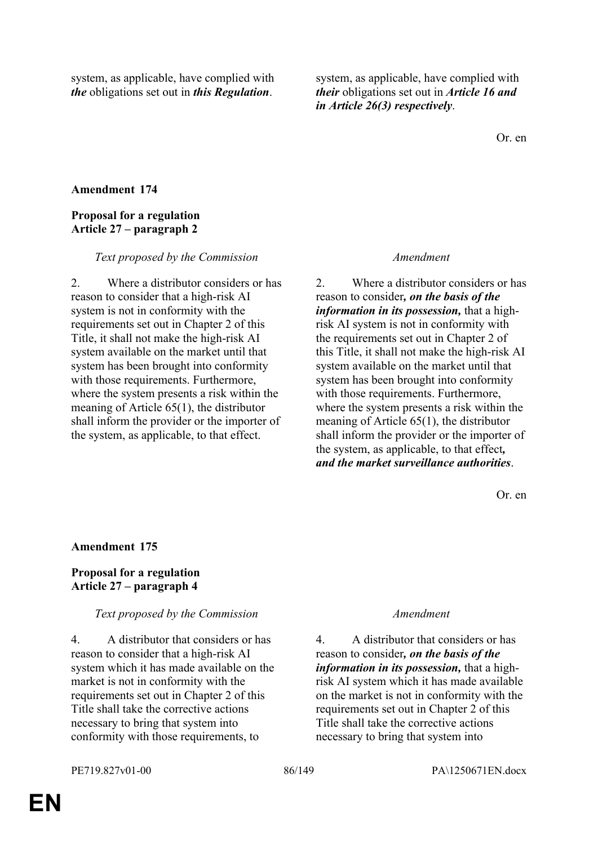system, as applicable, have complied with *the* obligations set out in *this Regulation*.

system, as applicable, have complied with *their* obligations set out in *Article 16 and in Article 26(3) respectively*.

Or. en

## **Amendment 174**

# **Proposal for a regulation Article 27 – paragraph 2**

### *Text proposed by the Commission Amendment*

2. Where a distributor considers or has reason to consider that a high-risk AI system is not in conformity with the requirements set out in Chapter 2 of this Title, it shall not make the high-risk AI system available on the market until that system has been brought into conformity with those requirements. Furthermore, where the system presents a risk within the meaning of Article 65(1), the distributor shall inform the provider or the importer of the system, as applicable, to that effect.

2. Where a distributor considers or has reason to consider*, on the basis of the information in its possession,* that a highrisk AI system is not in conformity with the requirements set out in Chapter 2 of this Title, it shall not make the high-risk AI system available on the market until that system has been brought into conformity with those requirements. Furthermore, where the system presents a risk within the meaning of Article 65(1), the distributor shall inform the provider or the importer of the system, as applicable, to that effect*, and the market surveillance authorities*.

Or. en

## **Amendment 175**

# **Proposal for a regulation Article 27 – paragraph 4**

### *Text proposed by the Commission Amendment*

4. A distributor that considers or has reason to consider that a high-risk AI system which it has made available on the market is not in conformity with the requirements set out in Chapter 2 of this Title shall take the corrective actions necessary to bring that system into conformity with those requirements, to

4. A distributor that considers or has reason to consider*, on the basis of the information in its possession,* that a highrisk AI system which it has made available on the market is not in conformity with the requirements set out in Chapter 2 of this Title shall take the corrective actions necessary to bring that system into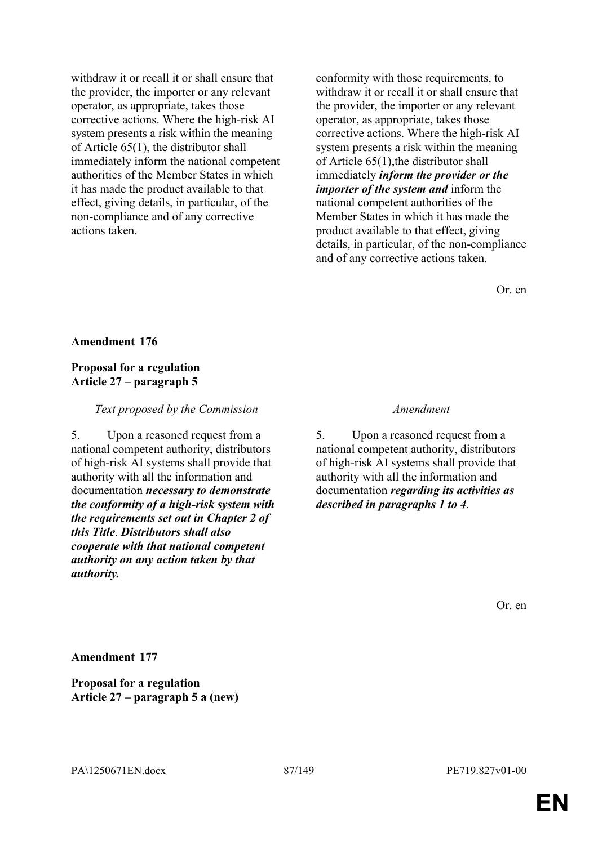withdraw it or recall it or shall ensure that the provider, the importer or any relevant operator, as appropriate, takes those corrective actions. Where the high-risk AI system presents a risk within the meaning of Article 65(1), the distributor shall immediately inform the national competent authorities of the Member States in which it has made the product available to that effect, giving details, in particular, of the non-compliance and of any corrective actions taken.

conformity with those requirements, to withdraw it or recall it or shall ensure that the provider, the importer or any relevant operator, as appropriate, takes those corrective actions. Where the high-risk AI system presents a risk within the meaning of Article 65(1),the distributor shall immediately *inform the provider or the importer of the system and* inform the national competent authorities of the Member States in which it has made the product available to that effect, giving details, in particular, of the non-compliance and of any corrective actions taken.

Or. en

## **Amendment 176**

## **Proposal for a regulation Article 27 – paragraph 5**

### *Text proposed by the Commission Amendment*

5. Upon a reasoned request from a national competent authority, distributors of high-risk AI systems shall provide that authority with all the information and documentation *necessary to demonstrate the conformity of a high-risk system with the requirements set out in Chapter 2 of this Title*. *Distributors shall also cooperate with that national competent authority on any action taken by that authority.*

5. Upon a reasoned request from a national competent authority, distributors of high-risk AI systems shall provide that authority with all the information and documentation *regarding its activities as described in paragraphs 1 to 4*.

Or. en

**Amendment 177**

**Proposal for a regulation Article 27 – paragraph 5 a (new)**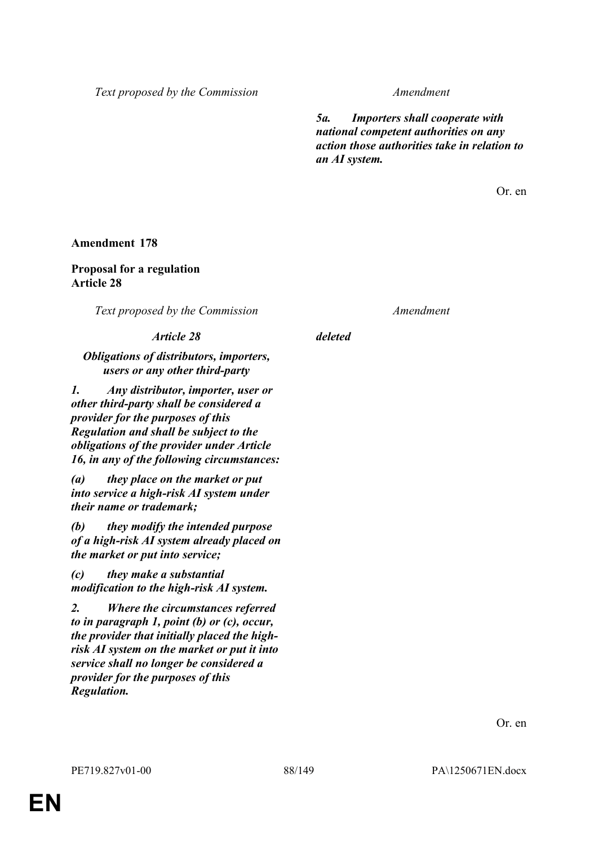*Text proposed by the Commission Amendment*

*5a. Importers shall cooperate with national competent authorities on any action those authorities take in relation to an AI system.*

Or. en

## **Amendment 178**

## **Proposal for a regulation Article 28**

*Text proposed by the Commission Amendment*

## *Article 28 deleted*

## *Obligations of distributors, importers, users or any other third-party*

*1. Any distributor, importer, user or other third-party shall be considered a provider for the purposes of this Regulation and shall be subject to the obligations of the provider under Article 16, in any of the following circumstances:*

*(a) they place on the market or put into service a high-risk AI system under their name or trademark;*

*(b) they modify the intended purpose of a high-risk AI system already placed on the market or put into service;*

*(c) they make a substantial modification to the high-risk AI system.*

*2. Where the circumstances referred to in paragraph 1, point (b) or (c), occur, the provider that initially placed the highrisk AI system on the market or put it into service shall no longer be considered a provider for the purposes of this Regulation.*

Or. en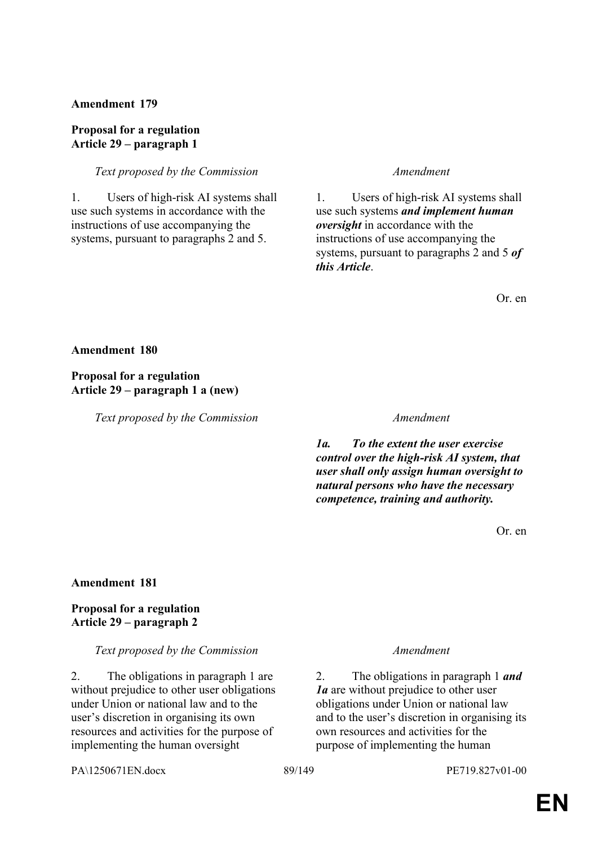## **Proposal for a regulation Article 29 – paragraph 1**

### *Text proposed by the Commission Amendment*

1. Users of high-risk AI systems shall use such systems in accordance with the instructions of use accompanying the systems, pursuant to paragraphs 2 and 5.

1. Users of high-risk AI systems shall use such systems *and implement human oversight* in accordance with the instructions of use accompanying the systems, pursuant to paragraphs 2 and 5 *of this Article*.

Or. en

### **Amendment 180**

# **Proposal for a regulation Article 29 – paragraph 1 a (new)**

*Text proposed by the Commission Amendment*

*1a. To the extent the user exercise control over the high-risk AI system, that user shall only assign human oversight to natural persons who have the necessary competence, training and authority.*

Or. en

## **Amendment 181**

## **Proposal for a regulation Article 29 – paragraph 2**

### *Text proposed by the Commission Amendment*

2. The obligations in paragraph 1 are without prejudice to other user obligations under Union or national law and to the user's discretion in organising its own resources and activities for the purpose of implementing the human oversight

2. The obligations in paragraph 1 *and 1a* are without prejudice to other user obligations under Union or national law and to the user's discretion in organising its own resources and activities for the purpose of implementing the human

PA\1250671EN.docx 89/149 PE719.827v01-00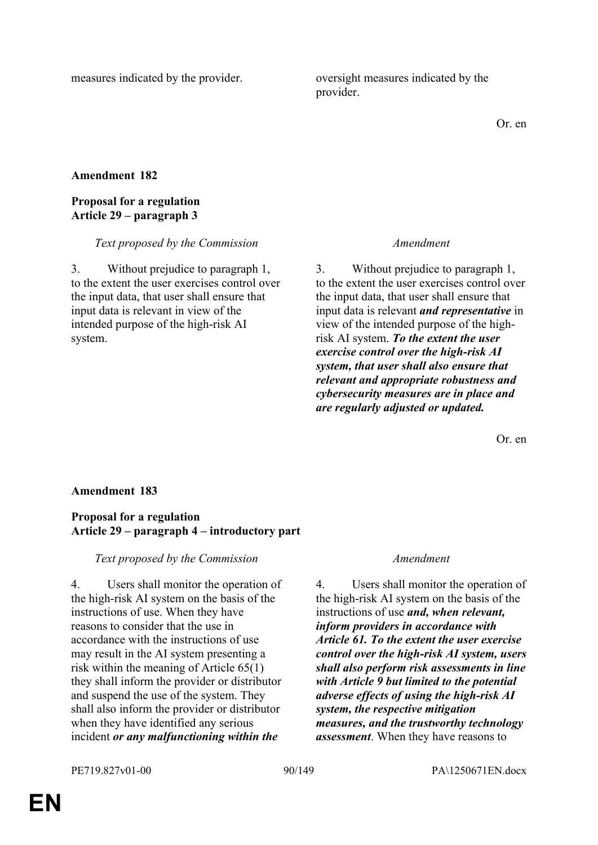measures indicated by the provider. oversight measures indicated by the provider.

Or. en

## **Amendment 182**

## **Proposal for a regulation Article 29 – paragraph 3**

### *Text proposed by the Commission Amendment*

3. Without prejudice to paragraph 1, to the extent the user exercises control over the input data, that user shall ensure that input data is relevant in view of the intended purpose of the high-risk AI system.

3. Without prejudice to paragraph 1, to the extent the user exercises control over the input data, that user shall ensure that input data is relevant *and representative* in view of the intended purpose of the highrisk AI system. *To the extent the user exercise control over the high-risk AI system, that user shall also ensure that relevant and appropriate robustness and cybersecurity measures are in place and are regularly adjusted or updated.*

Or. en

## **Amendment 183**

## **Proposal for a regulation Article 29 – paragraph 4 – introductory part**

*Text proposed by the Commission Amendment*

4. Users shall monitor the operation of the high-risk AI system on the basis of the instructions of use. When they have reasons to consider that the use in accordance with the instructions of use may result in the AI system presenting a risk within the meaning of Article 65(1) they shall inform the provider or distributor and suspend the use of the system. They shall also inform the provider or distributor when they have identified any serious incident *or any malfunctioning within the* 

4. Users shall monitor the operation of the high-risk AI system on the basis of the instructions of use *and, when relevant, inform providers in accordance with Article 61. To the extent the user exercise control over the high-risk AI system, users shall also perform risk assessments in line with Article 9 but limited to the potential adverse effects of using the high-risk AI system, the respective mitigation measures, and the trustworthy technology assessment*. When they have reasons to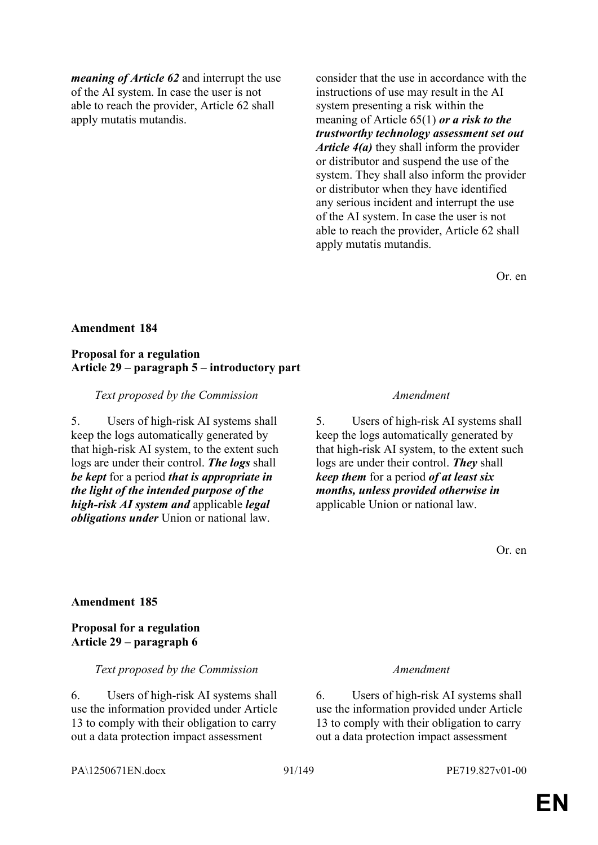*meaning of Article 62* and interrupt the use of the AI system. In case the user is not able to reach the provider, Article 62 shall apply mutatis mutandis.

consider that the use in accordance with the instructions of use may result in the AI system presenting a risk within the meaning of Article 65(1) *or a risk to the trustworthy technology assessment set out Article 4(a)* they shall inform the provider or distributor and suspend the use of the system. They shall also inform the provider or distributor when they have identified any serious incident and interrupt the use of the AI system. In case the user is not able to reach the provider, Article 62 shall apply mutatis mutandis.

Or. en

### **Amendment 184**

### **Proposal for a regulation Article 29 – paragraph 5 – introductory part**

### *Text proposed by the Commission Amendment*

5. Users of high-risk AI systems shall keep the logs automatically generated by that high-risk AI system, to the extent such logs are under their control. *The logs* shall *be kept* for a period *that is appropriate in the light of the intended purpose of the high-risk AI system and* applicable *legal obligations under* Union or national law.

5. Users of high-risk AI systems shall keep the logs automatically generated by that high-risk AI system, to the extent such logs are under their control. *They* shall *keep them* for a period *of at least six months, unless provided otherwise in* applicable Union or national law.

Or. en

## **Amendment 185**

## **Proposal for a regulation Article 29 – paragraph 6**

### *Text proposed by the Commission Amendment*

6. Users of high-risk AI systems shall use the information provided under Article 13 to comply with their obligation to carry out a data protection impact assessment

6. Users of high-risk AI systems shall use the information provided under Article 13 to comply with their obligation to carry out a data protection impact assessment

PA\1250671EN.docx 91/149 PE719.827v01-00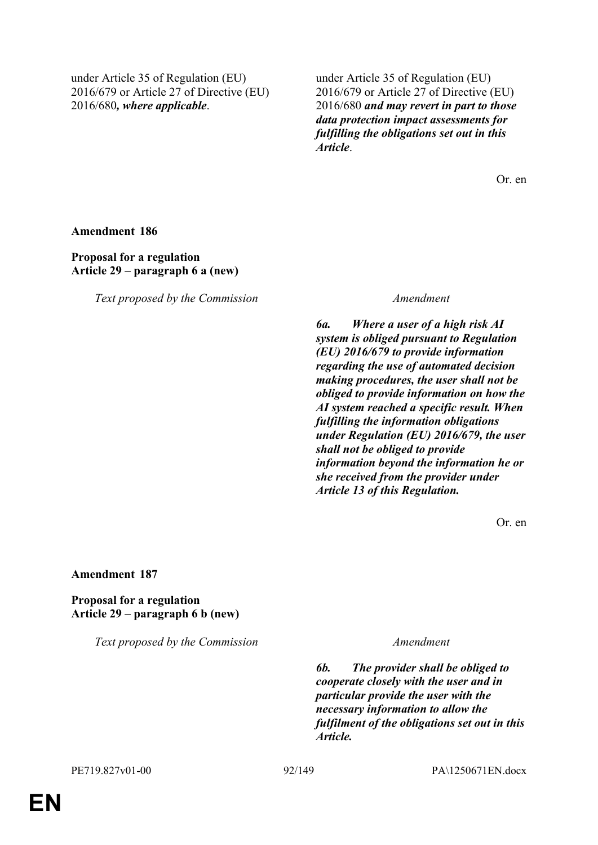under Article 35 of Regulation (EU) 2016/679 or Article 27 of Directive (EU) 2016/680*, where applicable*.

under Article 35 of Regulation (EU) 2016/679 or Article 27 of Directive (EU) 2016/680 *and may revert in part to those data protection impact assessments for fulfilling the obligations set out in this Article*.

Or. en

**Amendment 186**

**Proposal for a regulation Article 29 – paragraph 6 a (new)**

*Text proposed by the Commission Amendment*

*6a. Where a user of a high risk AI system is obliged pursuant to Regulation (EU) 2016/679 to provide information regarding the use of automated decision making procedures, the user shall not be obliged to provide information on how the AI system reached a specific result. When fulfilling the information obligations under Regulation (EU) 2016/679, the user shall not be obliged to provide information beyond the information he or she received from the provider under Article 13 of this Regulation.*

Or. en

**Amendment 187**

**Proposal for a regulation Article 29 – paragraph 6 b (new)**

*Text proposed by the Commission Amendment*

*6b. The provider shall be obliged to cooperate closely with the user and in particular provide the user with the necessary information to allow the fulfilment of the obligations set out in this Article.*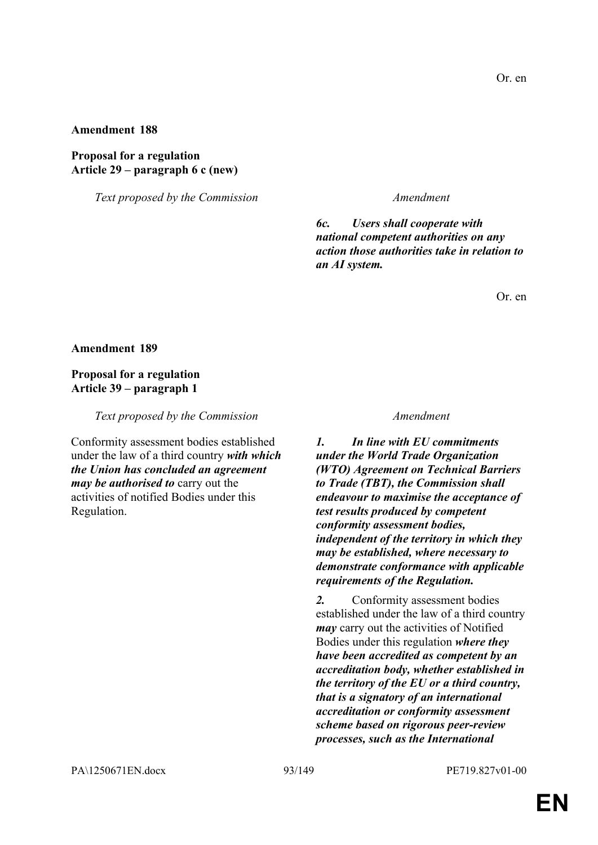**Proposal for a regulation Article 29 – paragraph 6 c (new)**

*Text proposed by the Commission Amendment*

*6c. Users shall cooperate with national competent authorities on any action those authorities take in relation to an AI system.*

Or. en

**Amendment 189**

## **Proposal for a regulation Article 39 – paragraph 1**

*Text proposed by the Commission Amendment*

Conformity assessment bodies established under the law of a third country *with which the Union has concluded an agreement may be authorised to* carry out the activities of notified Bodies under this Regulation.

*1. In line with EU commitments under the World Trade Organization (WTO) Agreement on Technical Barriers to Trade (TBT), the Commission shall endeavour to maximise the acceptance of test results produced by competent conformity assessment bodies, independent of the territory in which they may be established, where necessary to demonstrate conformance with applicable requirements of the Regulation.*

*2.* Conformity assessment bodies established under the law of a third country *may* carry out the activities of Notified Bodies under this regulation *where they have been accredited as competent by an accreditation body, whether established in the territory of the EU or a third country, that is a signatory of an international accreditation or conformity assessment scheme based on rigorous peer-review processes, such as the International*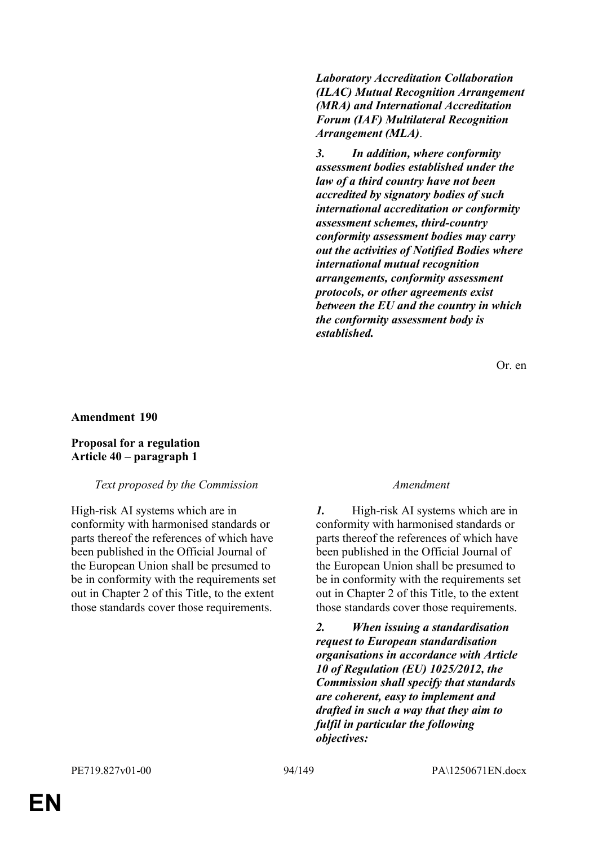*Laboratory Accreditation Collaboration (ILAC) Mutual Recognition Arrangement (MRA) and International Accreditation Forum (IAF) Multilateral Recognition Arrangement (MLA)*.

*3. In addition, where conformity assessment bodies established under the law of a third country have not been accredited by signatory bodies of such international accreditation or conformity assessment schemes, third-country conformity assessment bodies may carry out the activities of Notified Bodies where international mutual recognition arrangements, conformity assessment protocols, or other agreements exist between the EU and the country in which the conformity assessment body is established.*

Or. en

### **Amendment 190**

### **Proposal for a regulation Article 40 – paragraph 1**

## *Text proposed by the Commission Amendment*

High-risk AI systems which are in conformity with harmonised standards or parts thereof the references of which have been published in the Official Journal of the European Union shall be presumed to be in conformity with the requirements set out in Chapter 2 of this Title, to the extent those standards cover those requirements.

*1.* High-risk AI systems which are in conformity with harmonised standards or parts thereof the references of which have been published in the Official Journal of the European Union shall be presumed to be in conformity with the requirements set out in Chapter 2 of this Title, to the extent those standards cover those requirements.

*2. When issuing a standardisation request to European standardisation organisations in accordance with Article 10 of Regulation (EU) 1025/2012, the Commission shall specify that standards are coherent, easy to implement and drafted in such a way that they aim to fulfil in particular the following objectives:*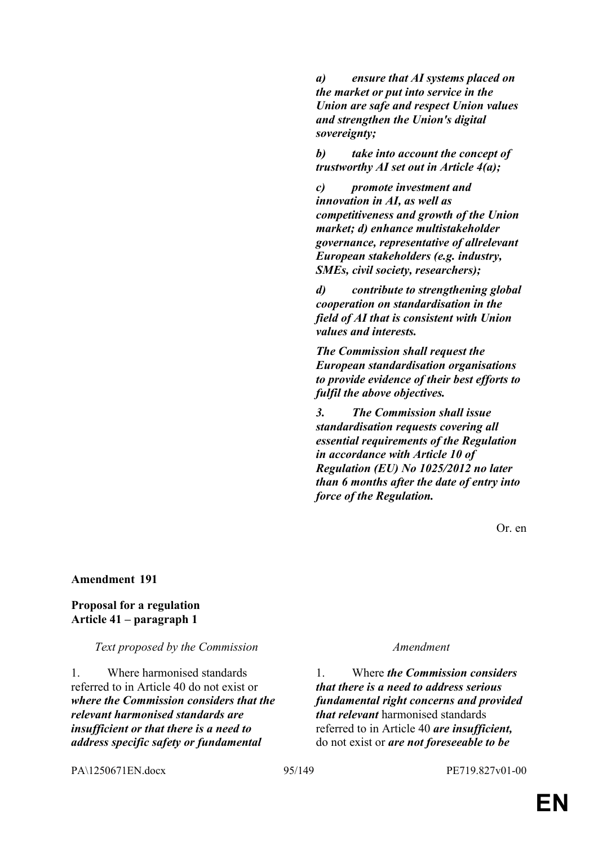*a) ensure that AI systems placed on the market or put into service in the Union are safe and respect Union values and strengthen the Union's digital sovereignty;*

*b) take into account the concept of trustworthy AI set out in Article 4(a);*

*c) promote investment and innovation in AI, as well as competitiveness and growth of the Union market; d) enhance multistakeholder governance, representative of allrelevant European stakeholders (e.g. industry, SMEs, civil society, researchers);*

*d) contribute to strengthening global cooperation on standardisation in the field of AI that is consistent with Union values and interests.*

*The Commission shall request the European standardisation organisations to provide evidence of their best efforts to fulfil the above objectives.*

*3. The Commission shall issue standardisation requests covering all essential requirements of the Regulation in accordance with Article 10 of Regulation (EU) No 1025/2012 no later than 6 months after the date of entry into force of the Regulation.*

Or. en

### **Amendment 191**

### **Proposal for a regulation Article 41 – paragraph 1**

*Text proposed by the Commission Amendment*

1. Where harmonised standards referred to in Article 40 do not exist or *where the Commission considers that the relevant harmonised standards are insufficient or that there is a need to address specific safety or fundamental* 

1. Where *the Commission considers that there is a need to address serious fundamental right concerns and provided that relevant* harmonised standards referred to in Article 40 *are insufficient,* do not exist or *are not foreseeable to be* 

PA\1250671EN.docx 95/149 PE719.827v01-00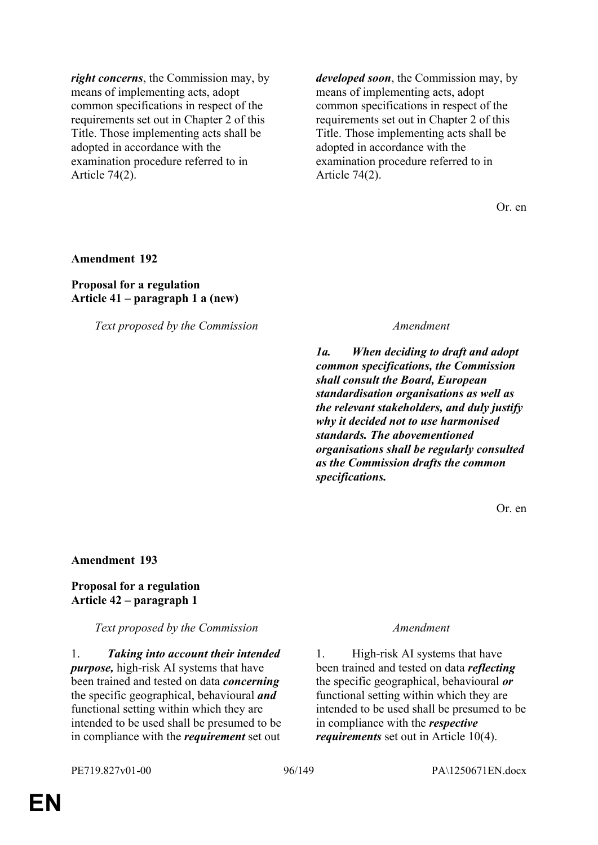*right concerns*, the Commission may, by means of implementing acts, adopt common specifications in respect of the requirements set out in Chapter 2 of this Title. Those implementing acts shall be adopted in accordance with the examination procedure referred to in Article 74(2).

*developed soon*, the Commission may, by means of implementing acts, adopt common specifications in respect of the requirements set out in Chapter 2 of this Title. Those implementing acts shall be adopted in accordance with the examination procedure referred to in Article 74(2).

Or. en

### **Amendment 192**

## **Proposal for a regulation Article 41 – paragraph 1 a (new)**

*Text proposed by the Commission Amendment*

*1a. When deciding to draft and adopt common specifications, the Commission shall consult the Board, European standardisation organisations as well as the relevant stakeholders, and duly justify why it decided not to use harmonised standards. The abovementioned organisations shall be regularly consulted as the Commission drafts the common specifications.*

Or. en

### **Amendment 193**

## **Proposal for a regulation Article 42 – paragraph 1**

*Text proposed by the Commission Amendment*

1. *Taking into account their intended purpose,* high-risk AI systems that have been trained and tested on data *concerning* the specific geographical, behavioural *and* functional setting within which they are intended to be used shall be presumed to be in compliance with the *requirement* set out

1. High-risk AI systems that have been trained and tested on data *reflecting* the specific geographical, behavioural *or* functional setting within which they are intended to be used shall be presumed to be in compliance with the *respective requirements* set out in Article 10(4).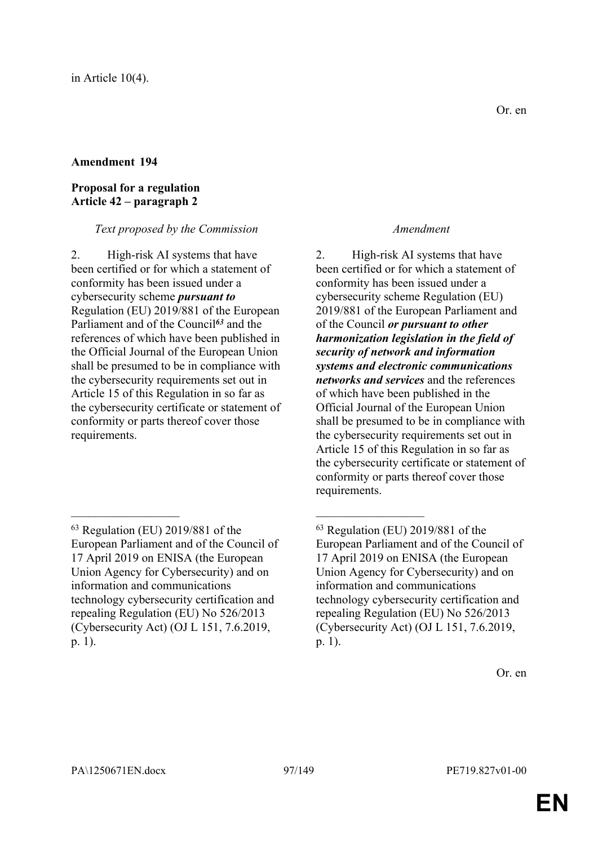## **Proposal for a regulation Article 42 – paragraph 2**

# *Text proposed by the Commission Amendment*

2. High-risk AI systems that have been certified or for which a statement of conformity has been issued under a cybersecurity scheme *pursuant to* Regulation (EU) 2019/881 of the European Parliament and of the Council*<sup>63</sup>* and the references of which have been published in the Official Journal of the European Union shall be presumed to be in compliance with the cybersecurity requirements set out in Article 15 of this Regulation in so far as the cybersecurity certificate or statement of conformity or parts thereof cover those requirements.

 $\mathcal{L}_\text{max}$  , and the contract of the contract of the contract of the contract of the contract of the contract of

2. High-risk AI systems that have been certified or for which a statement of conformity has been issued under a cybersecurity scheme Regulation (EU) 2019/881 of the European Parliament and of the Council *or pursuant to other harmonization legislation in the field of security of network and information systems and electronic communications networks and services* and the references of which have been published in the Official Journal of the European Union shall be presumed to be in compliance with the cybersecurity requirements set out in Article 15 of this Regulation in so far as the cybersecurity certificate or statement of conformity or parts thereof cover those requirements.

<sup>63</sup> Regulation (EU) 2019/881 of the European Parliament and of the Council of 17 April 2019 on ENISA (the European Union Agency for Cybersecurity) and on information and communications technology cybersecurity certification and repealing Regulation (EU) No 526/2013 (Cybersecurity Act) (OJ L 151, 7.6.2019, p. 1).

<sup>63</sup> Regulation (EU) 2019/881 of the European Parliament and of the Council of 17 April 2019 on ENISA (the European Union Agency for Cybersecurity) and on information and communications technology cybersecurity certification and repealing Regulation (EU) No 526/2013 (Cybersecurity Act) (OJ L 151, 7.6.2019, p. 1).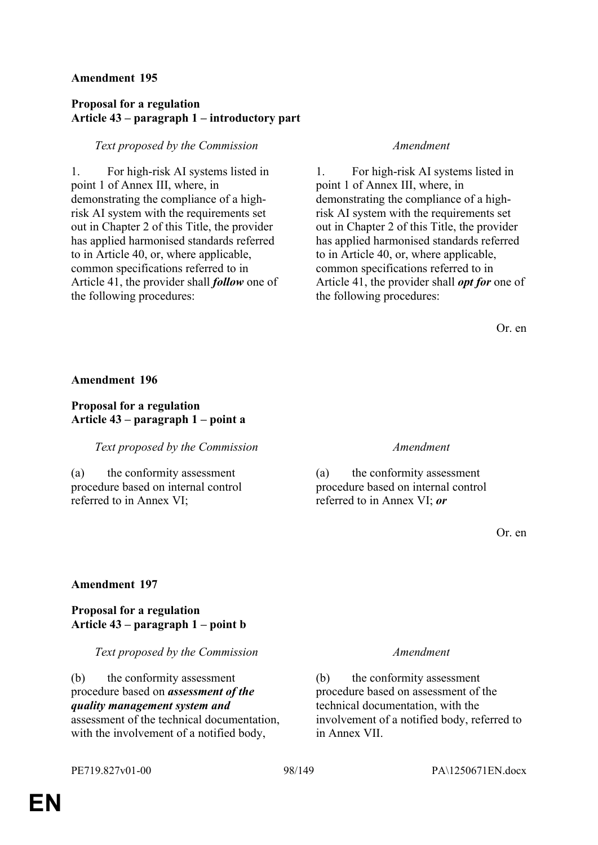# **Proposal for a regulation Article 43 – paragraph 1 – introductory part**

## *Text proposed by the Commission Amendment*

1. For high-risk AI systems listed in point 1 of Annex III, where, in demonstrating the compliance of a highrisk AI system with the requirements set out in Chapter 2 of this Title, the provider has applied harmonised standards referred to in Article 40, or, where applicable, common specifications referred to in Article 41, the provider shall *follow* one of the following procedures:

1. For high-risk AI systems listed in point 1 of Annex III, where, in demonstrating the compliance of a highrisk AI system with the requirements set out in Chapter 2 of this Title, the provider has applied harmonised standards referred to in Article 40, or, where applicable, common specifications referred to in Article 41, the provider shall *opt for* one of the following procedures:

Or. en

## **Amendment 196**

# **Proposal for a regulation Article 43 – paragraph 1 – point a**

## *Text proposed by the Commission Amendment*

(a) the conformity assessment procedure based on internal control referred to in Annex VI;

(a) the conformity assessment procedure based on internal control referred to in Annex VI; *or*

Or. en

# **Amendment 197**

# **Proposal for a regulation Article 43 – paragraph 1 – point b**

## *Text proposed by the Commission Amendment*

(b) the conformity assessment procedure based on *assessment of the quality management system and* assessment of the technical documentation, with the involvement of a notified body,

(b) the conformity assessment procedure based on assessment of the technical documentation, with the involvement of a notified body, referred to in Annex VII.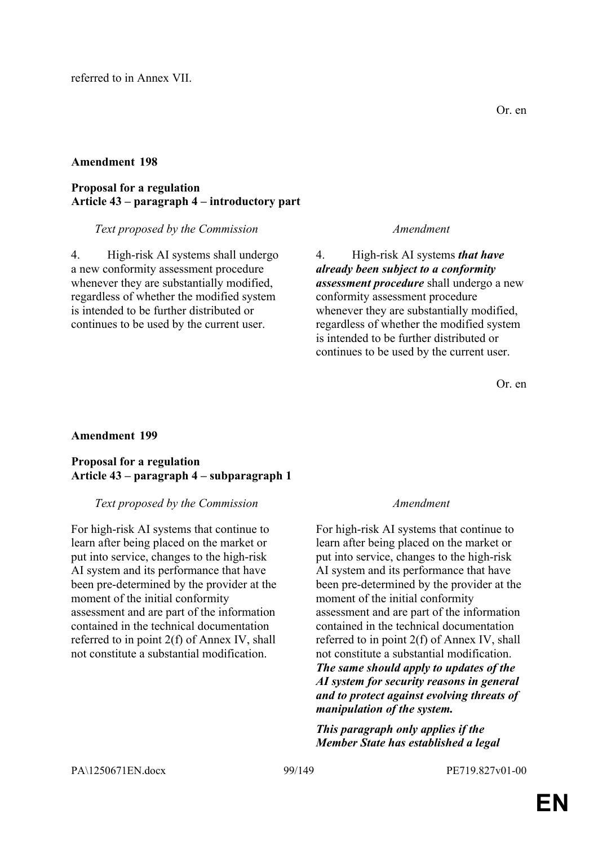## **Proposal for a regulation Article 43 – paragraph 4 – introductory part**

## *Text proposed by the Commission Amendment*

4. High-risk AI systems shall undergo a new conformity assessment procedure whenever they are substantially modified, regardless of whether the modified system is intended to be further distributed or continues to be used by the current user.

4. High-risk AI systems *that have already been subject to a conformity assessment procedure* shall undergo a new conformity assessment procedure whenever they are substantially modified, regardless of whether the modified system is intended to be further distributed or continues to be used by the current user.

Or. en

# **Amendment 199**

# **Proposal for a regulation Article 43 – paragraph 4 – subparagraph 1**

## *Text proposed by the Commission Amendment*

For high-risk AI systems that continue to learn after being placed on the market or put into service, changes to the high-risk AI system and its performance that have been pre-determined by the provider at the moment of the initial conformity assessment and are part of the information contained in the technical documentation referred to in point 2(f) of Annex IV, shall not constitute a substantial modification.

For high-risk AI systems that continue to learn after being placed on the market or put into service, changes to the high-risk AI system and its performance that have been pre-determined by the provider at the moment of the initial conformity assessment and are part of the information contained in the technical documentation referred to in point 2(f) of Annex IV, shall not constitute a substantial modification. *The same should apply to updates of the AI system for security reasons in general and to protect against evolving threats of manipulation of the system.*

*This paragraph only applies if the Member State has established a legal*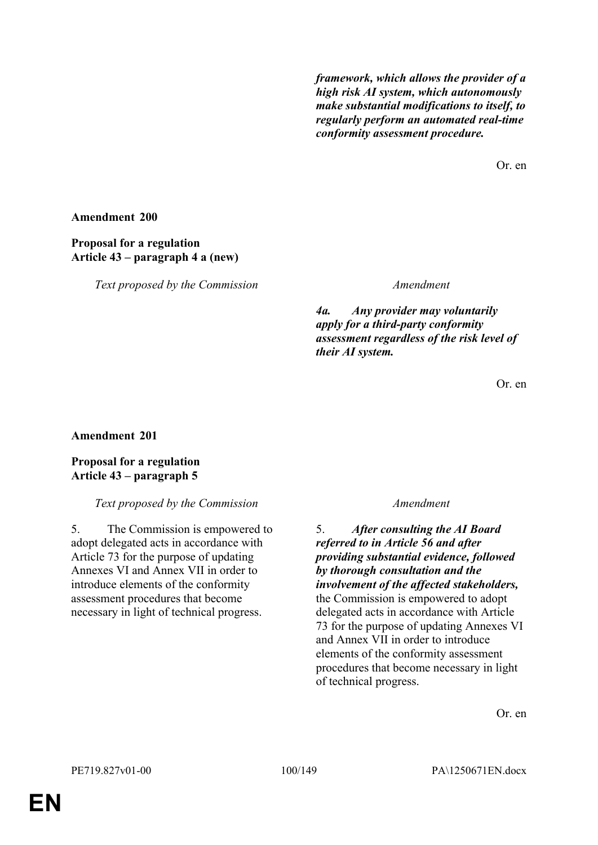*framework, which allows the provider of a high risk AI system, which autonomously make substantial modifications to itself, to regularly perform an automated real-time conformity assessment procedure.*

Or. en

## **Amendment 200**

# **Proposal for a regulation Article 43 – paragraph 4 a (new)**

*Text proposed by the Commission Amendment*

*4a. Any provider may voluntarily apply for a third-party conformity assessment regardless of the risk level of their AI system.*

Or. en

# **Amendment 201**

# **Proposal for a regulation Article 43 – paragraph 5**

## *Text proposed by the Commission Amendment*

5. The Commission is empowered to adopt delegated acts in accordance with Article 73 for the purpose of updating Annexes VI and Annex VII in order to introduce elements of the conformity assessment procedures that become necessary in light of technical progress.

5. *After consulting the AI Board referred to in Article 56 and after providing substantial evidence, followed by thorough consultation and the involvement of the affected stakeholders,* the Commission is empowered to adopt delegated acts in accordance with Article 73 for the purpose of updating Annexes VI and Annex VII in order to introduce elements of the conformity assessment procedures that become necessary in light of technical progress.

Or. en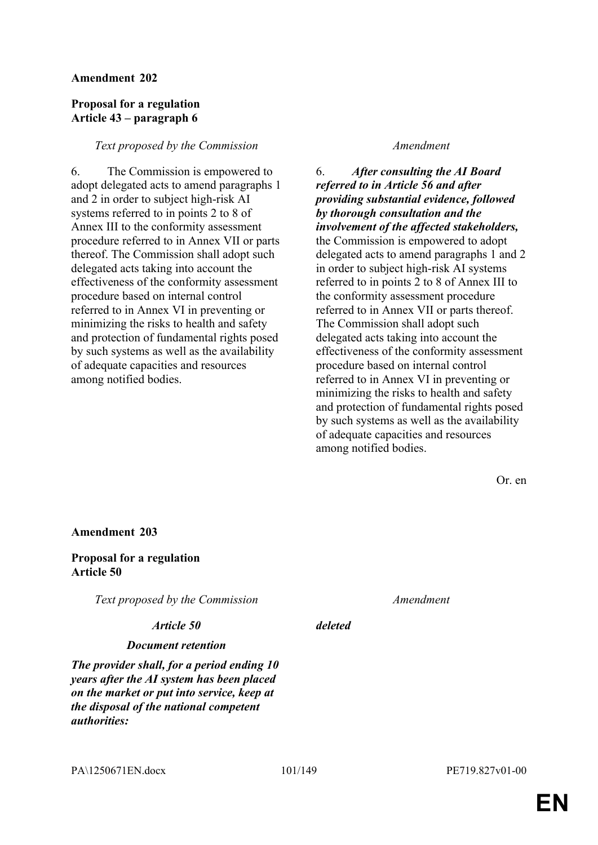## **Proposal for a regulation Article 43 – paragraph 6**

## *Text proposed by the Commission Amendment*

6. The Commission is empowered to adopt delegated acts to amend paragraphs 1 and 2 in order to subject high-risk AI systems referred to in points 2 to 8 of Annex III to the conformity assessment procedure referred to in Annex VII or parts thereof. The Commission shall adopt such delegated acts taking into account the effectiveness of the conformity assessment procedure based on internal control referred to in Annex VI in preventing or minimizing the risks to health and safety and protection of fundamental rights posed by such systems as well as the availability of adequate capacities and resources among notified bodies.

6. *After consulting the AI Board referred to in Article 56 and after providing substantial evidence, followed by thorough consultation and the involvement of the affected stakeholders,* the Commission is empowered to adopt delegated acts to amend paragraphs 1 and 2 in order to subject high-risk AI systems referred to in points 2 to 8 of Annex III to the conformity assessment procedure referred to in Annex VII or parts thereof. The Commission shall adopt such delegated acts taking into account the effectiveness of the conformity assessment procedure based on internal control referred to in Annex VI in preventing or minimizing the risks to health and safety and protection of fundamental rights posed by such systems as well as the availability of adequate capacities and resources among notified bodies.

Or. en

**Amendment 203**

**Proposal for a regulation Article 50**

*Text proposed by the Commission Amendment*

### *Article 50 deleted*

## *Document retention*

*The provider shall, for a period ending 10 years after the AI system has been placed on the market or put into service, keep at the disposal of the national competent authorities:*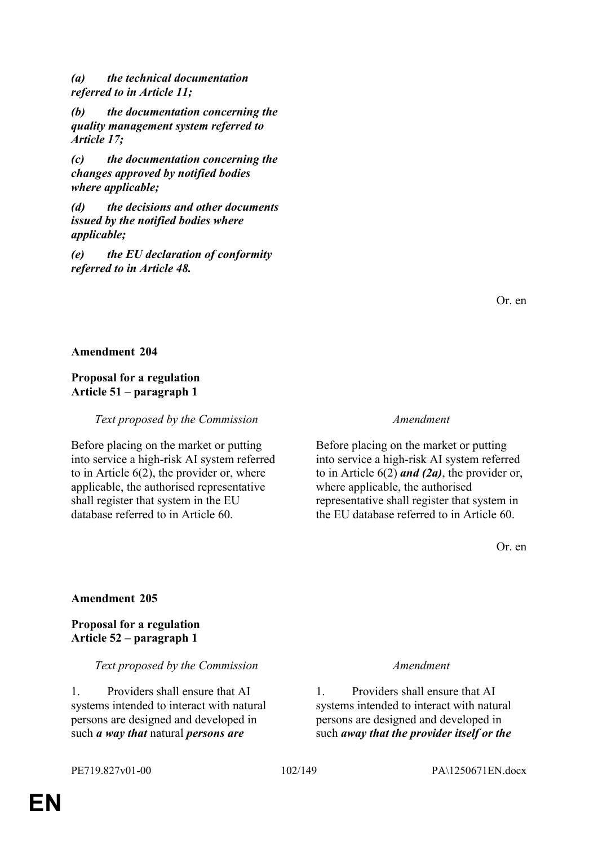*(a) the technical documentation referred to in Article 11;*

*(b) the documentation concerning the quality management system referred to Article 17;*

*(c) the documentation concerning the changes approved by notified bodies where applicable;*

*(d) the decisions and other documents issued by the notified bodies where applicable;*

*(e) the EU declaration of conformity referred to in Article 48.*

Or. en

### **Amendment 204**

# **Proposal for a regulation Article 51 – paragraph 1**

*Text proposed by the Commission Amendment*

Before placing on the market or putting into service a high-risk AI system referred to in Article 6(2), the provider or, where applicable, the authorised representative shall register that system in the EU database referred to in Article 60.

Before placing on the market or putting into service a high-risk AI system referred to in Article 6(2) *and (2a)*, the provider or, where applicable, the authorised representative shall register that system in the EU database referred to in Article 60.

Or. en

## **Amendment 205**

**Proposal for a regulation Article 52 – paragraph 1**

## *Text proposed by the Commission Amendment*

1. Providers shall ensure that AI systems intended to interact with natural persons are designed and developed in such *a way that* natural *persons are* 

1. Providers shall ensure that AI systems intended to interact with natural persons are designed and developed in such *away that the provider itself or the*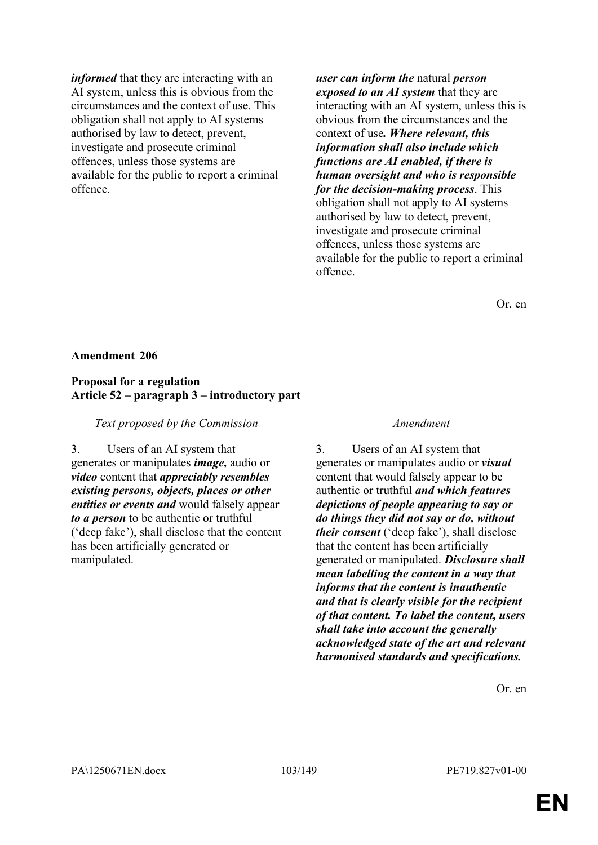*informed* that they are interacting with an AI system, unless this is obvious from the circumstances and the context of use. This obligation shall not apply to AI systems authorised by law to detect, prevent, investigate and prosecute criminal offences, unless those systems are available for the public to report a criminal offence.

*user can inform the* natural *person exposed to an AI system* that they are interacting with an AI system, unless this is obvious from the circumstances and the context of use*. Where relevant, this information shall also include which functions are AI enabled, if there is human oversight and who is responsible for the decision-making process*. This obligation shall not apply to AI systems authorised by law to detect, prevent, investigate and prosecute criminal offences, unless those systems are available for the public to report a criminal offence.

Or. en

### **Amendment 206**

## **Proposal for a regulation Article 52 – paragraph 3 – introductory part**

*Text proposed by the Commission Amendment*

3. Users of an AI system that generates or manipulates *image,* audio or *video* content that *appreciably resembles existing persons, objects, places or other entities or events and* would falsely appear *to a person* to be authentic or truthful ('deep fake'), shall disclose that the content has been artificially generated or manipulated.

3. Users of an AI system that generates or manipulates audio or *visual* content that would falsely appear to be authentic or truthful *and which features depictions of people appearing to say or do things they did not say or do, without their consent* ('deep fake'), shall disclose that the content has been artificially generated or manipulated. *Disclosure shall mean labelling the content in a way that informs that the content is inauthentic and that is clearly visible for the recipient of that content. To label the content, users shall take into account the generally acknowledged state of the art and relevant harmonised standards and specifications.*

Or. en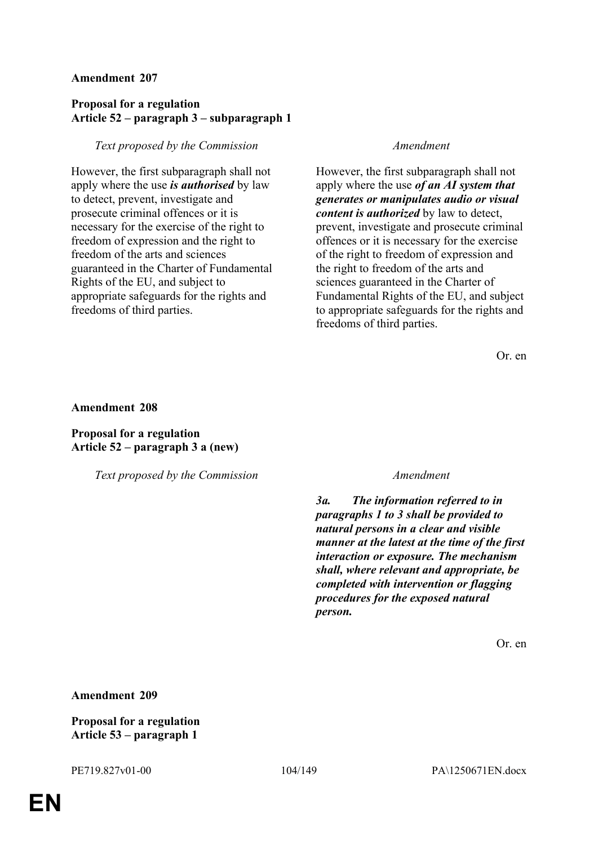# **Proposal for a regulation Article 52 – paragraph 3 – subparagraph 1**

# *Text proposed by the Commission Amendment*

However, the first subparagraph shall not apply where the use *is authorised* by law to detect, prevent, investigate and prosecute criminal offences or it is necessary for the exercise of the right to freedom of expression and the right to freedom of the arts and sciences guaranteed in the Charter of Fundamental Rights of the EU, and subject to appropriate safeguards for the rights and freedoms of third parties.

However, the first subparagraph shall not apply where the use *of an AI system that generates or manipulates audio or visual content is authorized* by law to detect, prevent, investigate and prosecute criminal offences or it is necessary for the exercise of the right to freedom of expression and the right to freedom of the arts and sciences guaranteed in the Charter of Fundamental Rights of the EU, and subject to appropriate safeguards for the rights and freedoms of third parties.

Or. en

### **Amendment 208**

# **Proposal for a regulation Article 52 – paragraph 3 a (new)**

*Text proposed by the Commission Amendment*

*3a. The information referred to in paragraphs 1 to 3 shall be provided to natural persons in a clear and visible manner at the latest at the time of the first interaction or exposure. The mechanism shall, where relevant and appropriate, be completed with intervention or flagging procedures for the exposed natural person.*

Or. en

## **Amendment 209**

# **Proposal for a regulation Article 53 – paragraph 1**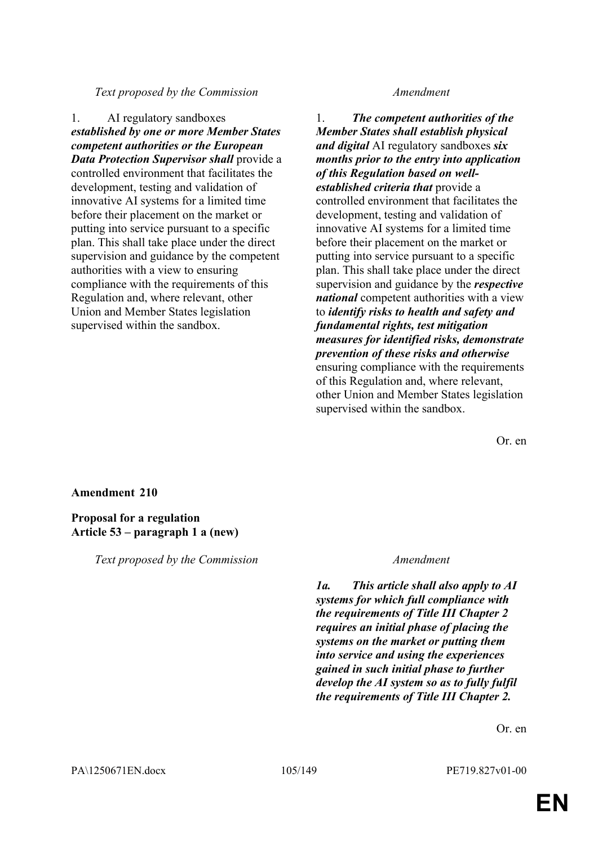## *Text proposed by the Commission Amendment*

1. AI regulatory sandboxes *established by one or more Member States competent authorities or the European Data Protection Supervisor shall* provide a controlled environment that facilitates the development, testing and validation of innovative AI systems for a limited time before their placement on the market or putting into service pursuant to a specific plan. This shall take place under the direct supervision and guidance by the competent authorities with a view to ensuring compliance with the requirements of this Regulation and, where relevant, other Union and Member States legislation supervised within the sandbox.

1. *The competent authorities of the Member States shall establish physical and digital* AI regulatory sandboxes *six months prior to the entry into application of this Regulation based on wellestablished criteria that* provide a controlled environment that facilitates the development, testing and validation of innovative AI systems for a limited time before their placement on the market or putting into service pursuant to a specific plan. This shall take place under the direct supervision and guidance by the *respective national* competent authorities with a view to *identify risks to health and safety and fundamental rights, test mitigation measures for identified risks, demonstrate prevention of these risks and otherwise* ensuring compliance with the requirements of this Regulation and, where relevant, other Union and Member States legislation supervised within the sandbox.

Or. en

### **Amendment 210**

## **Proposal for a regulation Article 53 – paragraph 1 a (new)**

*Text proposed by the Commission Amendment*

*1a. This article shall also apply to AI systems for which full compliance with the requirements of Title III Chapter 2 requires an initial phase of placing the systems on the market or putting them into service and using the experiences gained in such initial phase to further develop the AI system so as to fully fulfil the requirements of Title III Chapter 2.*

Or. en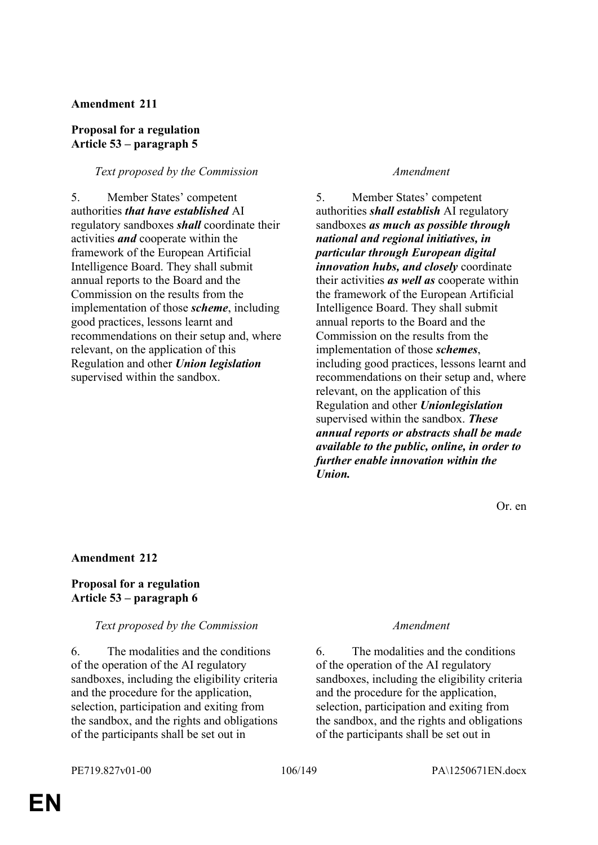## **Proposal for a regulation Article 53 – paragraph 5**

## *Text proposed by the Commission Amendment*

5. Member States' competent authorities *that have established* AI regulatory sandboxes *shall* coordinate their activities *and* cooperate within the framework of the European Artificial Intelligence Board. They shall submit annual reports to the Board and the Commission on the results from the implementation of those *scheme*, including good practices, lessons learnt and recommendations on their setup and, where relevant, on the application of this Regulation and other *Union legislation* supervised within the sandbox.

5. Member States' competent authorities *shall establish* AI regulatory sandboxes *as much as possible through national and regional initiatives, in particular through European digital innovation hubs, and closely* coordinate their activities *as well as* cooperate within the framework of the European Artificial Intelligence Board. They shall submit annual reports to the Board and the Commission on the results from the implementation of those *schemes*, including good practices, lessons learnt and recommendations on their setup and, where relevant, on the application of this Regulation and other *Unionlegislation* supervised within the sandbox. *These annual reports or abstracts shall be made available to the public, online, in order to further enable innovation within the Union.*

Or. en

# **Amendment 212**

# **Proposal for a regulation Article 53 – paragraph 6**

## *Text proposed by the Commission Amendment*

6. The modalities and the conditions of the operation of the AI regulatory sandboxes, including the eligibility criteria and the procedure for the application, selection, participation and exiting from the sandbox, and the rights and obligations of the participants shall be set out in

6. The modalities and the conditions of the operation of the AI regulatory sandboxes, including the eligibility criteria and the procedure for the application, selection, participation and exiting from the sandbox, and the rights and obligations of the participants shall be set out in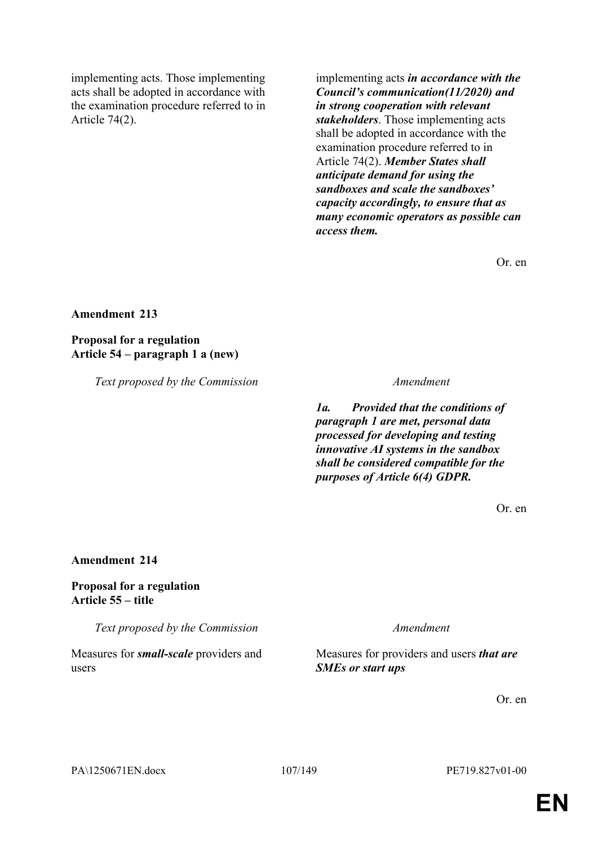implementing acts. Those implementing acts shall be adopted in accordance with the examination procedure referred to in Article 74(2).

implementing acts *in accordance with the Council's communication(11/2020) and in strong cooperation with relevant stakeholders*. Those implementing acts shall be adopted in accordance with the examination procedure referred to in Article 74(2). *Member States shall anticipate demand for using the sandboxes and scale the sandboxes' capacity accordingly, to ensure that as many economic operators as possible can access them.*

Or. en

## **Amendment 213**

**Proposal for a regulation Article 54 – paragraph 1 a (new)**

*Text proposed by the Commission Amendment*

*1a. Provided that the conditions of paragraph 1 are met, personal data processed for developing and testing innovative AI systems in the sandbox shall be considered compatible for the purposes of Article 6(4) GDPR.*

Or. en

## **Amendment 214**

# **Proposal for a regulation Article 55 – title**

*Text proposed by the Commission Amendment*

Measures for *small-scale* providers and users

Measures for providers and users *that are SMEs or start ups*

Or. en

PA\1250671EN.docx 107/149 PE719.827v01-00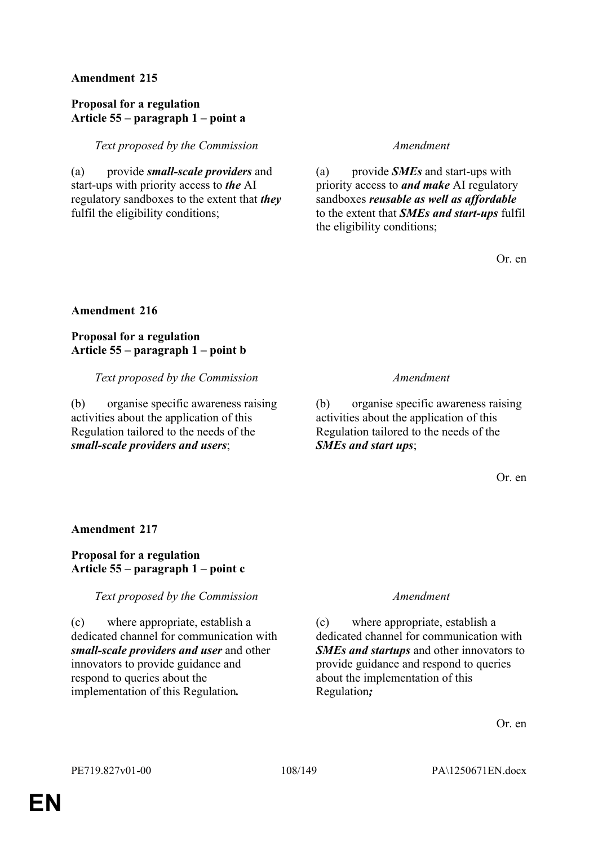## **Proposal for a regulation Article 55 – paragraph 1 – point a**

*Text proposed by the Commission Amendment*

(a) provide *small-scale providers* and start-ups with priority access to *the* AI regulatory sandboxes to the extent that *they* fulfil the eligibility conditions;

(a) provide *SMEs* and start-ups with priority access to *and make* AI regulatory sandboxes *reusable as well as affordable* to the extent that *SMEs and start-ups* fulfil the eligibility conditions;

Or. en

## **Amendment 216**

**Proposal for a regulation Article 55 – paragraph 1 – point b**

*Text proposed by the Commission Amendment*

(b) organise specific awareness raising activities about the application of this Regulation tailored to the needs of the *small-scale providers and users*;

(b) organise specific awareness raising activities about the application of this Regulation tailored to the needs of the *SMEs and start ups*;

Or. en

## **Amendment 217**

# **Proposal for a regulation Article 55 – paragraph 1 – point c**

## *Text proposed by the Commission Amendment*

(c) where appropriate, establish a dedicated channel for communication with *small-scale providers and user* and other innovators to provide guidance and respond to queries about the implementation of this Regulation*.*

(c) where appropriate, establish a dedicated channel for communication with *SMEs and startups* and other innovators to provide guidance and respond to queries about the implementation of this Regulation*;*

Or. en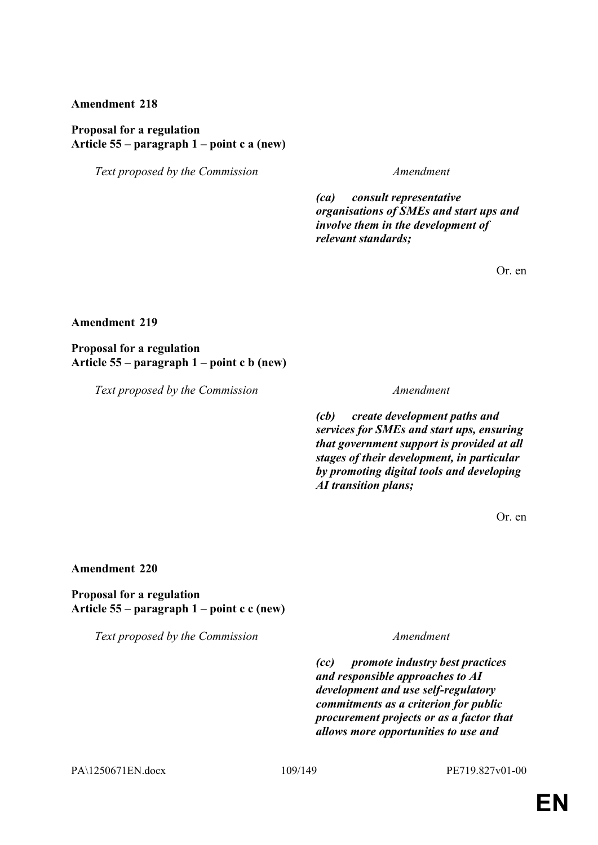### **Proposal for a regulation Article 55 – paragraph 1 – point c a (new)**

*Text proposed by the Commission Amendment*

*(ca) consult representative organisations of SMEs and start ups and involve them in the development of relevant standards;*

Or. en

### **Amendment 219**

**Proposal for a regulation Article 55 – paragraph 1 – point c b (new)**

*Text proposed by the Commission Amendment*

*(cb) create development paths and services for SMEs and start ups, ensuring that government support is provided at all stages of their development, in particular by promoting digital tools and developing AI transition plans;*

Or. en

### **Amendment 220**

**Proposal for a regulation Article 55 – paragraph 1 – point c c (new)**

*Text proposed by the Commission Amendment*

*(cc) promote industry best practices and responsible approaches to AI development and use self-regulatory commitments as a criterion for public procurement projects or as a factor that allows more opportunities to use and* 

PA\1250671EN.docx 109/149 PE719.827v01-00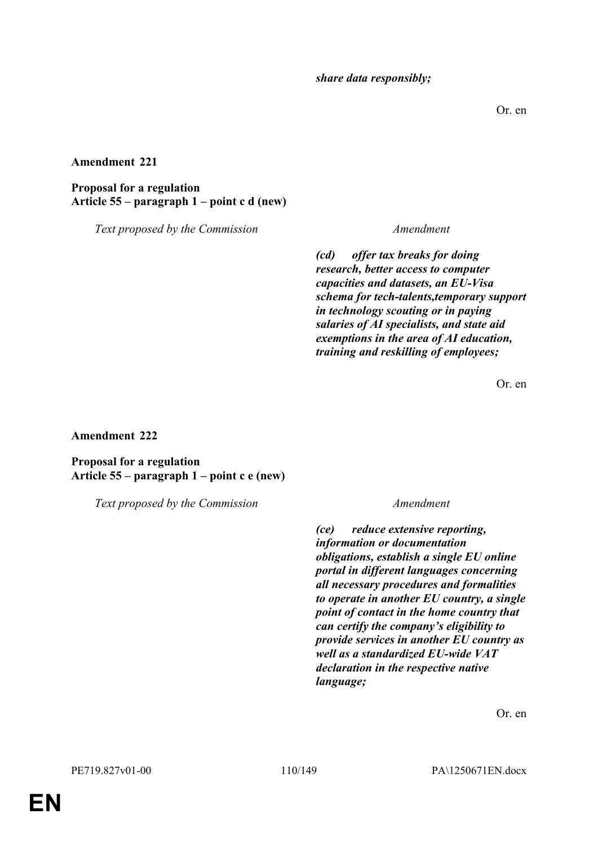*share data responsibly;*

Or. en

### **Amendment 221**

**Proposal for a regulation Article 55 – paragraph 1 – point c d (new)**

*Text proposed by the Commission Amendment*

*(cd) offer tax breaks for doing research, better access to computer capacities and datasets, an EU-Visa schema for tech-talents,temporary support in technology scouting or in paying salaries of AI specialists, and state aid exemptions in the area of AI education, training and reskilling of employees;*

Or. en

**Amendment 222**

**Proposal for a regulation Article 55 – paragraph 1 – point c e (new)**

*Text proposed by the Commission Amendment*

*(ce) reduce extensive reporting, information or documentation obligations, establish a single EU online portal in different languages concerning all necessary procedures and formalities to operate in another EU country, a single point of contact in the home country that can certify the company's eligibility to provide services in another EU country as well as a standardized EU-wide VAT declaration in the respective native language;*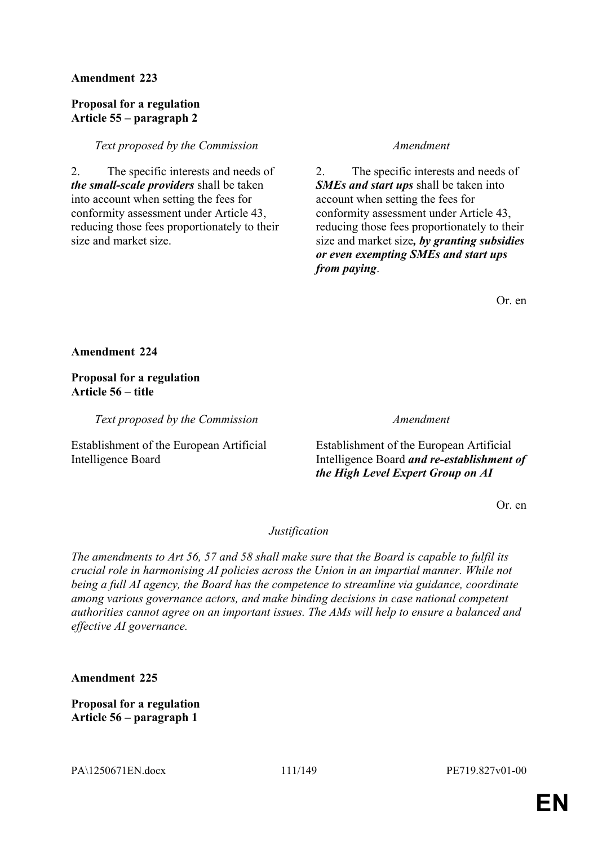### **Proposal for a regulation Article 55 – paragraph 2**

### *Text proposed by the Commission Amendment*

2. The specific interests and needs of *the small-scale providers* shall be taken into account when setting the fees for conformity assessment under Article 43, reducing those fees proportionately to their size and market size.

2. The specific interests and needs of *SMEs and start ups* shall be taken into account when setting the fees for conformity assessment under Article 43, reducing those fees proportionately to their size and market size*, by granting subsidies or even exempting SMEs and start ups from paying*.

Or. en

**Amendment 224**

**Proposal for a regulation Article 56 – title**

*Text proposed by the Commission Amendment*

Establishment of the European Artificial Intelligence Board

Establishment of the European Artificial Intelligence Board *and re-establishment of the High Level Expert Group on AI*

Or. en

*Justification*

*The amendments to Art 56, 57 and 58 shall make sure that the Board is capable to fulfil its crucial role in harmonising AI policies across the Union in an impartial manner. While not being a full AI agency, the Board has the competence to streamline via guidance, coordinate among various governance actors, and make binding decisions in case national competent authorities cannot agree on an important issues. The AMs will help to ensure a balanced and effective AI governance.*

**Amendment 225**

**Proposal for a regulation Article 56 – paragraph 1**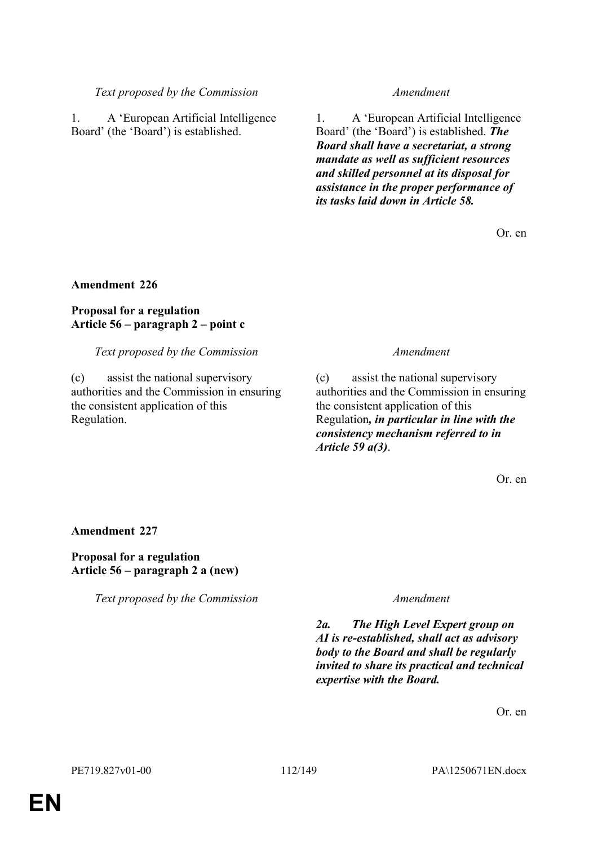### *Text proposed by the Commission Amendment*

1. A 'European Artificial Intelligence Board' (the 'Board') is established.

1. A 'European Artificial Intelligence Board' (the 'Board') is established. *The Board shall have a secretariat, a strong mandate as well as sufficient resources and skilled personnel at its disposal for assistance in the proper performance of its tasks laid down in Article 58.*

Or. en

### **Amendment 226**

### **Proposal for a regulation Article 56 – paragraph 2 – point c**

### *Text proposed by the Commission Amendment*

(c) assist the national supervisory authorities and the Commission in ensuring the consistent application of this Regulation.

(c) assist the national supervisory authorities and the Commission in ensuring the consistent application of this Regulation*, in particular in line with the consistency mechanism referred to in Article 59 a(3)*.

Or. en

### **Amendment 227**

**Proposal for a regulation Article 56 – paragraph 2 a (new)**

*Text proposed by the Commission Amendment*

*2a. The High Level Expert group on AI is re-established, shall act as advisory body to the Board and shall be regularly invited to share its practical and technical expertise with the Board.*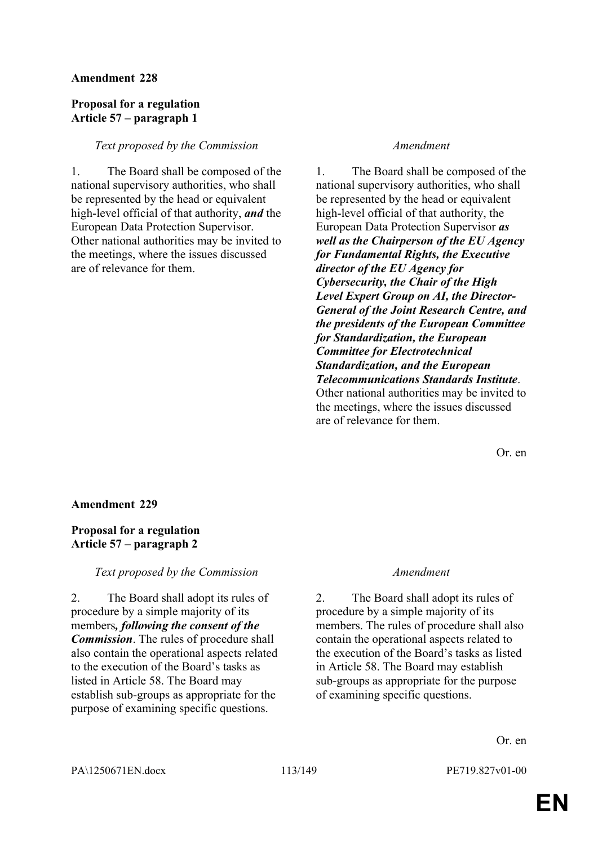## **Proposal for a regulation Article 57 – paragraph 1**

### *Text proposed by the Commission Amendment*

1. The Board shall be composed of the national supervisory authorities, who shall be represented by the head or equivalent high-level official of that authority, *and* the European Data Protection Supervisor. Other national authorities may be invited to the meetings, where the issues discussed are of relevance for them.

1. The Board shall be composed of the national supervisory authorities, who shall be represented by the head or equivalent high-level official of that authority, the European Data Protection Supervisor *as well as the Chairperson of the EU Agency for Fundamental Rights, the Executive director of the EU Agency for Cybersecurity, the Chair of the High Level Expert Group on AI, the Director-General of the Joint Research Centre, and the presidents of the European Committee for Standardization, the European Committee for Electrotechnical Standardization, and the European Telecommunications Standards Institute*. Other national authorities may be invited to the meetings, where the issues discussed are of relevance for them.

Or. en

### **Amendment 229**

## **Proposal for a regulation Article 57 – paragraph 2**

*Text proposed by the Commission Amendment*

2. The Board shall adopt its rules of procedure by a simple majority of its members*, following the consent of the Commission*. The rules of procedure shall also contain the operational aspects related to the execution of the Board's tasks as listed in Article 58. The Board may establish sub-groups as appropriate for the purpose of examining specific questions.

2. The Board shall adopt its rules of procedure by a simple majority of its members. The rules of procedure shall also contain the operational aspects related to the execution of the Board's tasks as listed in Article 58. The Board may establish sub-groups as appropriate for the purpose of examining specific questions.

Or. en

PA\1250671EN.docx 113/149 PE719.827v01-00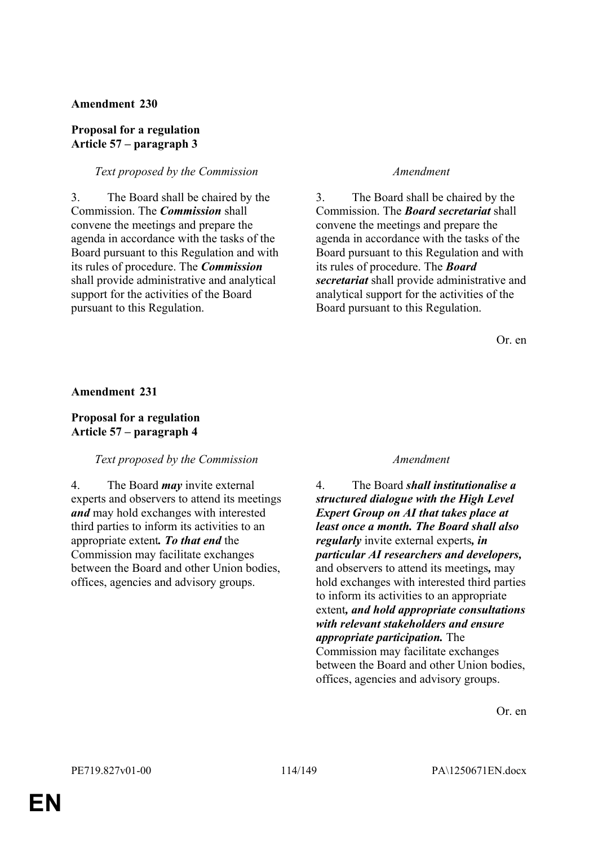### **Proposal for a regulation Article 57 – paragraph 3**

### *Text proposed by the Commission Amendment*

3. The Board shall be chaired by the Commission. The *Commission* shall convene the meetings and prepare the agenda in accordance with the tasks of the Board pursuant to this Regulation and with its rules of procedure. The *Commission* shall provide administrative and analytical support for the activities of the Board pursuant to this Regulation.

3. The Board shall be chaired by the Commission. The *Board secretariat* shall convene the meetings and prepare the agenda in accordance with the tasks of the Board pursuant to this Regulation and with its rules of procedure. The *Board secretariat* shall provide administrative and analytical support for the activities of the Board pursuant to this Regulation.

Or. en

**Amendment 231**

# **Proposal for a regulation Article 57 – paragraph 4**

# *Text proposed by the Commission Amendment*

4. The Board *may* invite external experts and observers to attend its meetings *and* may hold exchanges with interested third parties to inform its activities to an appropriate extent*. To that end* the Commission may facilitate exchanges between the Board and other Union bodies, offices, agencies and advisory groups.

4. The Board *shall institutionalise a structured dialogue with the High Level Expert Group on AI that takes place at least once a month. The Board shall also regularly* invite external experts*, in particular AI researchers and developers,* and observers to attend its meetings*,* may hold exchanges with interested third parties to inform its activities to an appropriate extent*, and hold appropriate consultations with relevant stakeholders and ensure appropriate participation.* The Commission may facilitate exchanges between the Board and other Union bodies, offices, agencies and advisory groups.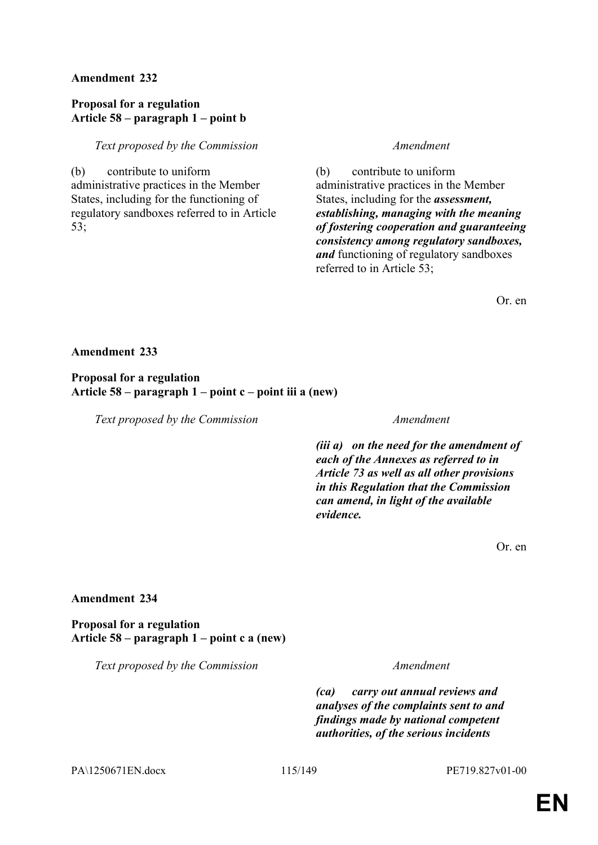### **Proposal for a regulation Article 58 – paragraph 1 – point b**

### *Text proposed by the Commission Amendment*

(b) contribute to uniform administrative practices in the Member States, including for the functioning of regulatory sandboxes referred to in Article 53;

(b) contribute to uniform administrative practices in the Member States, including for the *assessment, establishing, managing with the meaning of fostering cooperation and guaranteeing consistency among regulatory sandboxes, and* functioning of regulatory sandboxes referred to in Article 53;

Or. en

### **Amendment 233**

### **Proposal for a regulation Article 58 – paragraph 1 – point c – point iii a (new)**

*Text proposed by the Commission Amendment*

*(iii a) on the need for the amendment of each of the Annexes as referred to in Article 73 as well as all other provisions in this Regulation that the Commission can amend, in light of the available evidence.*

Or. en

### **Amendment 234**

**Proposal for a regulation Article 58 – paragraph 1 – point c a (new)**

*Text proposed by the Commission Amendment*

*(ca) carry out annual reviews and analyses of the complaints sent to and findings made by national competent authorities, of the serious incidents* 

PA\1250671EN.docx 115/149 PE719.827v01-00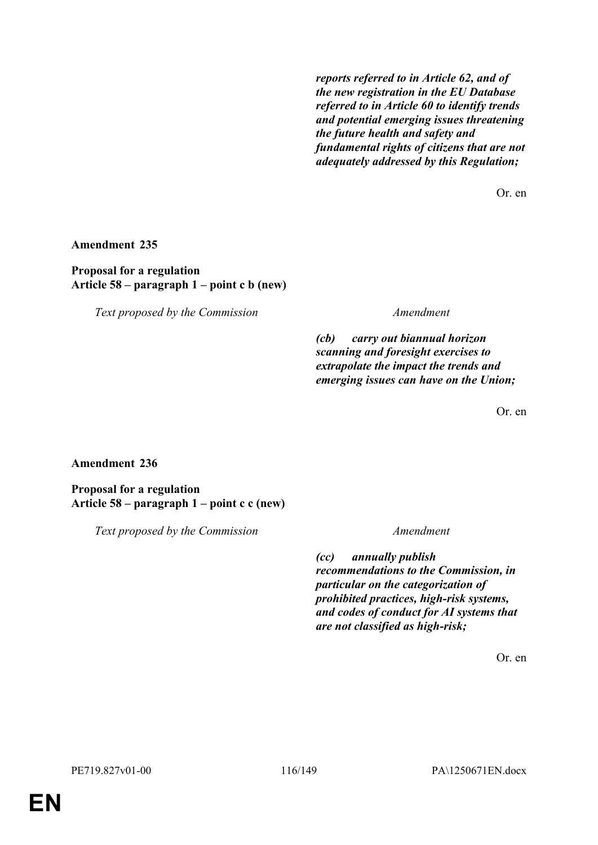*reports referred to in Article 62, and of the new registration in the EU Database referred to in Article 60 to identify trends and potential emerging issues threatening the future health and safety and fundamental rights of citizens that are not adequately addressed by this Regulation;*

Or. en

**Amendment 235**

**Proposal for a regulation Article 58 – paragraph 1 – point c b (new)**

*Text proposed by the Commission Amendment*

*(cb) carry out biannual horizon scanning and foresight exercises to extrapolate the impact the trends and emerging issues can have on the Union;*

Or. en

**Amendment 236**

**Proposal for a regulation Article 58 – paragraph 1 – point c c (new)**

*Text proposed by the Commission Amendment*

*(cc) annually publish recommendations to the Commission, in particular on the categorization of prohibited practices, high-risk systems, and codes of conduct for AI systems that are not classified as high-risk;*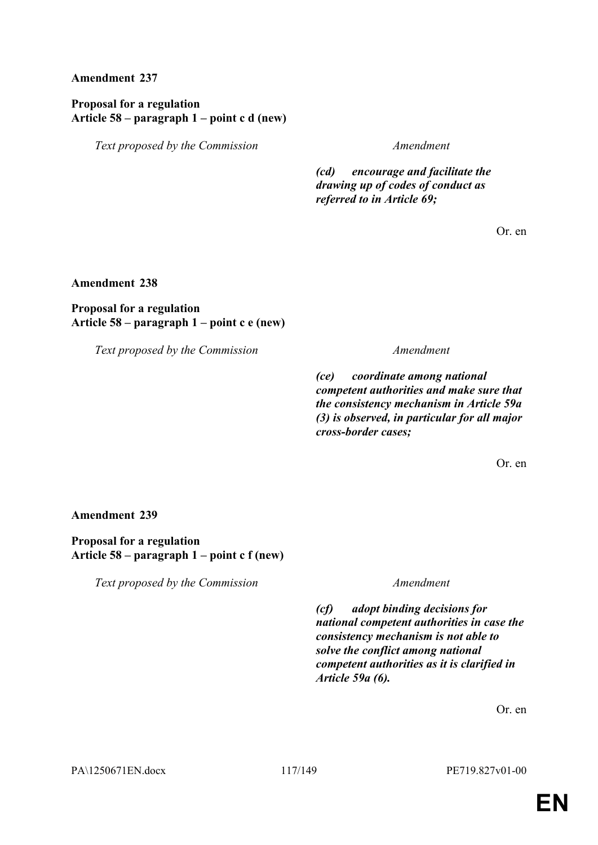## **Proposal for a regulation Article 58 – paragraph 1 – point c d (new)**

*Text proposed by the Commission Amendment*

*(cd) encourage and facilitate the drawing up of codes of conduct as referred to in Article 69;*

Or. en

**Amendment 238**

# **Proposal for a regulation Article 58 – paragraph 1 – point c e (new)**

*Text proposed by the Commission Amendment*

*(ce) coordinate among national competent authorities and make sure that the consistency mechanism in Article 59a (3) is observed, in particular for all major cross-border cases;*

Or. en

### **Amendment 239**

### **Proposal for a regulation Article 58 – paragraph 1 – point c f (new)**

*Text proposed by the Commission Amendment*

*(cf) adopt binding decisions for national competent authorities in case the consistency mechanism is not able to solve the conflict among national competent authorities as it is clarified in Article 59a (6).*

Or. en

PA\1250671EN.docx 117/149 PE719.827v01-00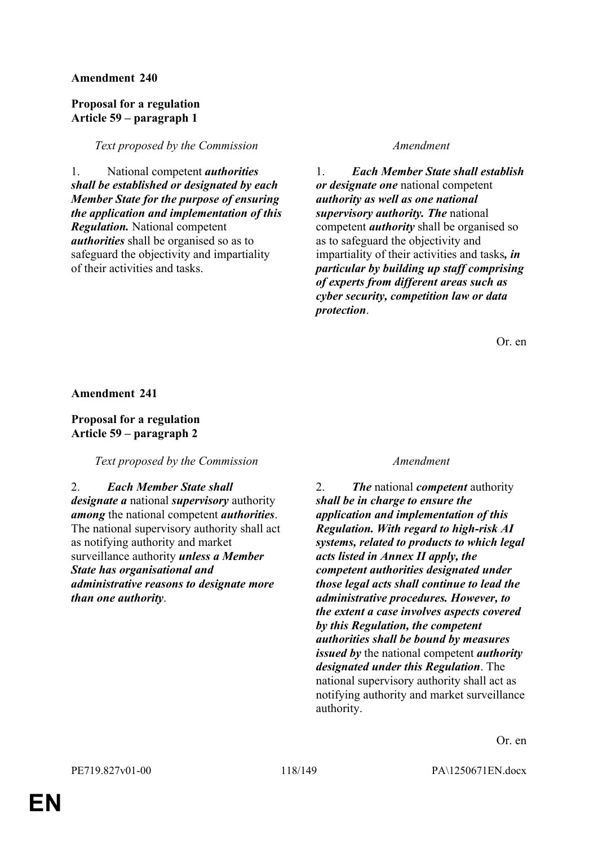### **Proposal for a regulation Article 59 – paragraph 1**

### *Text proposed by the Commission Amendment*

1. National competent *authorities shall be established or designated by each Member State for the purpose of ensuring the application and implementation of this Regulation.* National competent *authorities* shall be organised so as to safeguard the objectivity and impartiality of their activities and tasks.

1. *Each Member State shall establish or designate one* national competent *authority as well as one national supervisory authority. The* national competent *authority* shall be organised so as to safeguard the objectivity and impartiality of their activities and tasks*, in particular by building up staff comprising of experts from different areas such as cyber security, competition law or data protection*.

Or. en

**Amendment 241**

**Proposal for a regulation Article 59 – paragraph 2**

*Text proposed by the Commission Amendment*

### 2. *Each Member State shall*

*designate a* national *supervisory* authority *among* the national competent *authorities*. The national supervisory authority shall act as notifying authority and market surveillance authority *unless a Member State has organisational and administrative reasons to designate more than one authority*.

2. *The* national *competent* authority *shall be in charge to ensure the application and implementation of this Regulation. With regard to high-risk AI systems, related to products to which legal acts listed in Annex II apply, the competent authorities designated under those legal acts shall continue to lead the administrative procedures. However, to the extent a case involves aspects covered by this Regulation, the competent authorities shall be bound by measures issued by* the national competent *authority designated under this Regulation*. The national supervisory authority shall act as notifying authority and market surveillance authority.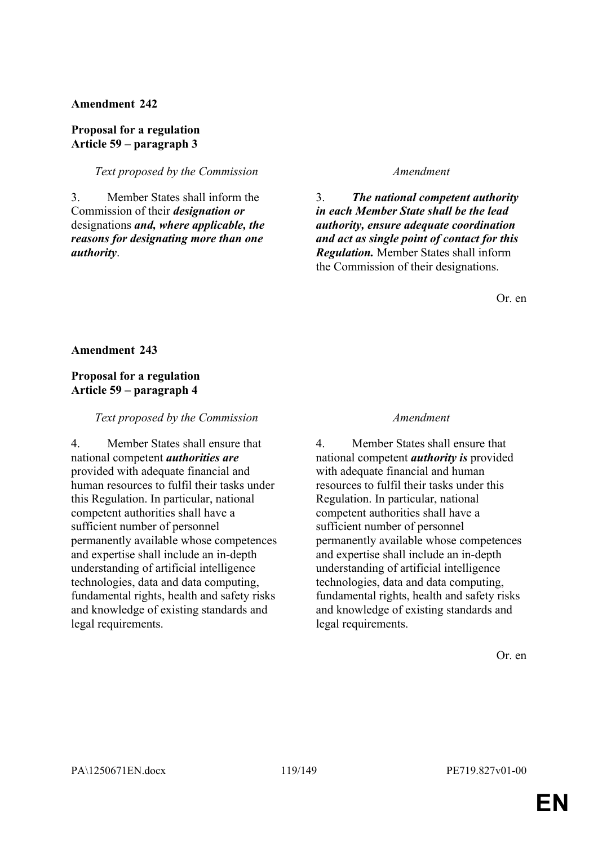**Proposal for a regulation Article 59 – paragraph 3**

*Text proposed by the Commission Amendment*

3. Member States shall inform the Commission of their *designation or* designations *and, where applicable, the reasons for designating more than one authority*.

3. *The national competent authority in each Member State shall be the lead authority, ensure adequate coordination and act as single point of contact for this Regulation.* Member States shall inform the Commission of their designations.

Or. en

**Amendment 243**

# **Proposal for a regulation Article 59 – paragraph 4**

*Text proposed by the Commission Amendment*

4. Member States shall ensure that national competent *authorities are* provided with adequate financial and human resources to fulfil their tasks under this Regulation. In particular, national competent authorities shall have a sufficient number of personnel permanently available whose competences and expertise shall include an in-depth understanding of artificial intelligence technologies, data and data computing, fundamental rights, health and safety risks and knowledge of existing standards and legal requirements.

4. Member States shall ensure that national competent *authority is* provided with adequate financial and human resources to fulfil their tasks under this Regulation. In particular, national competent authorities shall have a sufficient number of personnel permanently available whose competences and expertise shall include an in-depth understanding of artificial intelligence technologies, data and data computing, fundamental rights, health and safety risks and knowledge of existing standards and legal requirements.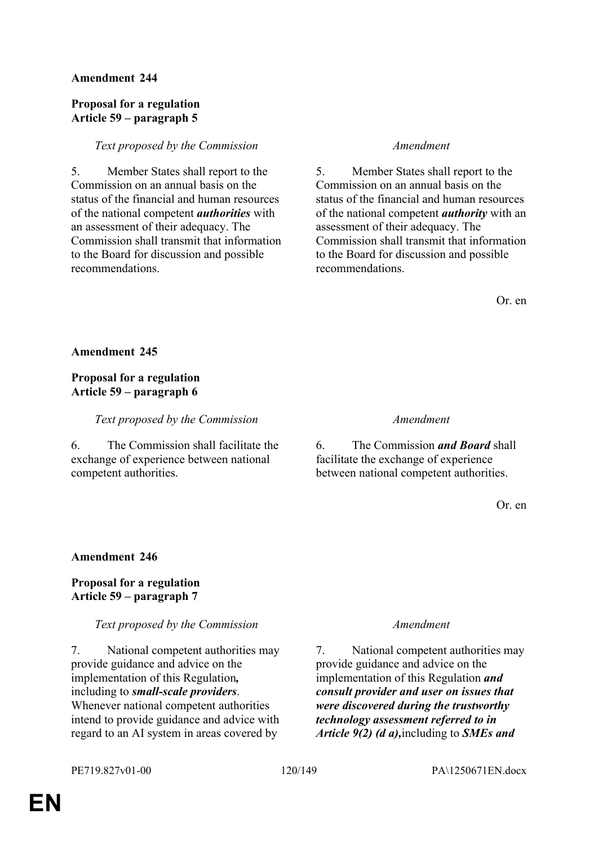### **Proposal for a regulation Article 59 – paragraph 5**

### *Text proposed by the Commission Amendment*

5. Member States shall report to the Commission on an annual basis on the status of the financial and human resources of the national competent *authorities* with an assessment of their adequacy. The Commission shall transmit that information to the Board for discussion and possible recommendations.

5. Member States shall report to the Commission on an annual basis on the status of the financial and human resources of the national competent *authority* with an assessment of their adequacy. The Commission shall transmit that information to the Board for discussion and possible recommendations.

Or. en

**Amendment 245**

# **Proposal for a regulation Article 59 – paragraph 6**

*Text proposed by the Commission Amendment*

6. The Commission shall facilitate the exchange of experience between national competent authorities.

6. The Commission *and Board* shall facilitate the exchange of experience between national competent authorities.

Or. en

### **Amendment 246**

## **Proposal for a regulation Article 59 – paragraph 7**

### *Text proposed by the Commission Amendment*

7. National competent authorities may provide guidance and advice on the implementation of this Regulation*,* including to *small-scale providers*. Whenever national competent authorities intend to provide guidance and advice with regard to an AI system in areas covered by

7. National competent authorities may provide guidance and advice on the implementation of this Regulation *and consult provider and user on issues that were discovered during the trustworthy technology assessment referred to in Article 9(2) (d a),*including to *SMEs and*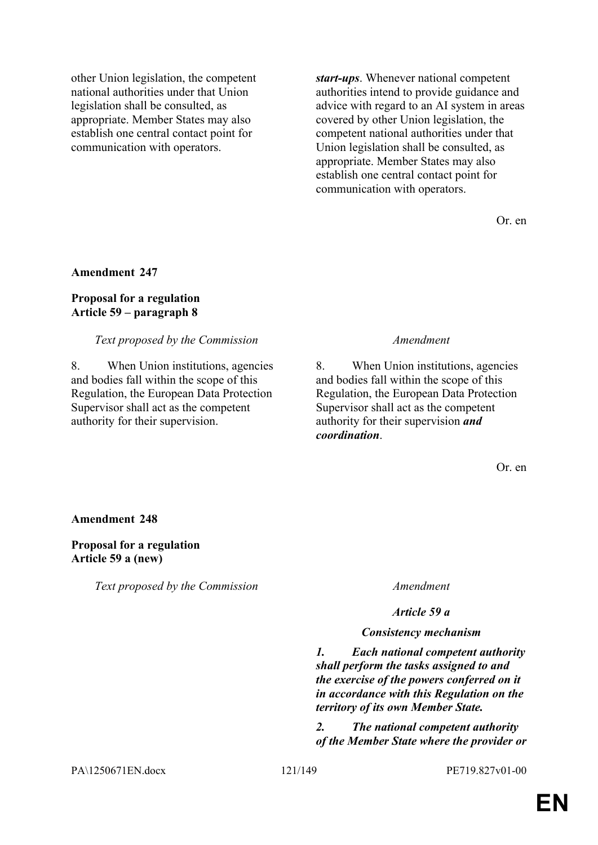other Union legislation, the competent national authorities under that Union legislation shall be consulted, as appropriate. Member States may also establish one central contact point for communication with operators.

*start-ups*. Whenever national competent authorities intend to provide guidance and advice with regard to an AI system in areas covered by other Union legislation, the competent national authorities under that Union legislation shall be consulted, as appropriate. Member States may also establish one central contact point for communication with operators.

Or. en

## **Amendment 247**

### **Proposal for a regulation Article 59 – paragraph 8**

### *Text proposed by the Commission Amendment*

8. When Union institutions, agencies and bodies fall within the scope of this Regulation, the European Data Protection Supervisor shall act as the competent authority for their supervision.

8. When Union institutions, agencies and bodies fall within the scope of this Regulation, the European Data Protection Supervisor shall act as the competent authority for their supervision *and coordination*.

Or. en

### **Amendment 248**

### **Proposal for a regulation Article 59 a (new)**

*Text proposed by the Commission Amendment*

*Article 59 a*

### *Consistency mechanism*

*1. Each national competent authority shall perform the tasks assigned to and the exercise of the powers conferred on it in accordance with this Regulation on the territory of its own Member State.*

*2. The national competent authority of the Member State where the provider or* 

PA\1250671EN.docx 121/149 PE719.827v01-00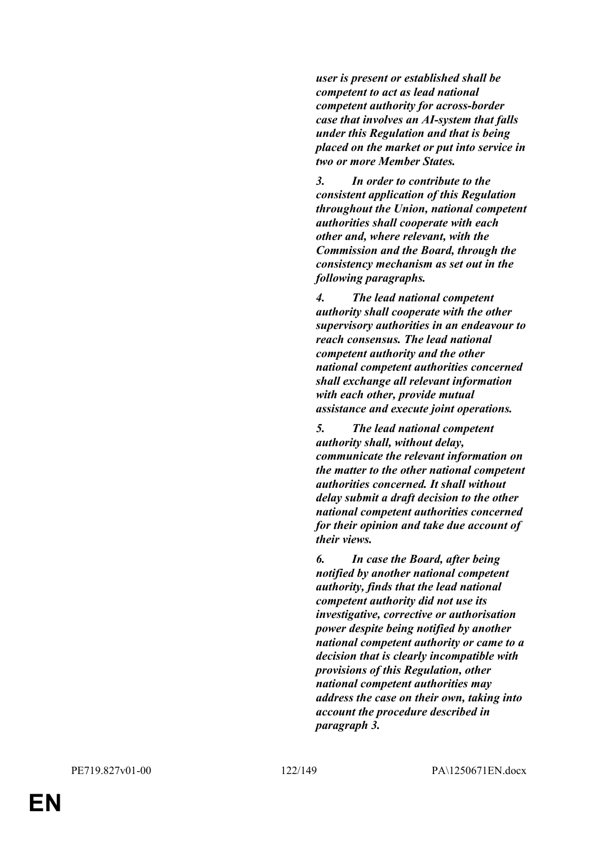*user is present or established shall be competent to act as lead national competent authority for across-border case that involves an AI-system that falls under this Regulation and that is being placed on the market or put into service in two or more Member States.*

*3. In order to contribute to the consistent application of this Regulation throughout the Union, national competent authorities shall cooperate with each other and, where relevant, with the Commission and the Board, through the consistency mechanism as set out in the following paragraphs.*

*4. The lead national competent authority shall cooperate with the other supervisory authorities in an endeavour to reach consensus. The lead national competent authority and the other national competent authorities concerned shall exchange all relevant information with each other, provide mutual assistance and execute joint operations.*

*5. The lead national competent authority shall, without delay, communicate the relevant information on the matter to the other national competent authorities concerned. It shall without delay submit a draft decision to the other national competent authorities concerned for their opinion and take due account of their views.*

*6. In case the Board, after being notified by another national competent authority, finds that the lead national competent authority did not use its investigative, corrective or authorisation power despite being notified by another national competent authority or came to a decision that is clearly incompatible with provisions of this Regulation, other national competent authorities may address the case on their own, taking into account the procedure described in paragraph 3.*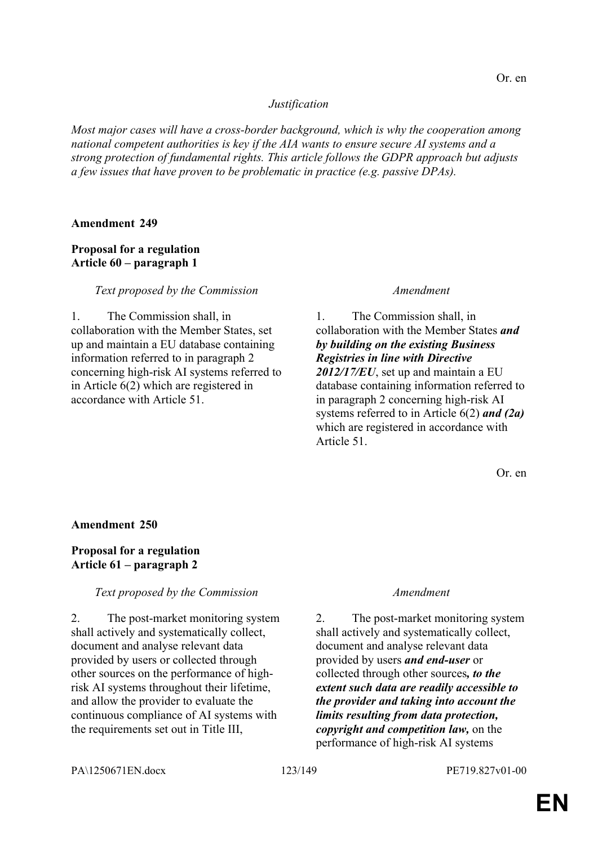### *Justification*

*Most major cases will have a cross-border background, which is why the cooperation among national competent authorities is key if the AIA wants to ensure secure AI systems and a strong protection of fundamental rights. This article follows the GDPR approach but adjusts a few issues that have proven to be problematic in practice (e.g. passive DPAs).*

### **Amendment 249**

# **Proposal for a regulation Article 60 – paragraph 1**

### *Text proposed by the Commission Amendment*

1. The Commission shall, in collaboration with the Member States, set up and maintain a EU database containing information referred to in paragraph 2 concerning high-risk AI systems referred to in Article 6(2) which are registered in accordance with Article 51.

1. The Commission shall, in collaboration with the Member States *and by building on the existing Business Registries in line with Directive 2012/17/EU*, set up and maintain a EU database containing information referred to in paragraph 2 concerning high-risk AI systems referred to in Article 6(2) *and (2a)* which are registered in accordance with Article 51.

Or. en

### **Amendment 250**

## **Proposal for a regulation Article 61 – paragraph 2**

# *Text proposed by the Commission Amendment*

2. The post-market monitoring system shall actively and systematically collect, document and analyse relevant data provided by users or collected through other sources on the performance of highrisk AI systems throughout their lifetime, and allow the provider to evaluate the continuous compliance of AI systems with the requirements set out in Title III,

2. The post-market monitoring system shall actively and systematically collect, document and analyse relevant data provided by users *and end-user* or collected through other sources*, to the extent such data are readily accessible to the provider and taking into account the limits resulting from data protection, copyright and competition law,* on the performance of high-risk AI systems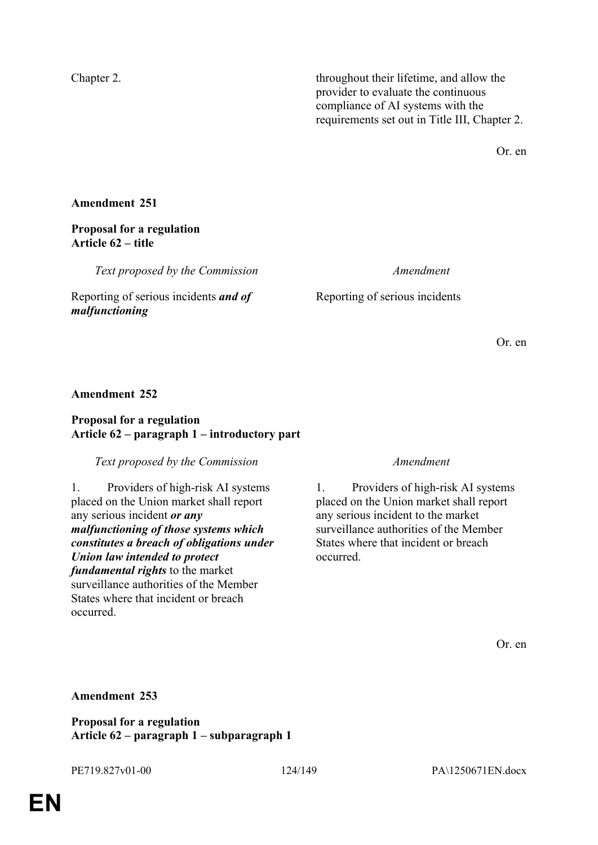Chapter 2. throughout their lifetime, and allow the provider to evaluate the continuous compliance of AI systems with the requirements set out in Title III, Chapter 2.

Or. en

## **Amendment 251**

### **Proposal for a regulation Article 62 – title**

*Text proposed by the Commission Amendment*

Reporting of serious incidents *and of malfunctioning*

Reporting of serious incidents

Or. en

### **Amendment 252**

### **Proposal for a regulation Article 62 – paragraph 1 – introductory part**

### *Text proposed by the Commission Amendment*

1. Providers of high-risk AI systems placed on the Union market shall report any serious incident *or any malfunctioning of those systems which constitutes a breach of obligations under Union law intended to protect fundamental rights* to the market surveillance authorities of the Member States where that incident or breach occurred.

1. Providers of high-risk AI systems placed on the Union market shall report any serious incident to the market surveillance authorities of the Member States where that incident or breach occurred.

Or. en

### **Amendment 253**

**Proposal for a regulation Article 62 – paragraph 1 – subparagraph 1**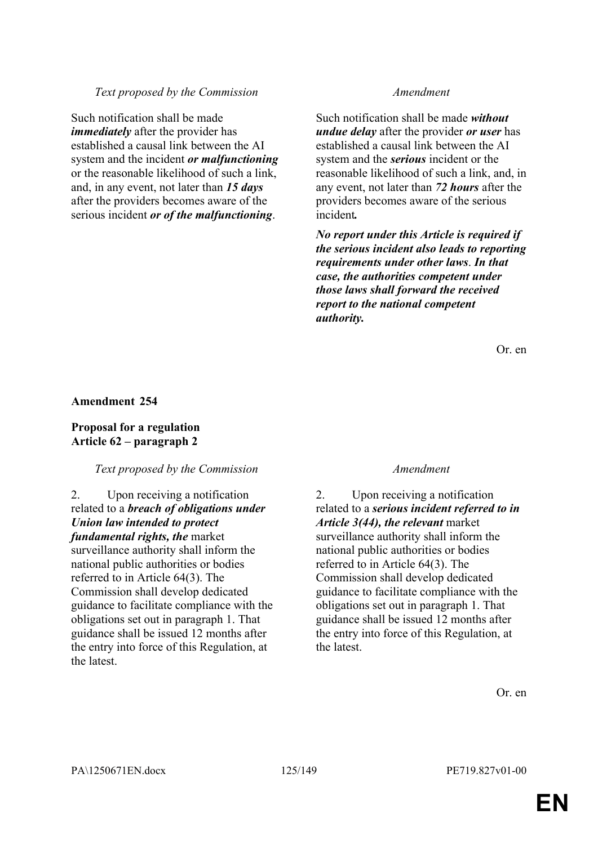## *Text proposed by the Commission Amendment*

Such notification shall be made *immediately* after the provider has established a causal link between the AI system and the incident *or malfunctioning* or the reasonable likelihood of such a link, and, in any event, not later than *15 days* after the providers becomes aware of the serious incident *or of the malfunctioning*.

Such notification shall be made *without undue delay* after the provider *or user* has established a causal link between the AI system and the *serious* incident or the reasonable likelihood of such a link, and, in any event, not later than *72 hours* after the providers becomes aware of the serious incident*.* 

*No report under this Article is required if the serious incident also leads to reporting requirements under other laws*. *In that case, the authorities competent under those laws shall forward the received report to the national competent authority.*

Or. en

### **Amendment 254**

## **Proposal for a regulation Article 62 – paragraph 2**

### *Text proposed by the Commission Amendment*

## 2. Upon receiving a notification related to a *breach of obligations under Union law intended to protect fundamental rights, the* market surveillance authority shall inform the national public authorities or bodies referred to in Article 64(3). The Commission shall develop dedicated guidance to facilitate compliance with the obligations set out in paragraph 1. That guidance shall be issued 12 months after the entry into force of this Regulation, at the latest.

2. Upon receiving a notification related to a *serious incident referred to in Article 3(44), the relevant* market surveillance authority shall inform the national public authorities or bodies referred to in Article 64(3). The Commission shall develop dedicated guidance to facilitate compliance with the obligations set out in paragraph 1. That guidance shall be issued 12 months after the entry into force of this Regulation, at the latest.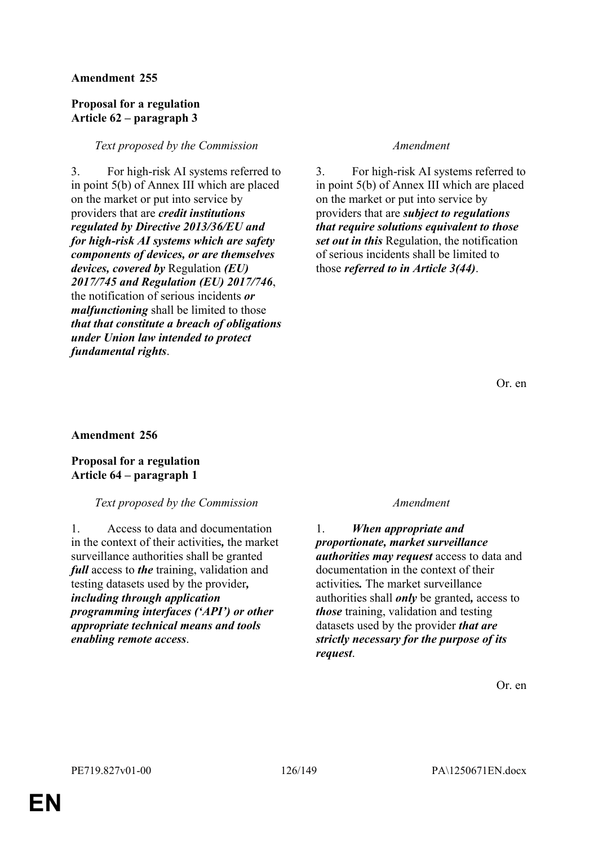### **Proposal for a regulation Article 62 – paragraph 3**

### *Text proposed by the Commission Amendment*

3. For high-risk AI systems referred to in point 5(b) of Annex III which are placed on the market or put into service by providers that are *credit institutions regulated by Directive 2013/36/EU and for high-risk AI systems which are safety components of devices, or are themselves devices, covered by* Regulation *(EU) 2017/745 and Regulation (EU) 2017/746*, the notification of serious incidents *or malfunctioning* shall be limited to those *that that constitute a breach of obligations under Union law intended to protect fundamental rights*.

3. For high-risk AI systems referred to in point 5(b) of Annex III which are placed on the market or put into service by providers that are *subject to regulations that require solutions equivalent to those set out in this* Regulation, the notification of serious incidents shall be limited to those *referred to in Article 3(44)*.

Or. en

### **Amendment 256**

## **Proposal for a regulation Article 64 – paragraph 1**

# *Text proposed by the Commission Amendment*

1. Access to data and documentation in the context of their activities*,* the market surveillance authorities shall be granted *full* access to *the* training, validation and testing datasets used by the provider*, including through application programming interfaces ('API') or other appropriate technical means and tools enabling remote access*.

1. *When appropriate and proportionate, market surveillance authorities may request* access to data and documentation in the context of their activities*.* The market surveillance authorities shall *only* be granted*,* access to *those* training, validation and testing datasets used by the provider *that are strictly necessary for the purpose of its request*.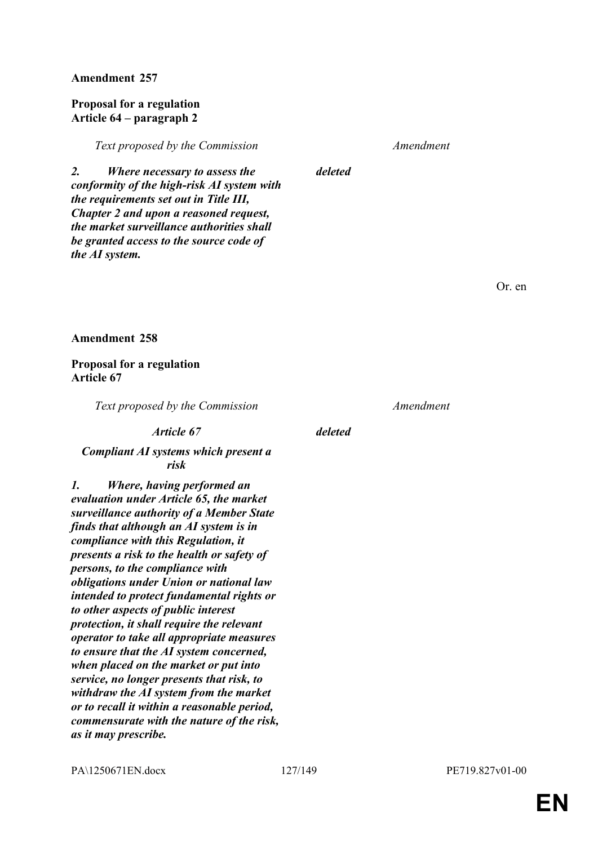### **Proposal for a regulation Article 64 – paragraph 2**

*Text proposed by the Commission Amendment*

*2. Where necessary to assess the conformity of the high-risk AI system with the requirements set out in Title III, Chapter 2 and upon a reasoned request, the market surveillance authorities shall be granted access to the source code of the AI system.*

*deleted*

Or. en

### **Amendment 258**

### **Proposal for a regulation Article 67**

*Text proposed by the Commission Amendment*

*Article 67 deleted*

## *Compliant AI systems which present a risk*

*1. Where, having performed an evaluation under Article 65, the market surveillance authority of a Member State finds that although an AI system is in compliance with this Regulation, it presents a risk to the health or safety of persons, to the compliance with obligations under Union or national law intended to protect fundamental rights or to other aspects of public interest protection, it shall require the relevant operator to take all appropriate measures to ensure that the AI system concerned, when placed on the market or put into service, no longer presents that risk, to withdraw the AI system from the market or to recall it within a reasonable period, commensurate with the nature of the risk, as it may prescribe.*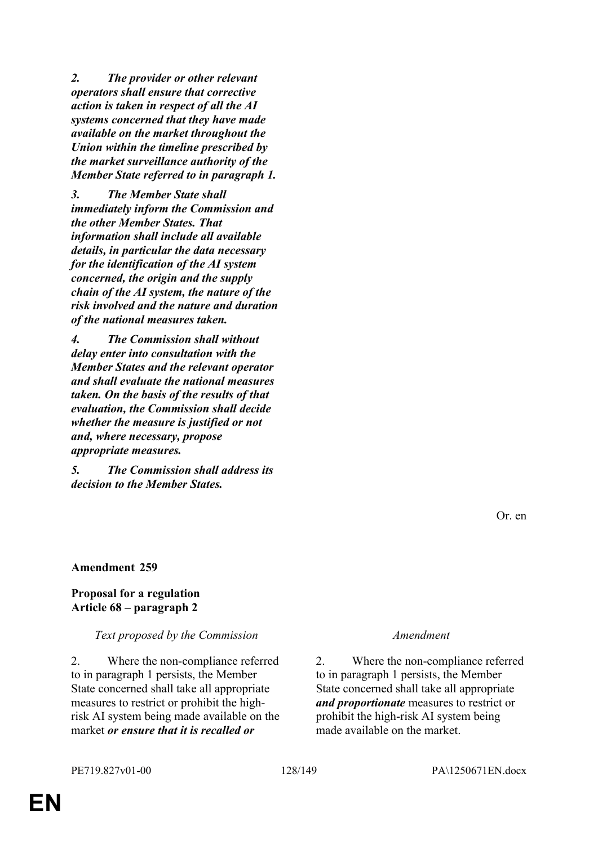*2. The provider or other relevant operators shall ensure that corrective action is taken in respect of all the AI systems concerned that they have made available on the market throughout the Union within the timeline prescribed by the market surveillance authority of the Member State referred to in paragraph 1.*

*3. The Member State shall immediately inform the Commission and the other Member States. That information shall include all available details, in particular the data necessary for the identification of the AI system concerned, the origin and the supply chain of the AI system, the nature of the risk involved and the nature and duration of the national measures taken.*

*4. The Commission shall without delay enter into consultation with the Member States and the relevant operator and shall evaluate the national measures taken. On the basis of the results of that evaluation, the Commission shall decide whether the measure is justified or not and, where necessary, propose appropriate measures.*

*5. The Commission shall address its decision to the Member States.*

Or. en

### **Amendment 259**

### **Proposal for a regulation Article 68 – paragraph 2**

### *Text proposed by the Commission Amendment*

2. Where the non-compliance referred to in paragraph 1 persists, the Member State concerned shall take all appropriate measures to restrict or prohibit the highrisk AI system being made available on the market *or ensure that it is recalled or* 

2. Where the non-compliance referred to in paragraph 1 persists, the Member State concerned shall take all appropriate *and proportionate* measures to restrict or prohibit the high-risk AI system being made available on the market.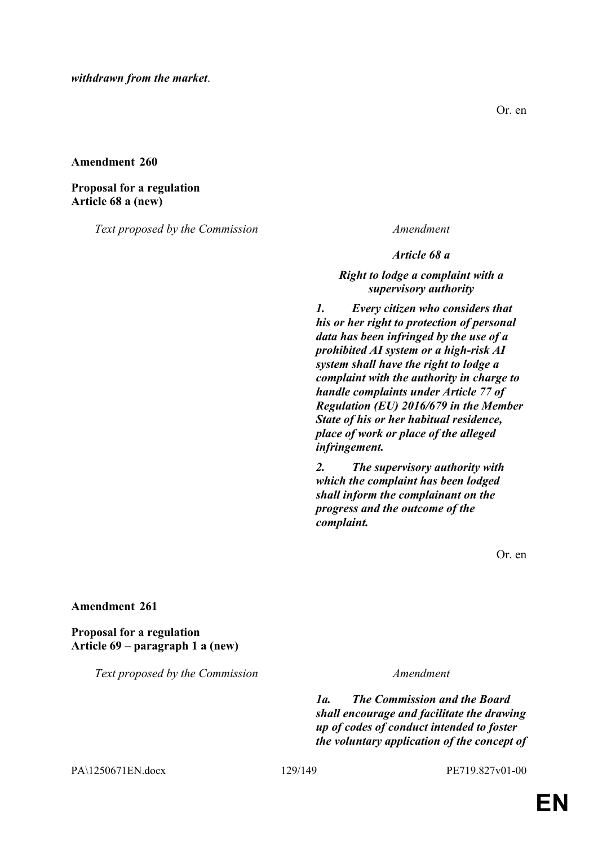**Proposal for a regulation Article 68 a (new)**

*Text proposed by the Commission Amendment*

Or. en

*Article 68 a*

*Right to lodge a complaint with a supervisory authority*

*1. Every citizen who considers that his or her right to protection of personal data has been infringed by the use of a prohibited AI system or a high-risk AI system shall have the right to lodge a complaint with the authority in charge to handle complaints under Article 77 of Regulation (EU) 2016/679 in the Member State of his or her habitual residence, place of work or place of the alleged infringement.*

*2. The supervisory authority with which the complaint has been lodged shall inform the complainant on the progress and the outcome of the complaint.*

Or. en

### **Amendment 261**

## **Proposal for a regulation Article 69 – paragraph 1 a (new)**

*Text proposed by the Commission Amendment*

*1a. The Commission and the Board shall encourage and facilitate the drawing up of codes of conduct intended to foster the voluntary application of the concept of* 

PA\1250671EN.docx 129/149 PE719.827v01-00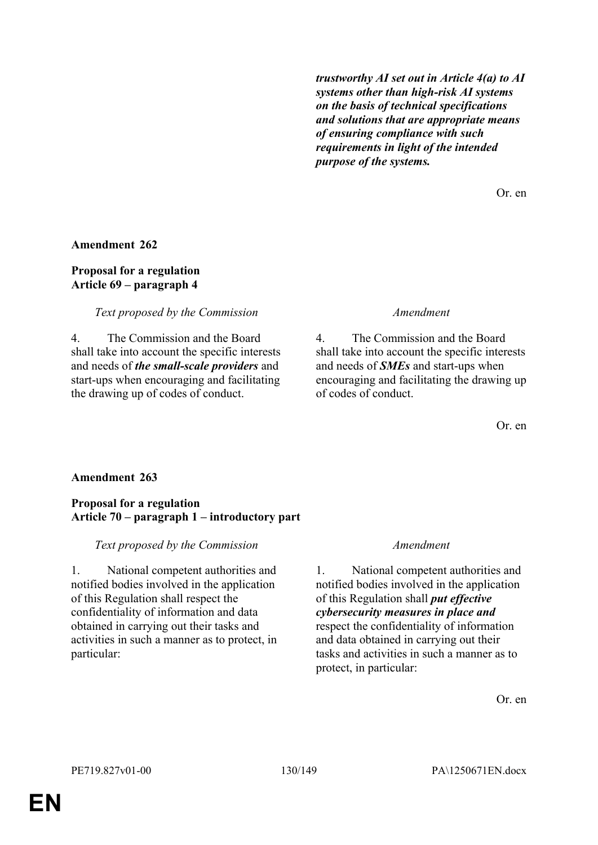*trustworthy AI set out in Article 4(a) to AI systems other than high-risk AI systems on the basis of technical specifications and solutions that are appropriate means of ensuring compliance with such requirements in light of the intended purpose of the systems.*

Or. en

### **Amendment 262**

### **Proposal for a regulation Article 69 – paragraph 4**

### *Text proposed by the Commission Amendment*

4. The Commission and the Board shall take into account the specific interests and needs of *the small-scale providers* and start-ups when encouraging and facilitating the drawing up of codes of conduct.

4. The Commission and the Board shall take into account the specific interests and needs of *SMEs* and start-ups when encouraging and facilitating the drawing up of codes of conduct.

Or. en

# **Amendment 263**

### **Proposal for a regulation Article 70 – paragraph 1 – introductory part**

### *Text proposed by the Commission Amendment*

1. National competent authorities and notified bodies involved in the application of this Regulation shall respect the confidentiality of information and data obtained in carrying out their tasks and activities in such a manner as to protect, in particular:

1. National competent authorities and notified bodies involved in the application of this Regulation shall *put effective cybersecurity measures in place and* respect the confidentiality of information and data obtained in carrying out their tasks and activities in such a manner as to protect, in particular: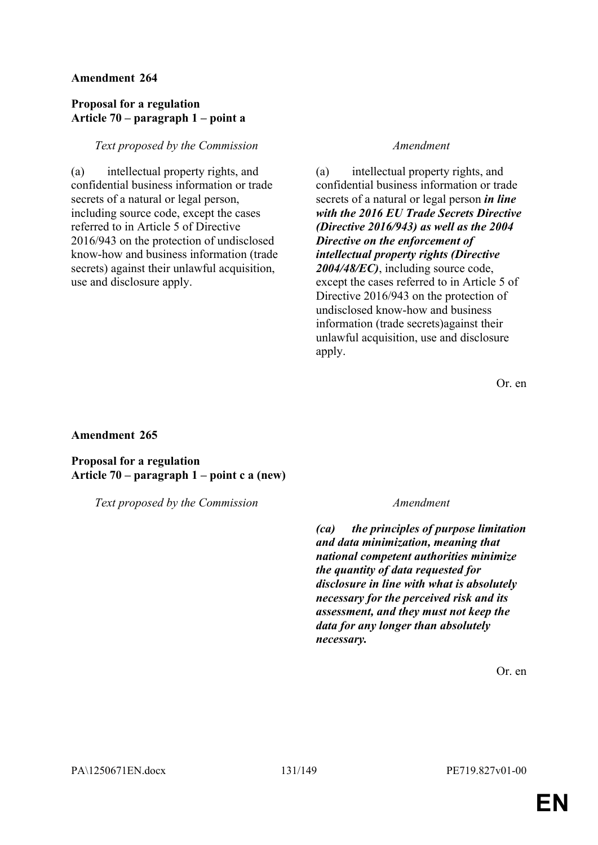## **Proposal for a regulation Article 70 – paragraph 1 – point a**

### *Text proposed by the Commission Amendment*

(a) intellectual property rights, and confidential business information or trade secrets of a natural or legal person, including source code, except the cases referred to in Article 5 of Directive 2016/943 on the protection of undisclosed know-how and business information (trade secrets) against their unlawful acquisition, use and disclosure apply.

(a) intellectual property rights, and confidential business information or trade secrets of a natural or legal person *in line with the 2016 EU Trade Secrets Directive (Directive 2016/943) as well as the 2004 Directive on the enforcement of intellectual property rights (Directive 2004/48/EC)*, including source code, except the cases referred to in Article 5 of Directive 2016/943 on the protection of undisclosed know-how and business information (trade secrets)against their unlawful acquisition, use and disclosure apply.

Or. en

### **Amendment 265**

**Proposal for a regulation Article 70 – paragraph 1 – point c a (new)**

*Text proposed by the Commission Amendment*

*(ca) the principles of purpose limitation and data minimization, meaning that national competent authorities minimize the quantity of data requested for disclosure in line with what is absolutely necessary for the perceived risk and its assessment, and they must not keep the data for any longer than absolutely necessary.*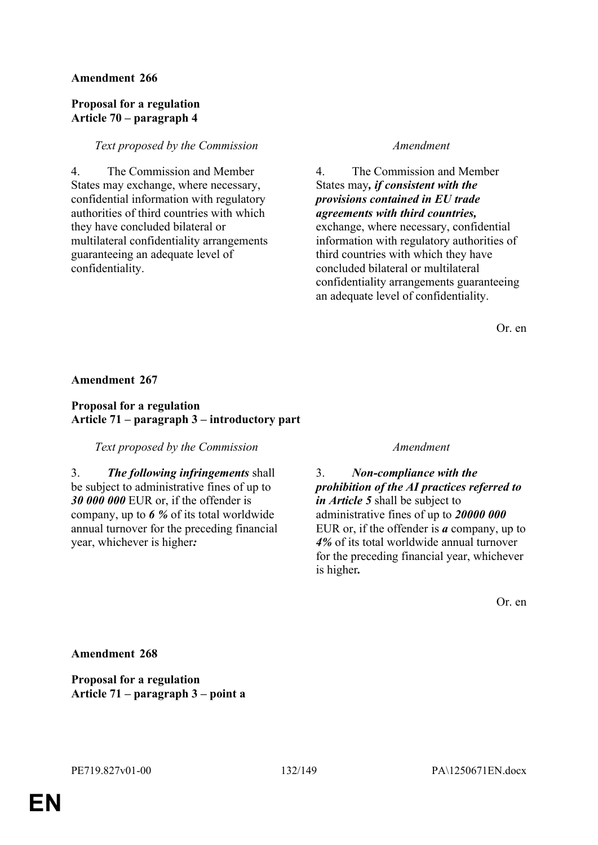### **Proposal for a regulation Article 70 – paragraph 4**

### *Text proposed by the Commission Amendment*

4. The Commission and Member States may exchange, where necessary, confidential information with regulatory authorities of third countries with which they have concluded bilateral or multilateral confidentiality arrangements guaranteeing an adequate level of confidentiality.

4. The Commission and Member States may*, if consistent with the provisions contained in EU trade agreements with third countries,* exchange, where necessary, confidential information with regulatory authorities of third countries with which they have concluded bilateral or multilateral confidentiality arrangements guaranteeing an adequate level of confidentiality.

Or. en

### **Amendment 267**

### **Proposal for a regulation Article 71 – paragraph 3 – introductory part**

### *Text proposed by the Commission Amendment*

3. *The following infringements* shall be subject to administrative fines of up to *30 000 000* EUR or, if the offender is company, up to *6 %* of its total worldwide annual turnover for the preceding financial year, whichever is higher*:*

3. *Non-compliance with the prohibition of the AI practices referred to in Article 5* shall be subject to administrative fines of up to *20000 000* EUR or, if the offender is *a* company, up to *4%* of its total worldwide annual turnover for the preceding financial year, whichever is higher*.*

Or. en

**Amendment 268**

**Proposal for a regulation Article 71 – paragraph 3 – point a**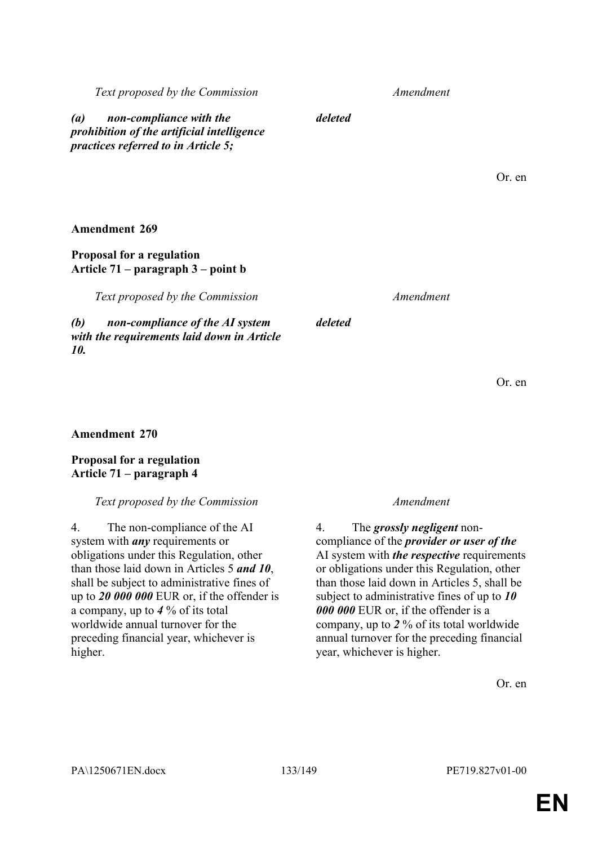# **Proposal for a regulation Article 71 – paragraph 4**

# *Text proposed by the Commission Amendment*

4. The non-compliance of the AI system with *any* requirements or obligations under this Regulation, other than those laid down in Articles 5 *and 10*, shall be subject to administrative fines of up to *20 000 000* EUR or, if the offender is a company, up to *4* % of its total worldwide annual turnover for the preceding financial year, whichever is higher.

4. The *grossly negligent* noncompliance of the *provider or user of the* AI system with *the respective* requirements or obligations under this Regulation, other than those laid down in Articles 5, shall be subject to administrative fines of up to *10 000 000* EUR or, if the offender is a company, up to *2* % of its total worldwide annual turnover for the preceding financial year, whichever is higher.

Or. en

**Amendment 269**

# **Proposal for a regulation Article 71 – paragraph 3 – point b**

*Text proposed by the Commission Amendment*

*(b) non-compliance of the AI system with the requirements laid down in Article 10.*

*deleted*

*deleted*

*Text proposed by the Commission Amendment*

*(a) non-compliance with the prohibition of the artificial intelligence practices referred to in Article 5;*

Or. en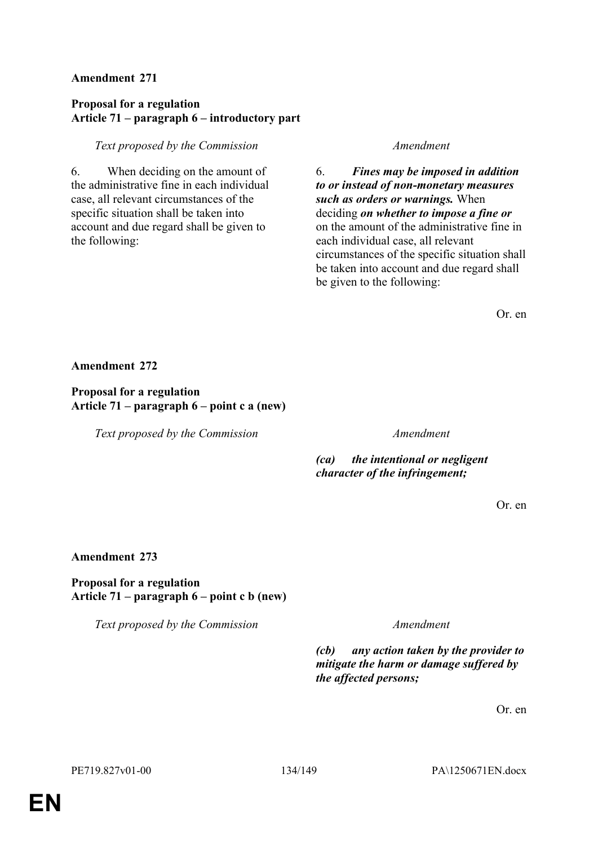## **Proposal for a regulation Article 71 – paragraph 6 – introductory part**

### *Text proposed by the Commission Amendment*

6. When deciding on the amount of the administrative fine in each individual case, all relevant circumstances of the specific situation shall be taken into account and due regard shall be given to the following:

6. *Fines may be imposed in addition to or instead of non-monetary measures such as orders or warnings.* When deciding *on whether to impose a fine or* on the amount of the administrative fine in each individual case, all relevant circumstances of the specific situation shall be taken into account and due regard shall be given to the following:

Or. en

**Amendment 272**

**Proposal for a regulation Article 71 – paragraph 6 – point c a (new)**

*Text proposed by the Commission Amendment*

*(ca) the intentional or negligent character of the infringement;*

Or. en

### **Amendment 273**

### **Proposal for a regulation Article 71 – paragraph 6 – point c b (new)**

*Text proposed by the Commission Amendment*

*(cb) any action taken by the provider to mitigate the harm or damage suffered by the affected persons;*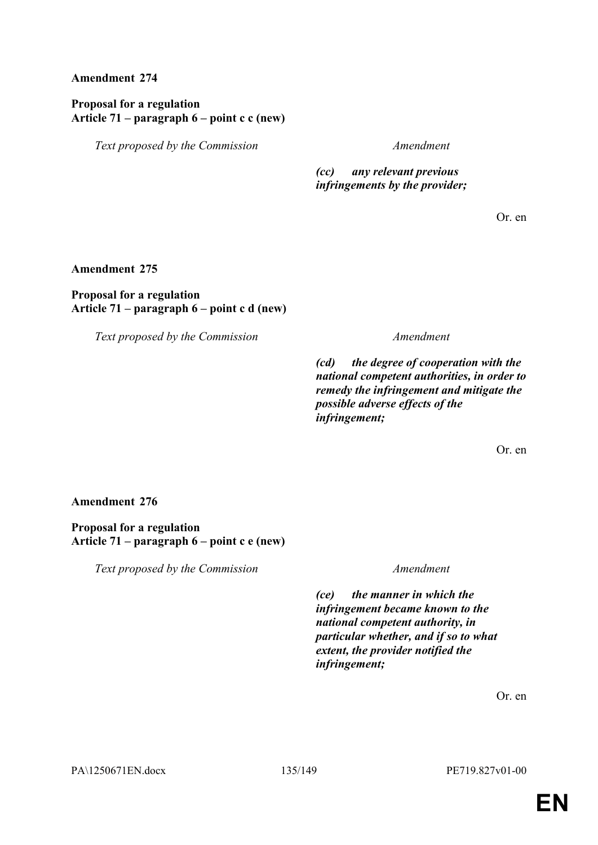## **Proposal for a regulation Article 71 – paragraph 6 – point c c (new)**

*Text proposed by the Commission Amendment*

*(cc) any relevant previous infringements by the provider;*

Or. en

**Amendment 275**

### **Proposal for a regulation Article 71 – paragraph 6 – point c d (new)**

*Text proposed by the Commission Amendment*

*(cd) the degree of cooperation with the national competent authorities, in order to remedy the infringement and mitigate the possible adverse effects of the infringement;*

Or. en

# **Amendment 276**

**Proposal for a regulation Article 71 – paragraph 6 – point c e (new)**

*Text proposed by the Commission Amendment*

*(ce) the manner in which the infringement became known to the national competent authority, in particular whether, and if so to what extent, the provider notified the infringement;*

Or. en

PA\1250671EN.docx 135/149 PE719.827v01-00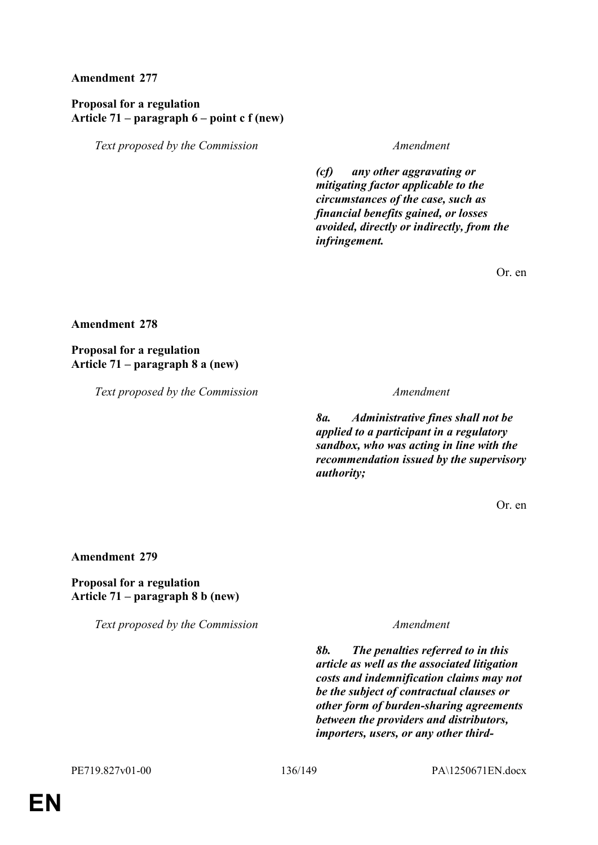## **Proposal for a regulation Article 71 – paragraph 6 – point c f (new)**

*Text proposed by the Commission Amendment*

*(cf) any other aggravating or mitigating factor applicable to the circumstances of the case, such as financial benefits gained, or losses avoided, directly or indirectly, from the infringement.*

Or. en

### **Amendment 278**

### **Proposal for a regulation Article 71 – paragraph 8 a (new)**

*Text proposed by the Commission Amendment*

*8a. Administrative fines shall not be applied to a participant in a regulatory sandbox, who was acting in line with the recommendation issued by the supervisory authority;*

Or. en

### **Amendment 279**

### **Proposal for a regulation Article 71 – paragraph 8 b (new)**

*Text proposed by the Commission Amendment*

*8b. The penalties referred to in this article as well as the associated litigation costs and indemnification claims may not be the subject of contractual clauses or other form of burden-sharing agreements between the providers and distributors, importers, users, or any other third-*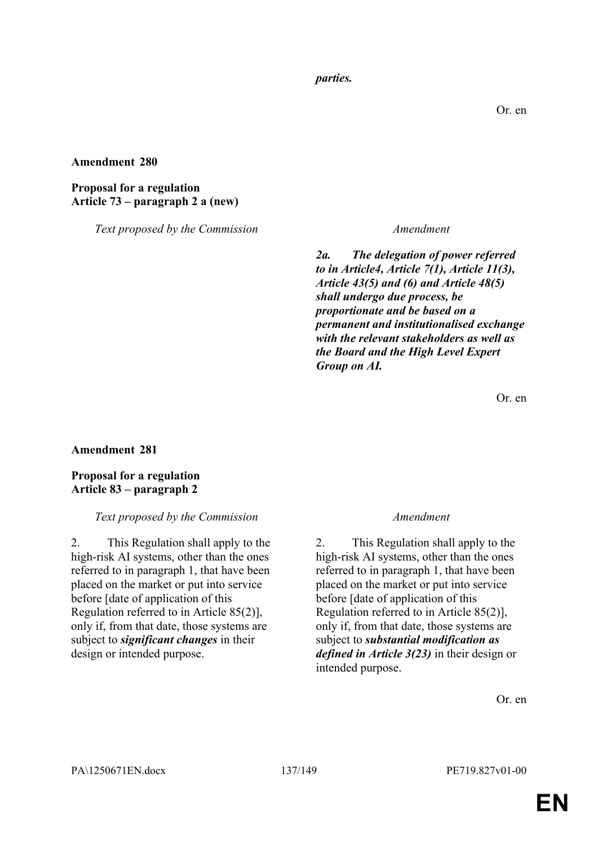### *parties.*

### **Amendment 280**

### **Proposal for a regulation Article 73 – paragraph 2 a (new)**

*Text proposed by the Commission Amendment*

*2a. The delegation of power referred to in Article4, Article 7(1), Article 11(3), Article 43(5) and (6) and Article 48(5) shall undergo due process, be proportionate and be based on a permanent and institutionalised exchange with the relevant stakeholders as well as the Board and the High Level Expert Group on AI.*

Or. en

### **Amendment 281**

## **Proposal for a regulation Article 83 – paragraph 2**

### *Text proposed by the Commission Amendment*

2. This Regulation shall apply to the high-risk AI systems, other than the ones referred to in paragraph 1, that have been placed on the market or put into service before [date of application of this Regulation referred to in Article 85(2)], only if, from that date, those systems are subject to *significant changes* in their design or intended purpose.

2. This Regulation shall apply to the high-risk AI systems, other than the ones referred to in paragraph 1, that have been placed on the market or put into service before [date of application of this Regulation referred to in Article 85(2)], only if, from that date, those systems are subject to *substantial modification as defined in Article 3(23)* in their design or intended purpose.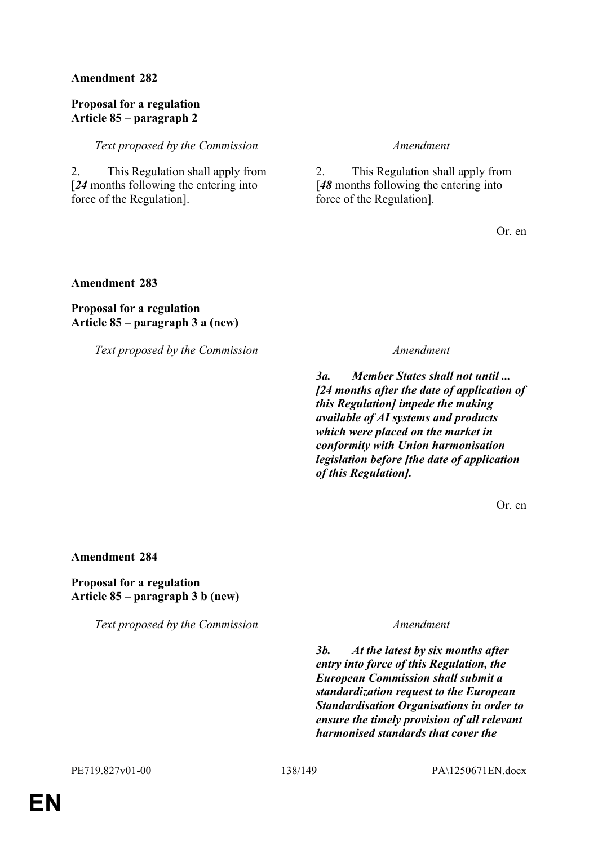### **Proposal for a regulation Article 85 – paragraph 2**

*Text proposed by the Commission Amendment*

2. This Regulation shall apply from [*24* months following the entering into force of the Regulation].

2. This Regulation shall apply from [*48* months following the entering into force of the Regulation].

Or. en

**Amendment 283**

# **Proposal for a regulation Article 85 – paragraph 3 a (new)**

*Text proposed by the Commission Amendment*

*3a. Member States shall not until ... [24 months after the date of application of this Regulation] impede the making available of AI systems and products which were placed on the market in conformity with Union harmonisation legislation before [the date of application of this Regulation].*

Or. en

### **Amendment 284**

### **Proposal for a regulation Article 85 – paragraph 3 b (new)**

*Text proposed by the Commission Amendment*

*3b. At the latest by six months after entry into force of this Regulation, the European Commission shall submit a standardization request to the European Standardisation Organisations in order to ensure the timely provision of all relevant harmonised standards that cover the*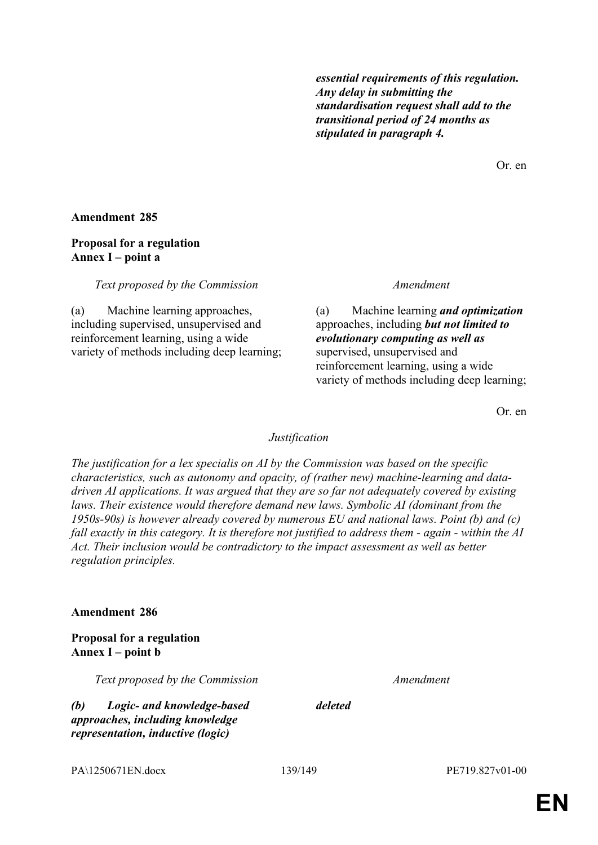*essential requirements of this regulation. Any delay in submitting the standardisation request shall add to the transitional period of 24 months as stipulated in paragraph 4.*

Or. en

### **Amendment 285**

# **Proposal for a regulation Annex I – point a**

*Text proposed by the Commission Amendment*

(a) Machine learning approaches, including supervised, unsupervised and reinforcement learning, using a wide variety of methods including deep learning;

(a) Machine learning *and optimization* approaches, including *but not limited to evolutionary computing as well as* supervised, unsupervised and reinforcement learning, using a wide variety of methods including deep learning;

Or. en

### *Justification*

*The justification for a lex specialis on AI by the Commission was based on the specific characteristics, such as autonomy and opacity, of (rather new) machine-learning and datadriven AI applications. It was argued that they are so far not adequately covered by existing*  laws. Their existence would therefore demand new laws. Symbolic AI (dominant from the *1950s-90s) is however already covered by numerous EU and national laws. Point (b) and (c) fall exactly in this category. It is therefore not justified to address them - again - within the AI Act. Their inclusion would be contradictory to the impact assessment as well as better regulation principles.*

### **Amendment 286**

# **Proposal for a regulation Annex I – point b**

*Text proposed by the Commission Amendment*

*(b) Logic- and knowledge-based approaches, including knowledge representation, inductive (logic)* 

*deleted*

PA\1250671EN.docx 139/149 PE719.827v01-00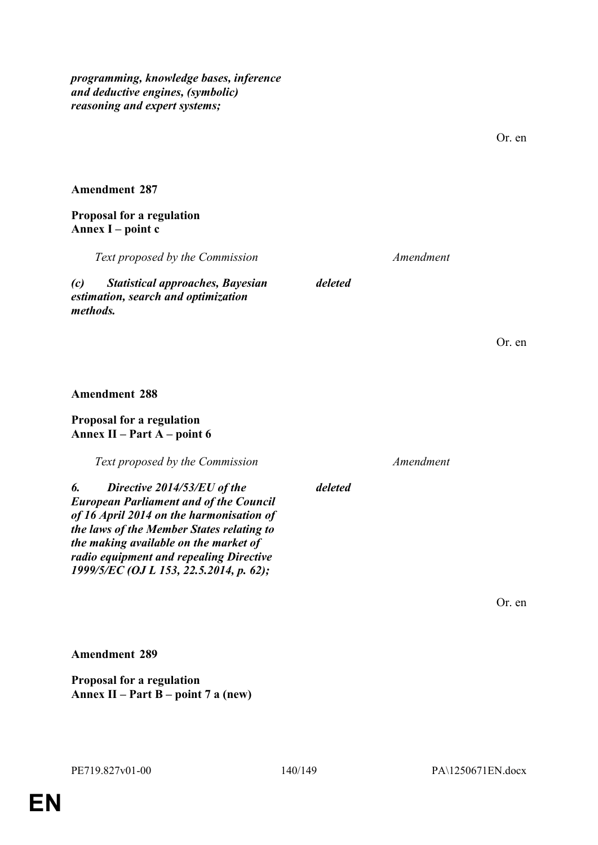*programming, knowledge bases, inference and deductive engines, (symbolic) reasoning and expert systems;*

**Amendment 289**

**Proposal for a regulation**

**Annex II – Part B – point 7 a (new)**

Or. en

*Text proposed by the Commission Amendment*

Or. en

**Amendment 288**

*methods.*

**Amendment 287**

**Annex I – point c**

**Proposal for a regulation**

### **Proposal for a regulation Annex II – Part A – point 6**

*Text proposed by the Commission Amendment*

*(c) Statistical approaches, Bayesian estimation, search and optimization* 

*6. Directive 2014/53/EU of the European Parliament and of the Council of 16 April 2014 on the harmonisation of the laws of the Member States relating to the making available on the market of radio equipment and repealing Directive 1999/5/EC (OJ L 153, 22.5.2014, p. 62);*

*deleted*

*deleted*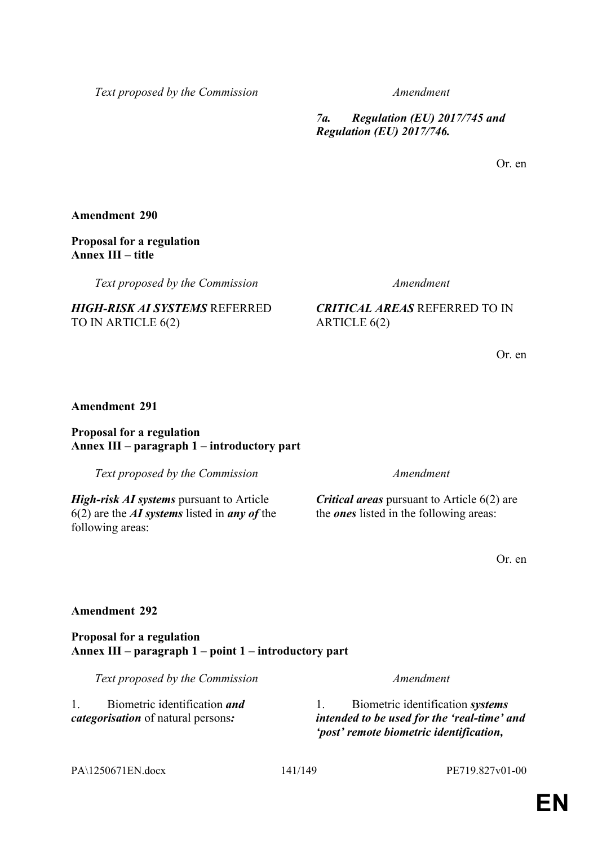*Text proposed by the Commission Amendment*

*7a. Regulation (EU) 2017/745 and Regulation (EU) 2017/746.*

Or. en

**Amendment 290**

### **Proposal for a regulation Annex III – title**

*Text proposed by the Commission Amendment*

*HIGH-RISK AI SYSTEMS* REFERRED TO IN ARTICLE 6(2)

*CRITICAL AREAS* REFERRED TO IN ARTICLE 6(2)

Or. en

## **Amendment 291**

**Proposal for a regulation Annex III – paragraph 1 – introductory part**

*Text proposed by the Commission Amendment*

*High-risk AI systems* pursuant to Article 6(2) are the *AI systems* listed in *any of* the following areas:

*Critical areas* pursuant to Article 6(2) are the *ones* listed in the following areas:

Or. en

### **Amendment 292**

**Proposal for a regulation Annex III – paragraph 1 – point 1 – introductory part**

*Text proposed by the Commission Amendment*

1. Biometric identification *and categorisation* of natural persons*:*

1. Biometric identification *systems intended to be used for the 'real-time' and 'post' remote biometric identification,* 

PA\1250671EN.docx 141/149 PE719.827v01-00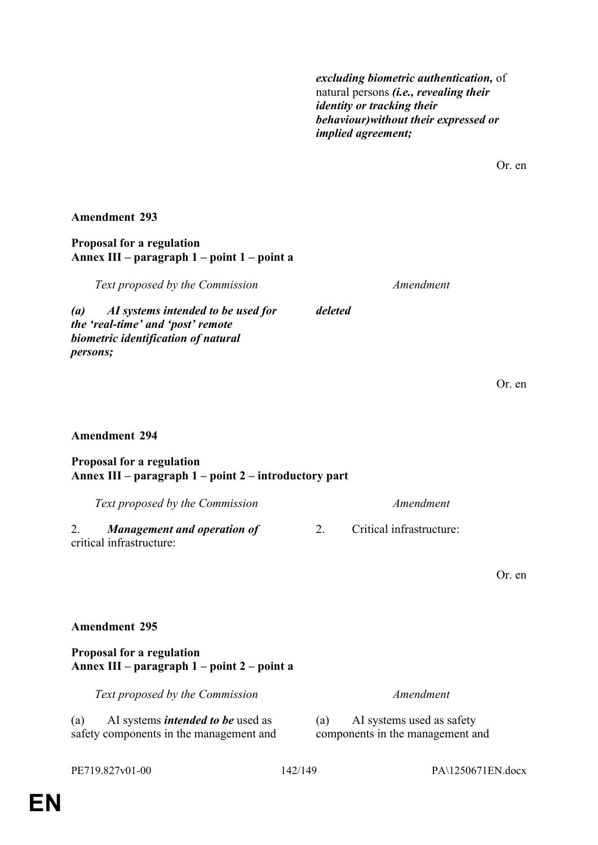*excluding biometric authentication,* of natural persons *(i.e., revealing their identity or tracking their behaviour)without their expressed or implied agreement;*

Or. en

### **Amendment 293**

### **Proposal for a regulation Annex III – paragraph 1 – point 1 – point a**

*Text proposed by the Commission Amendment*

*deleted*

*(a) AI systems intended to be used for the 'real-time' and 'post' remote biometric identification of natural persons;*

# **Amendment 294**

### **Proposal for a regulation Annex III – paragraph 1 – point 2 – introductory part**

*Text proposed by the Commission Amendment* 2. *Management and operation of* critical infrastructure: 2. Critical infrastructure:

Or. en

Or. en

# **Amendment 295**

## **Proposal for a regulation Annex III – paragraph 1 – point 2 – point a**

*Text proposed by the Commission Amendment*

(a) AI systems *intended to be* used as safety components in the management and

(a) AI systems used as safety components in the management and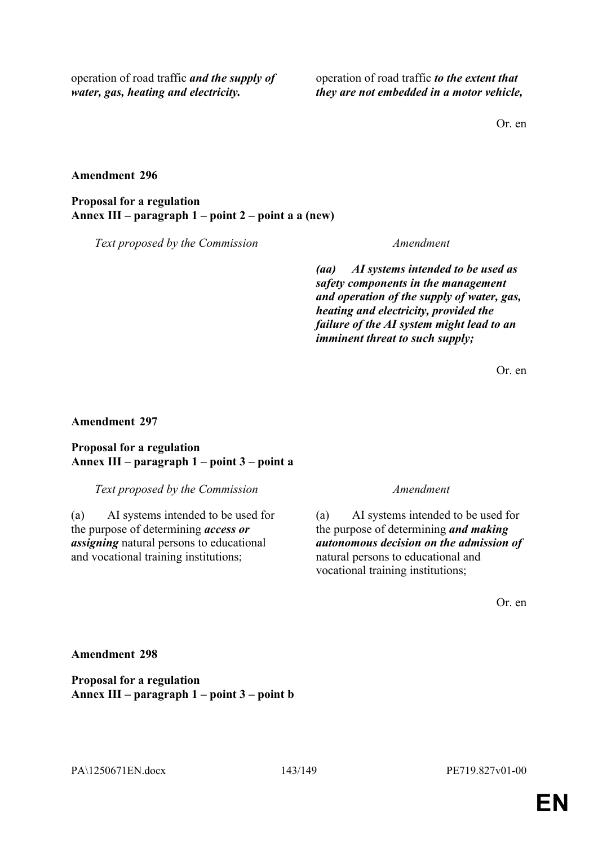operation of road traffic *and the supply of water, gas, heating and electricity.*

operation of road traffic *to the extent that they are not embedded in a motor vehicle,*

Or. en

### **Amendment 296**

**Proposal for a regulation Annex III – paragraph 1 – point 2 – point a a (new)**

*Text proposed by the Commission Amendment*

*(aa) AI systems intended to be used as safety components in the management and operation of the supply of water, gas, heating and electricity, provided the failure of the AI system might lead to an imminent threat to such supply;*

Or. en

### **Amendment 297**

## **Proposal for a regulation Annex III – paragraph 1 – point 3 – point a**

*Text proposed by the Commission Amendment*

(a) AI systems intended to be used for the purpose of determining *access or assigning* natural persons to educational and vocational training institutions;

(a) AI systems intended to be used for the purpose of determining *and making autonomous decision on the admission of* natural persons to educational and vocational training institutions;

Or. en

**Amendment 298**

**Proposal for a regulation Annex III – paragraph 1 – point 3 – point b**

PA\1250671EN.docx 143/149 PE719.827v01-00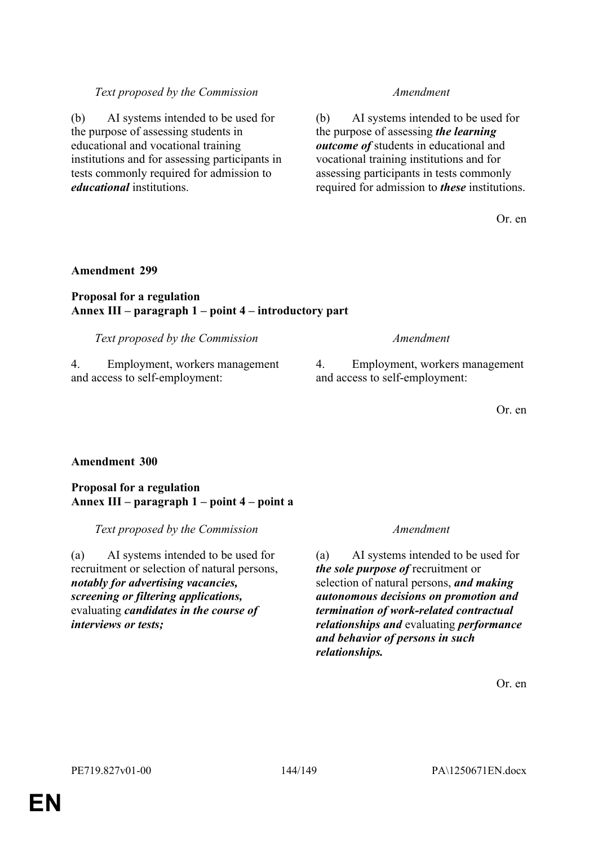# *Text proposed by the Commission Amendment*

(b) AI systems intended to be used for the purpose of assessing students in educational and vocational training institutions and for assessing participants in tests commonly required for admission to *educational* institutions.

(b) AI systems intended to be used for the purpose of assessing *the learning outcome of* students in educational and vocational training institutions and for assessing participants in tests commonly required for admission to *these* institutions.

Or. en

## **Amendment 299**

# **Proposal for a regulation Annex III – paragraph 1 – point 4 – introductory part**

*Text proposed by the Commission Amendment*

4. Employment, workers management and access to self-employment:

4. Employment, workers management and access to self-employment:

Or. en

# **Amendment 300**

## **Proposal for a regulation Annex III – paragraph 1 – point 4 – point a**

*Text proposed by the Commission Amendment*

(a) AI systems intended to be used for recruitment or selection of natural persons, *notably for advertising vacancies, screening or filtering applications,* evaluating *candidates in the course of interviews or tests;*

(a) AI systems intended to be used for *the sole purpose of* recruitment or selection of natural persons, *and making autonomous decisions on promotion and termination of work-related contractual relationships and* evaluating *performance and behavior of persons in such relationships.*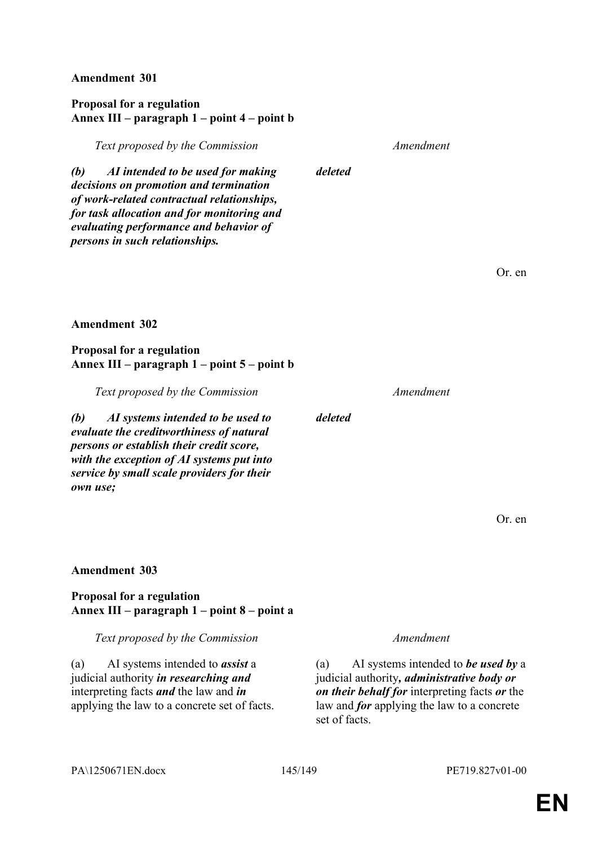**Amendment 301**

# **Proposal for a regulation Annex III – paragraph 1 – point 4 – point b**

*(b) AI intended to be used for making decisions on promotion and termination of work-related contractual relationships, for task allocation and for monitoring and evaluating performance and behavior of persons in such relationships.*

**Amendment 302**

**Proposal for a regulation Annex III – paragraph 1 – point 5 – point b**

*Text proposed by the Commission Amendment (b) AI systems intended to be used to evaluate the creditworthiness of natural persons or establish their credit score, with the exception of AI systems put into service by small scale providers for their deleted*

Or. en

Or. en

## **Amendment 303**

*own use;*

# **Proposal for a regulation Annex III – paragraph 1 – point 8 – point a**

*Text proposed by the Commission Amendment*

(a) AI systems intended to *assist* a judicial authority *in researching and* interpreting facts *and* the law and *in* applying the law to a concrete set of facts.

(a) AI systems intended to *be used by* a judicial authority*, administrative body or on their behalf for* interpreting facts *or* the law and *for* applying the law to a concrete set of facts.

*deleted*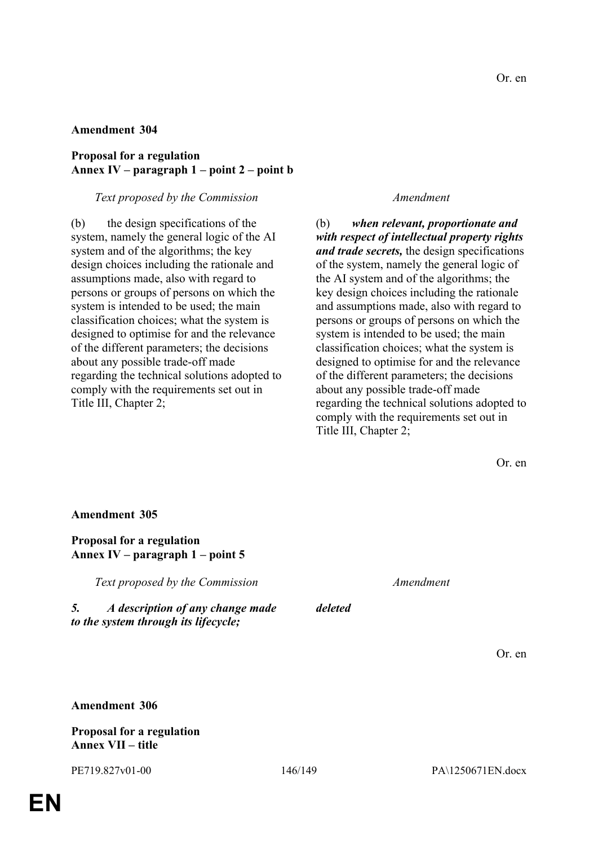# **Amendment 304**

## **Proposal for a regulation Annex IV – paragraph 1 – point 2 – point b**

## *Text proposed by the Commission Amendment*

(b) the design specifications of the system, namely the general logic of the AI system and of the algorithms; the key design choices including the rationale and assumptions made, also with regard to persons or groups of persons on which the system is intended to be used; the main classification choices; what the system is designed to optimise for and the relevance of the different parameters; the decisions about any possible trade-off made regarding the technical solutions adopted to comply with the requirements set out in Title III, Chapter 2;

(b) *when relevant, proportionate and with respect of intellectual property rights and trade secrets,* the design specifications of the system, namely the general logic of the AI system and of the algorithms; the key design choices including the rationale and assumptions made, also with regard to persons or groups of persons on which the system is intended to be used; the main classification choices; what the system is designed to optimise for and the relevance of the different parameters; the decisions about any possible trade-off made regarding the technical solutions adopted to comply with the requirements set out in Title III, Chapter 2;

| <b>Amendment 305</b>                                                           |         |           |        |
|--------------------------------------------------------------------------------|---------|-----------|--------|
| <b>Proposal for a regulation</b><br>Annex IV – paragraph $1$ – point 5         |         |           |        |
| Text proposed by the Commission                                                |         | Amendment |        |
| 5.<br>A description of any change made<br>to the system through its lifecycle; | deleted |           |        |
|                                                                                |         |           | Or. en |
|                                                                                |         |           |        |
| <b>Amendment 306</b>                                                           |         |           |        |
| <b>Proposal for a regulation</b>                                               |         |           |        |

**Annex VII – title**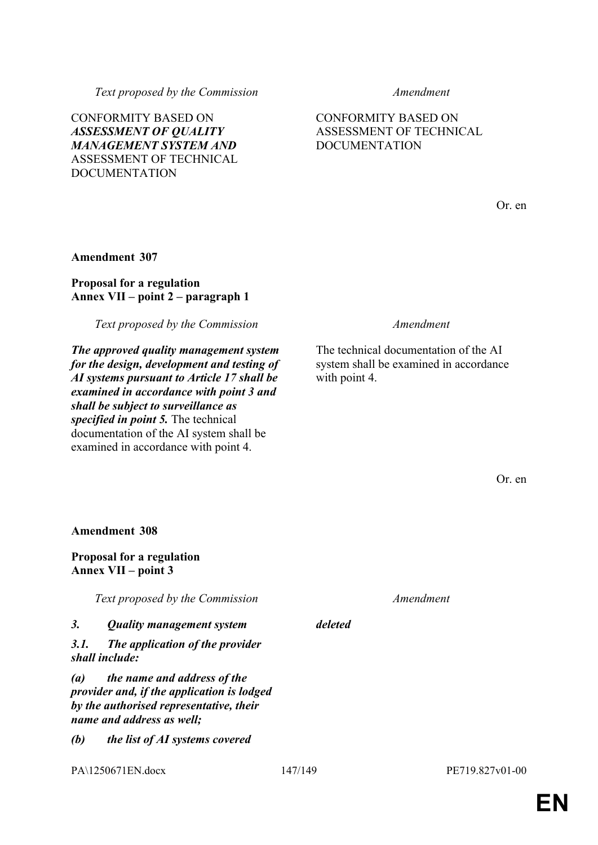*(b) the list of AI systems covered* 

*Text proposed by the Commission Amendment*

CONFORMITY BASED ON *ASSESSMENT OF QUALITY MANAGEMENT SYSTEM AND* ASSESSMENT OF TECHNICAL DOCUMENTATION

CONFORMITY BASED ON ASSESSMENT OF TECHNICAL DOCUMENTATION

Or. en

# **Amendment 307**

# **Proposal for a regulation Annex VII – point 2 – paragraph 1**

*Text proposed by the Commission Amendment*

*The approved quality management system for the design, development and testing of AI systems pursuant to Article 17 shall be examined in accordance with point 3 and shall be subject to surveillance as specified in point 5.* The technical documentation of the AI system shall be examined in accordance with point 4.

The technical documentation of the AI system shall be examined in accordance with point 4.

Or. en

**Amendment 308**

**Proposal for a regulation Annex VII – point 3**

*Text proposed by the Commission Amendment*

| 3. | <b>Quality management system</b> | deleted |
|----|----------------------------------|---------|
|    |                                  |         |

*3.1. The application of the provider shall include:*

*(a) the name and address of the provider and, if the application is lodged by the authorised representative, their name and address as well;*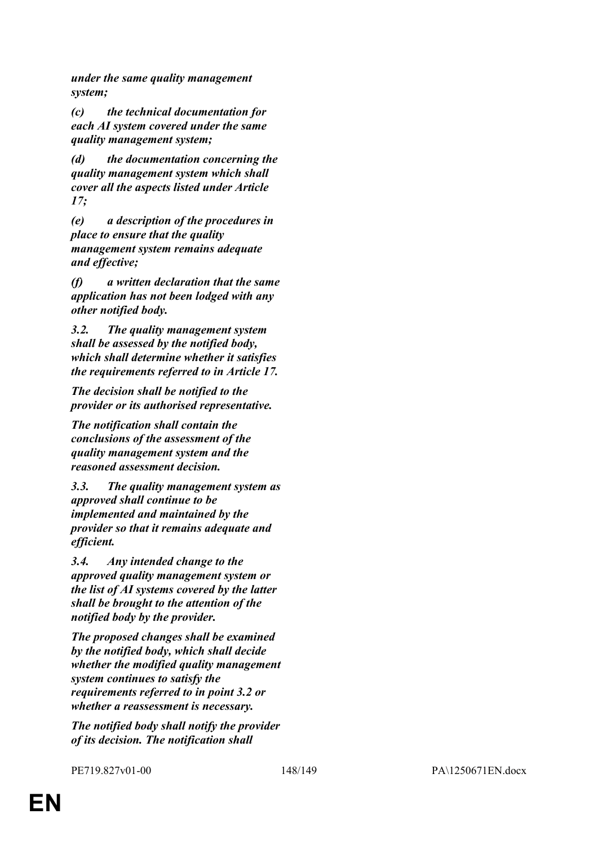*under the same quality management system;*

*(c) the technical documentation for each AI system covered under the same quality management system;*

*(d) the documentation concerning the quality management system which shall cover all the aspects listed under Article 17;*

*(e) a description of the procedures in place to ensure that the quality management system remains adequate and effective;*

*(f) a written declaration that the same application has not been lodged with any other notified body.*

*3.2. The quality management system shall be assessed by the notified body, which shall determine whether it satisfies the requirements referred to in Article 17.*

*The decision shall be notified to the provider or its authorised representative.*

*The notification shall contain the conclusions of the assessment of the quality management system and the reasoned assessment decision.*

*3.3. The quality management system as approved shall continue to be implemented and maintained by the provider so that it remains adequate and efficient.*

*3.4. Any intended change to the approved quality management system or the list of AI systems covered by the latter shall be brought to the attention of the notified body by the provider.*

*The proposed changes shall be examined by the notified body, which shall decide whether the modified quality management system continues to satisfy the requirements referred to in point 3.2 or whether a reassessment is necessary.*

*The notified body shall notify the provider of its decision. The notification shall*